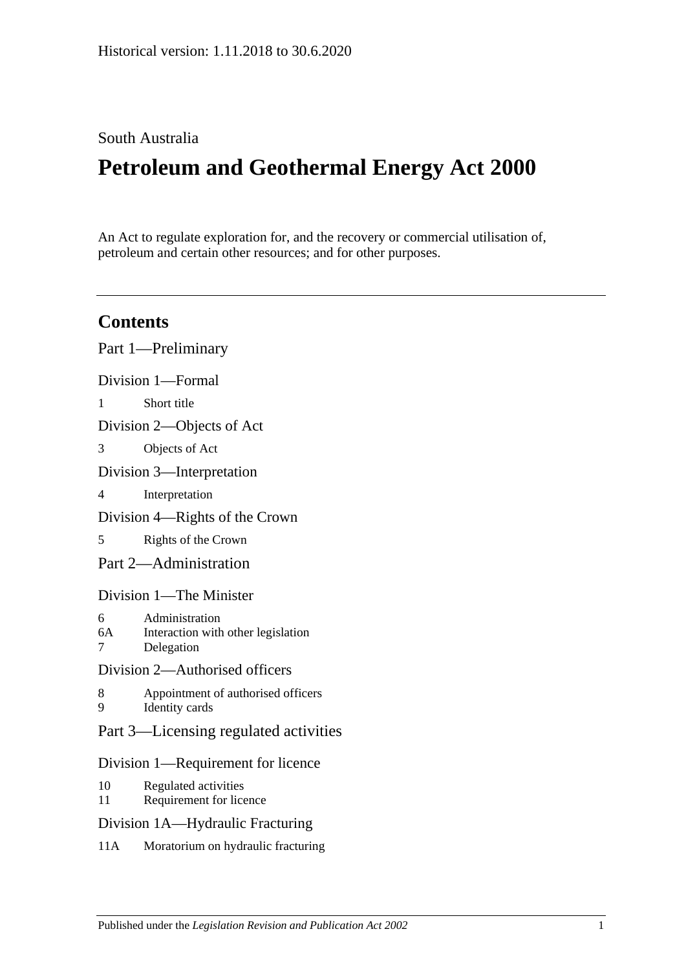# South Australia

# **Petroleum and Geothermal Energy Act 2000**

An Act to regulate exploration for, and the recovery or commercial utilisation of, petroleum and certain other resources; and for other purposes.

# **Contents**

|                                    | Part 1—Preliminary                                                 |
|------------------------------------|--------------------------------------------------------------------|
| Division 1-Formal                  |                                                                    |
| $\mathbf{1}$                       | Short title                                                        |
| Division 2—Objects of Act          |                                                                    |
| 3                                  | Objects of Act                                                     |
| Division 3—Interpretation          |                                                                    |
| 4                                  | Interpretation                                                     |
| Division 4—Rights of the Crown     |                                                                    |
| 5                                  | Rights of the Crown                                                |
| Part 2—Administration              |                                                                    |
| Division 1—The Minister            |                                                                    |
| 6<br>6A<br>$\overline{7}$          | Administration<br>Interaction with other legislation<br>Delegation |
| Division 2—Authorised officers     |                                                                    |
| 8<br>9                             | Appointment of authorised officers<br><b>Identity</b> cards        |
|                                    | Part 3—Licensing regulated activities                              |
| Division 1—Requirement for licence |                                                                    |
| 10<br>11                           | Regulated activities<br>Requirement for licence                    |
| Division 1A-Hydraulic Fracturing   |                                                                    |
|                                    |                                                                    |

11A [Moratorium on hydraulic fracturing](#page-14-2)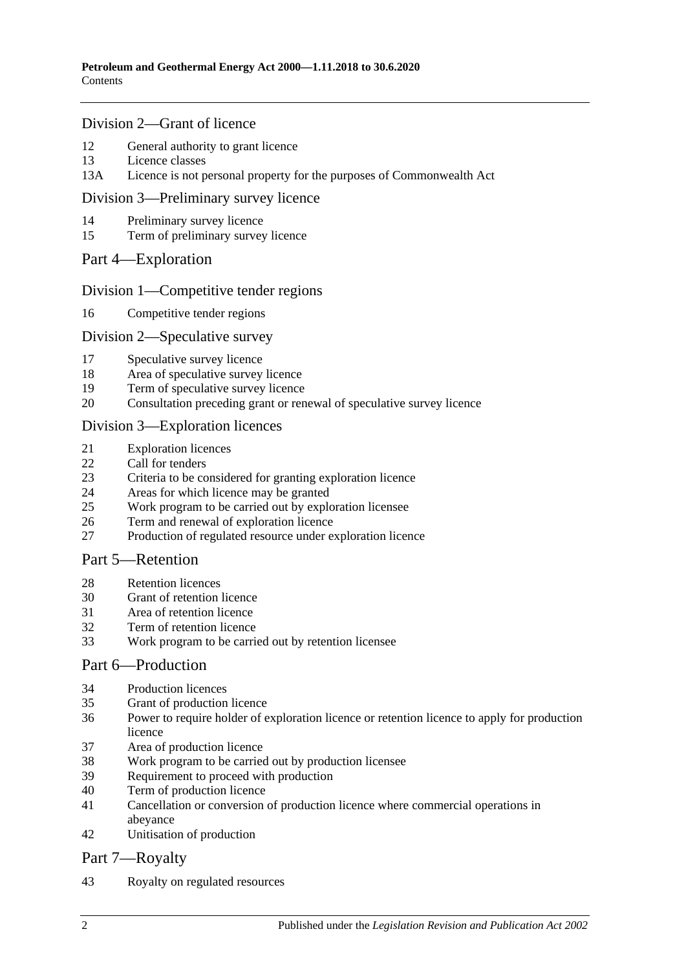### [Division 2—Grant of licence](#page-15-0)

- [General authority to grant licence](#page-15-1)
- [Licence classes](#page-15-2)
- 13A [Licence is not personal property for the purposes of Commonwealth Act](#page-15-3)

#### [Division 3—Preliminary survey licence](#page-15-4)

- [Preliminary survey licence](#page-15-5)
- [Term of preliminary survey licence](#page-16-0)

#### Part [4—Exploration](#page-16-1)

#### [Division 1—Competitive tender regions](#page-16-2)

[Competitive tender regions](#page-16-3)

#### [Division 2—Speculative survey](#page-16-4)

- [Speculative survey licence](#page-16-5)
- [Area of speculative survey licence](#page-16-6)
- [Term of speculative survey licence](#page-16-7)
- [Consultation preceding grant or renewal of speculative survey licence](#page-17-0)

#### [Division 3—Exploration licences](#page-17-1)

- [Exploration licences](#page-17-2)
- [Call for tenders](#page-17-3)
- [Criteria to be considered for granting exploration licence](#page-18-0)
- [Areas for which licence may be granted](#page-18-1)
- [Work program to be carried out by exploration licensee](#page-18-2)
- [Term and renewal of exploration licence](#page-19-0)
- [Production of regulated resource under exploration licence](#page-20-0)

# [Part 5—Retention](#page-20-1)

- [Retention licences](#page-20-2)
- [Grant of retention licence](#page-21-0)
- [Area of retention licence](#page-21-1)
- [Term of retention licence](#page-22-0)
- [Work program to be carried out by retention licensee](#page-22-1)

#### [Part 6—Production](#page-22-2)

- [Production licences](#page-22-3)
- [Grant of production licence](#page-23-0)
- [Power to require holder of exploration licence or retention licence to apply for production](#page-24-0)  [licence](#page-24-0)
- [Area of production licence](#page-24-1)
- [Work program to be carried out by production licensee](#page-24-2)
- [Requirement to proceed with production](#page-25-0)
- [Term of production licence](#page-25-1)
- [Cancellation or conversion of production licence where commercial operations in](#page-25-2)  [abeyance](#page-25-2)
- [Unitisation of production](#page-26-0)

# [Part 7—Royalty](#page-26-1)

[Royalty on regulated resources](#page-26-2)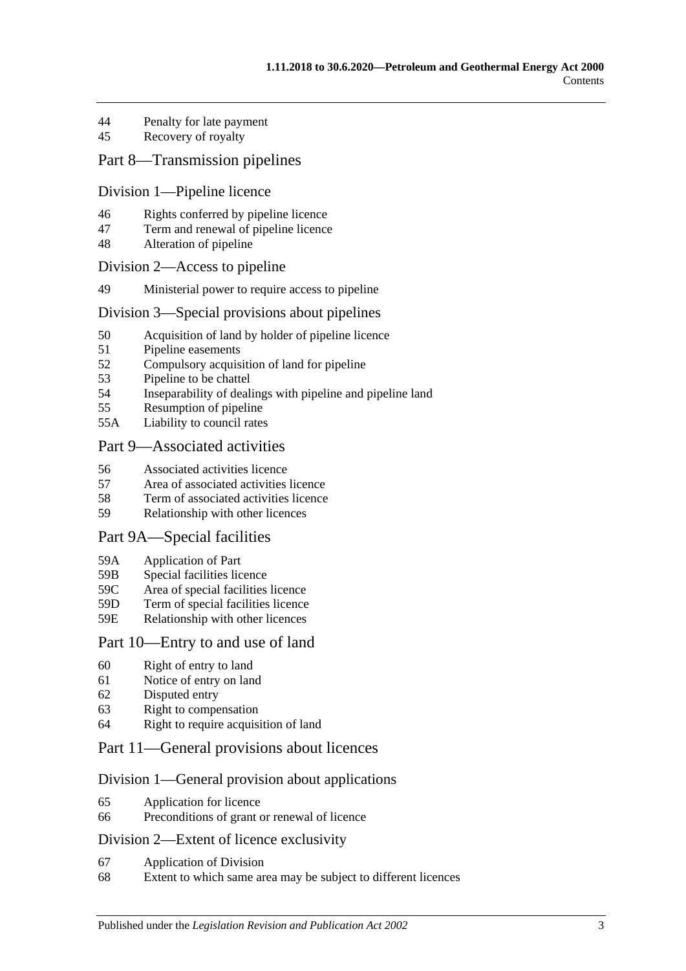- 44 [Penalty for late payment](#page-28-0)
- 45 [Recovery of royalty](#page-28-1)

# [Part 8—Transmission pipelines](#page-28-2)

#### [Division 1—Pipeline licence](#page-28-3)

- 46 [Rights conferred by pipeline licence](#page-28-4)
- 47 [Term and renewal of pipeline licence](#page-28-5)
- 48 [Alteration of pipeline](#page-29-0)

#### [Division 2—Access to pipeline](#page-29-1)

49 [Ministerial power to require access to pipeline](#page-29-2)

#### [Division 3—Special provisions about pipelines](#page-29-3)

- 50 [Acquisition of land by holder of pipeline licence](#page-29-4)
- 51 [Pipeline easements](#page-30-0)
- 52 [Compulsory acquisition of land for pipeline](#page-30-1)
- 53 [Pipeline to be chattel](#page-30-2)
- 54 [Inseparability of dealings with pipeline and pipeline land](#page-30-3)
- 55 [Resumption of pipeline](#page-30-4)
- 55A [Liability to council rates](#page-31-0)

# [Part 9—Associated activities](#page-31-1)

- 56 [Associated activities licence](#page-31-2)
- 57 [Area of associated activities licence](#page-32-0)
- 58 [Term of associated activities licence](#page-32-1)
- 59 [Relationship with other licences](#page-32-2)

#### [Part 9A—Special facilities](#page-33-0)

- 59A [Application of Part](#page-33-1)
- 59B [Special facilities licence](#page-33-2)
- 59C [Area of special facilities licence](#page-34-0)
- 59D [Term of special facilities licence](#page-34-1)
- 59E [Relationship with other licences](#page-34-2)

#### [Part 10—Entry to and use of land](#page-35-0)

- 60 [Right of entry to land](#page-35-1)
- 61 [Notice of entry on land](#page-35-2)
- 62 [Disputed entry](#page-36-0)
- 63 [Right to compensation](#page-36-1)
- 64 [Right to require acquisition of land](#page-37-0)

# [Part 11—General provisions about licences](#page-37-1)

#### [Division 1—General provision about applications](#page-37-2)

- 65 [Application for licence](#page-37-3)
- 66 [Preconditions of grant or renewal of licence](#page-38-0)

#### [Division 2—Extent of licence exclusivity](#page-39-0)

- 67 [Application of Division](#page-39-1)
- 68 [Extent to which same area may be subject to different licences](#page-39-2)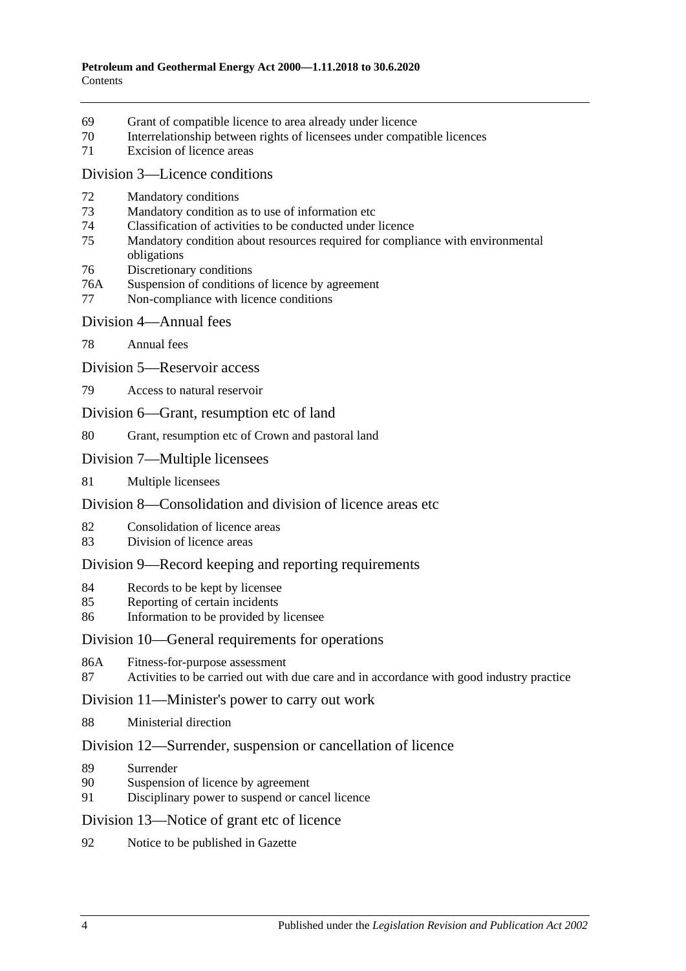- [Grant of compatible licence to area already under licence](#page-39-3)
- [Interrelationship between rights of licensees under compatible licences](#page-40-0)
- [Excision of licence areas](#page-40-1)

#### [Division 3—Licence conditions](#page-40-2)

- [Mandatory conditions](#page-40-3)
- [Mandatory condition as to use of information etc](#page-40-4)
- [Classification of activities to be conducted under licence](#page-40-5)
- [Mandatory condition about resources required for compliance with environmental](#page-41-0)  [obligations](#page-41-0)
- [Discretionary conditions](#page-41-1)
- 76A [Suspension of conditions of licence by agreement](#page-41-2)
- [Non-compliance with licence conditions](#page-41-3)
- [Division 4—Annual fees](#page-42-0)
- [Annual fees](#page-42-1)
- [Division 5—Reservoir access](#page-42-2)
- [Access to natural reservoir](#page-42-3)
- [Division 6—Grant, resumption etc of land](#page-43-0)
- [Grant, resumption etc of Crown and pastoral land](#page-43-1)
- [Division 7—Multiple licensees](#page-43-2)
- [Multiple licensees](#page-43-3)

# [Division 8—Consolidation and division of licence areas etc](#page-44-0)

- [Consolidation of licence areas](#page-44-1)
- [Division of licence areas](#page-44-2)

# [Division 9—Record keeping and reporting requirements](#page-45-0)

- [Records to be kept by licensee](#page-45-1)
- [Reporting of certain incidents](#page-45-2)
- [Information to be provided by licensee](#page-46-0)

#### [Division 10—General requirements for operations](#page-46-1)

- 86A [Fitness-for-purpose assessment](#page-46-2)
- [Activities to be carried out with due care and in accordance with good industry practice](#page-47-0)

#### [Division 11—Minister's power to carry out work](#page-47-1)

[Ministerial direction](#page-47-2)

#### [Division 12—Surrender, suspension or cancellation of licence](#page-48-0)

- [Surrender](#page-48-1)
- [Suspension of licence by agreement](#page-48-2)
- [Disciplinary power to suspend or cancel licence](#page-48-3)

#### [Division 13—Notice of grant etc of licence](#page-49-0)

[Notice to be published in Gazette](#page-49-1)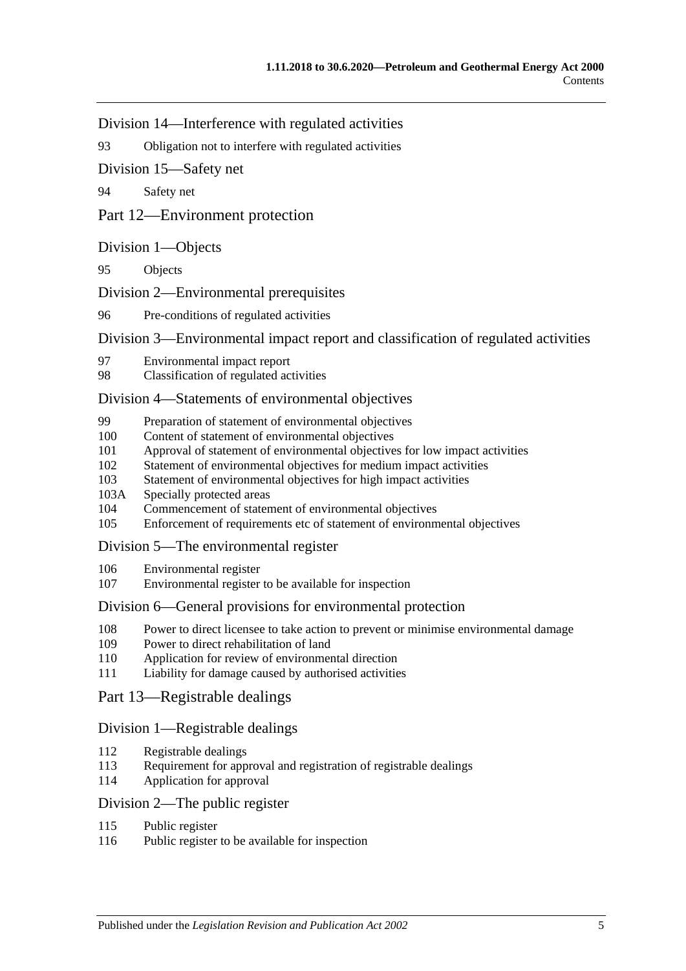[Division 14—Interference with regulated activities](#page-49-2)

93 [Obligation not to interfere with regulated activities](#page-49-3)

[Division 15—Safety net](#page-49-4)

94 [Safety net](#page-49-5)

[Part 12—Environment protection](#page-49-6)

#### [Division 1—Objects](#page-49-7)

95 [Objects](#page-49-8)

[Division 2—Environmental prerequisites](#page-50-0)

96 [Pre-conditions of regulated activities](#page-50-1)

[Division 3—Environmental impact report and classification of regulated activities](#page-50-2)

- 97 [Environmental impact report](#page-50-3)
- 98 [Classification of regulated activities](#page-50-4)

#### [Division 4—Statements of environmental objectives](#page-51-0)

- 99 [Preparation of statement of environmental objectives](#page-51-1)
- 100 [Content of statement of environmental objectives](#page-51-2)
- 101 [Approval of statement of environmental objectives for low impact activities](#page-52-0)
- 102 [Statement of environmental objectives for medium impact activities](#page-52-1)
- 103 [Statement of environmental objectives for high impact activities](#page-53-0)
- 103A [Specially protected areas](#page-53-1)
- 104 [Commencement of statement of environmental objectives](#page-53-2)
- 105 [Enforcement of requirements etc of statement of environmental objectives](#page-53-3)

#### [Division 5—The environmental register](#page-54-0)

- 106 [Environmental register](#page-54-1)
- 107 [Environmental register to be available for inspection](#page-54-2)

#### [Division 6—General provisions for environmental protection](#page-54-3)

- 108 [Power to direct licensee to take action to prevent or minimise environmental damage](#page-54-4)
- 109 [Power to direct rehabilitation of land](#page-55-0)
- 110 [Application for review of environmental direction](#page-55-1)
- 111 [Liability for damage caused by authorised activities](#page-55-2)

#### [Part 13—Registrable dealings](#page-56-0)

#### [Division 1—Registrable dealings](#page-56-1)

- 112 [Registrable dealings](#page-56-2)
- 113 [Requirement for approval and registration of registrable dealings](#page-56-3)
- 114 [Application for approval](#page-56-4)

### [Division 2—The public register](#page-57-0)

- 115 [Public register](#page-57-1)
- 116 [Public register to be available for inspection](#page-57-2)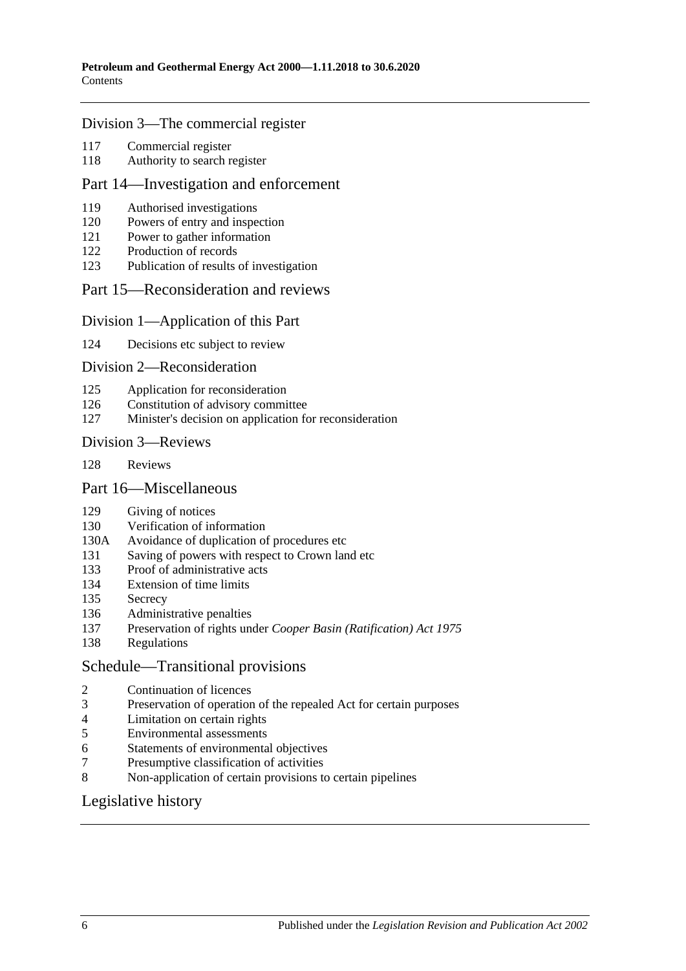#### [Division 3—The commercial register](#page-57-3)

- [Commercial register](#page-57-4)
- [Authority to search register](#page-58-0)

#### [Part 14—Investigation and enforcement](#page-58-1)

- [Authorised investigations](#page-58-2)
- [Powers of entry and inspection](#page-58-3)
- [Power to gather information](#page-59-0)
- [Production of records](#page-59-1)
- [Publication of results of investigation](#page-59-2)

#### [Part 15—Reconsideration and reviews](#page-60-0)

#### [Division 1—Application of this Part](#page-60-1)

[Decisions etc subject to review](#page-60-2)

#### [Division 2—Reconsideration](#page-60-3)

- [Application for reconsideration](#page-60-4)
- [Constitution of advisory committee](#page-60-5)
- [Minister's decision on application for reconsideration](#page-61-0)

#### [Division 3—Reviews](#page-61-1)

[Reviews](#page-61-2)

#### [Part 16—Miscellaneous](#page-61-3)

- [Giving of notices](#page-61-4)
- [Verification of information](#page-61-5)
- 130A [Avoidance of duplication of procedures etc](#page-62-0)
- [Saving of powers with respect to Crown land etc](#page-64-0)
- [Proof of administrative acts](#page-64-1)
- [Extension of time limits](#page-64-2)
- [Secrecy](#page-64-3)
- [Administrative penalties](#page-64-4)
- Preservation of rights under *[Cooper Basin \(Ratification\) Act](#page-65-0) 1975*
- [Regulations](#page-65-1)

#### [Schedule—Transitional provisions](#page-65-2)

- [Continuation of licences](#page-65-3)<br>3 Preservation of operation
- [Preservation of operation of the repealed Act for certain purposes](#page-66-0)
- [Limitation on certain rights](#page-66-1)
- [Environmental assessments](#page-67-0)
- [Statements of environmental objectives](#page-67-1)
- [Presumptive classification of activities](#page-67-2)
- [Non-application of certain provisions to certain pipelines](#page-67-3)

# [Legislative history](#page-68-0)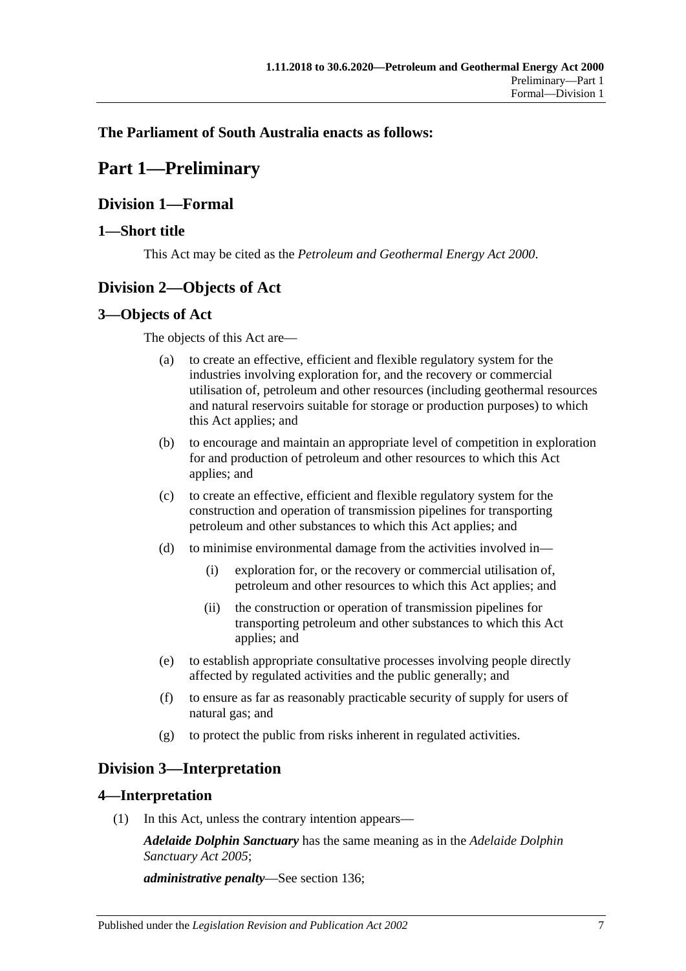# <span id="page-6-0"></span>**The Parliament of South Australia enacts as follows:**

# **Part 1—Preliminary**

# <span id="page-6-1"></span>**Division 1—Formal**

# <span id="page-6-2"></span>**1—Short title**

This Act may be cited as the *Petroleum and Geothermal Energy Act 2000*.

# <span id="page-6-3"></span>**Division 2—Objects of Act**

# <span id="page-6-4"></span>**3—Objects of Act**

The objects of this Act are—

- (a) to create an effective, efficient and flexible regulatory system for the industries involving exploration for, and the recovery or commercial utilisation of, petroleum and other resources (including geothermal resources and natural reservoirs suitable for storage or production purposes) to which this Act applies; and
- (b) to encourage and maintain an appropriate level of competition in exploration for and production of petroleum and other resources to which this Act applies; and
- (c) to create an effective, efficient and flexible regulatory system for the construction and operation of transmission pipelines for transporting petroleum and other substances to which this Act applies; and
- (d) to minimise environmental damage from the activities involved in—
	- (i) exploration for, or the recovery or commercial utilisation of, petroleum and other resources to which this Act applies; and
	- (ii) the construction or operation of transmission pipelines for transporting petroleum and other substances to which this Act applies; and
- (e) to establish appropriate consultative processes involving people directly affected by regulated activities and the public generally; and
- (f) to ensure as far as reasonably practicable security of supply for users of natural gas; and
- (g) to protect the public from risks inherent in regulated activities.

# <span id="page-6-5"></span>**Division 3—Interpretation**

# <span id="page-6-6"></span>**4—Interpretation**

(1) In this Act, unless the contrary intention appears—

*Adelaide Dolphin Sanctuary* has the same meaning as in the *[Adelaide Dolphin](http://www.legislation.sa.gov.au/index.aspx?action=legref&type=act&legtitle=Adelaide%20Dolphin%20Sanctuary%20Act%202005)  [Sanctuary Act](http://www.legislation.sa.gov.au/index.aspx?action=legref&type=act&legtitle=Adelaide%20Dolphin%20Sanctuary%20Act%202005) 2005*;

*administrative penalty*—See [section](#page-64-4) 136;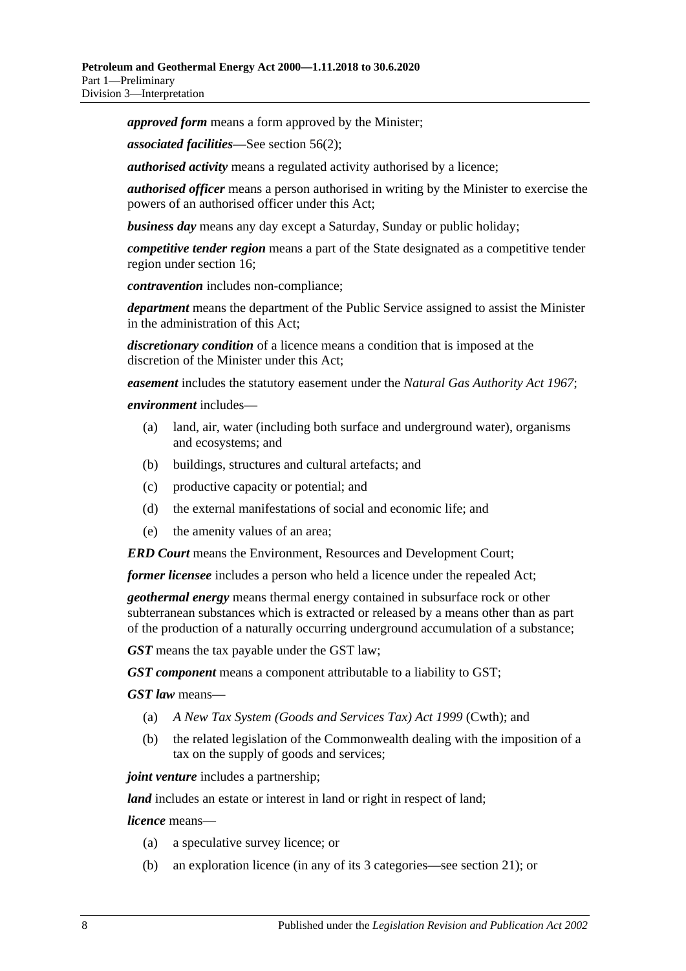*approved form* means a form approved by the Minister;

*associated facilities*—See [section](#page-31-3) 56(2);

*authorised activity* means a regulated activity authorised by a licence;

*authorised officer* means a person authorised in writing by the Minister to exercise the powers of an authorised officer under this Act;

*business day* means any day except a Saturday, Sunday or public holiday;

*competitive tender region* means a part of the State designated as a competitive tender region under [section](#page-16-3) 16;

*contravention* includes non-compliance;

*department* means the department of the Public Service assigned to assist the Minister in the administration of this Act;

*discretionary condition* of a licence means a condition that is imposed at the discretion of the Minister under this Act;

*easement* includes the statutory easement under the *[Natural Gas Authority Act](http://www.legislation.sa.gov.au/index.aspx?action=legref&type=act&legtitle=Natural%20Gas%20Authority%20Act%201967) 1967*;

#### *environment* includes—

- (a) land, air, water (including both surface and underground water), organisms and ecosystems; and
- (b) buildings, structures and cultural artefacts; and
- (c) productive capacity or potential; and
- (d) the external manifestations of social and economic life; and
- (e) the amenity values of an area;

*ERD Court* means the Environment, Resources and Development Court;

*former licensee* includes a person who held a licence under the repealed Act;

*geothermal energy* means thermal energy contained in subsurface rock or other subterranean substances which is extracted or released by a means other than as part of the production of a naturally occurring underground accumulation of a substance;

*GST* means the tax payable under the GST law;

*GST component* means a component attributable to a liability to GST;

*GST law* means—

- (a) *A New Tax System (Goods and Services Tax) Act 1999* (Cwth); and
- (b) the related legislation of the Commonwealth dealing with the imposition of a tax on the supply of goods and services;

*joint venture* includes a partnership;

*land* includes an estate or interest in land or right in respect of land;

*licence* means—

- (a) a speculative survey licence; or
- (b) an exploration licence (in any of its 3 categories—see [section](#page-17-2) 21); or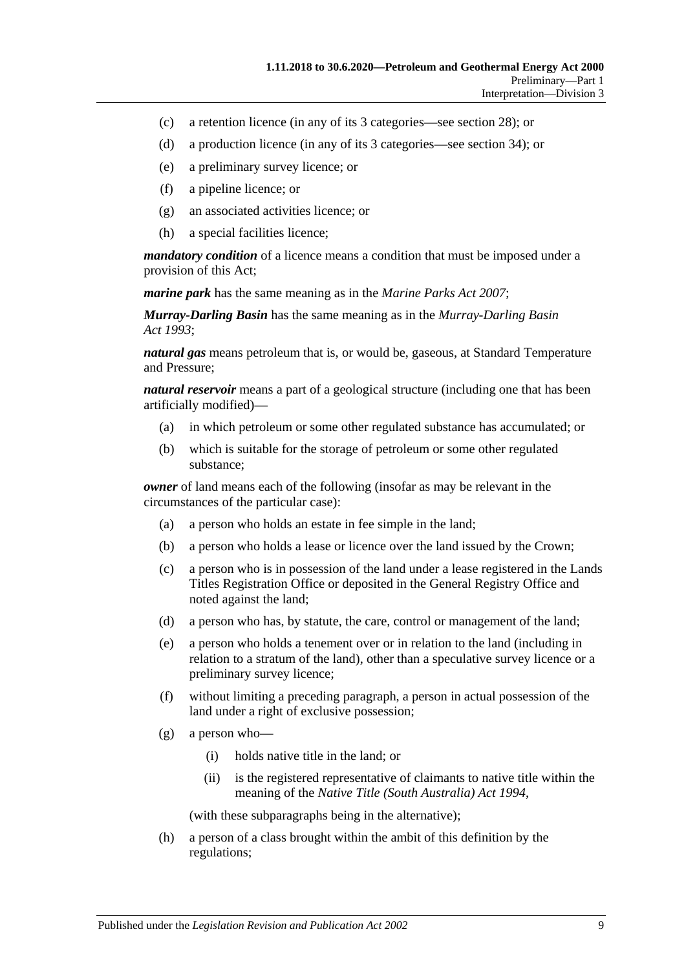- (c) a retention licence (in any of its 3 categories—see [section](#page-20-2) 28); or
- (d) a production licence (in any of its 3 categories—see [section](#page-22-3) 34); or
- (e) a preliminary survey licence; or
- (f) a pipeline licence; or
- (g) an associated activities licence; or
- (h) a special facilities licence;

*mandatory condition* of a licence means a condition that must be imposed under a provision of this Act;

*marine park* has the same meaning as in the *[Marine Parks Act](http://www.legislation.sa.gov.au/index.aspx?action=legref&type=act&legtitle=Marine%20Parks%20Act%202007) 2007*;

*Murray-Darling Basin* has the same meaning as in the *[Murray-Darling Basin](http://www.legislation.sa.gov.au/index.aspx?action=legref&type=act&legtitle=Murray-Darling%20Basin%20Act%201993)  Act [1993](http://www.legislation.sa.gov.au/index.aspx?action=legref&type=act&legtitle=Murray-Darling%20Basin%20Act%201993)*;

*natural gas* means petroleum that is, or would be, gaseous, at Standard Temperature and Pressure;

*natural reservoir* means a part of a geological structure (including one that has been artificially modified)—

- (a) in which petroleum or some other regulated substance has accumulated; or
- (b) which is suitable for the storage of petroleum or some other regulated substance;

*owner* of land means each of the following (insofar as may be relevant in the circumstances of the particular case):

- (a) a person who holds an estate in fee simple in the land;
- (b) a person who holds a lease or licence over the land issued by the Crown;
- (c) a person who is in possession of the land under a lease registered in the Lands Titles Registration Office or deposited in the General Registry Office and noted against the land;
- (d) a person who has, by statute, the care, control or management of the land;
- (e) a person who holds a tenement over or in relation to the land (including in relation to a stratum of the land), other than a speculative survey licence or a preliminary survey licence;
- (f) without limiting a preceding paragraph, a person in actual possession of the land under a right of exclusive possession;
- (g) a person who—
	- (i) holds native title in the land; or
	- (ii) is the registered representative of claimants to native title within the meaning of the *[Native Title \(South Australia\) Act](http://www.legislation.sa.gov.au/index.aspx?action=legref&type=act&legtitle=Native%20Title%20(South%20Australia)%20Act%201994) 1994*,

(with these subparagraphs being in the alternative);

(h) a person of a class brought within the ambit of this definition by the regulations;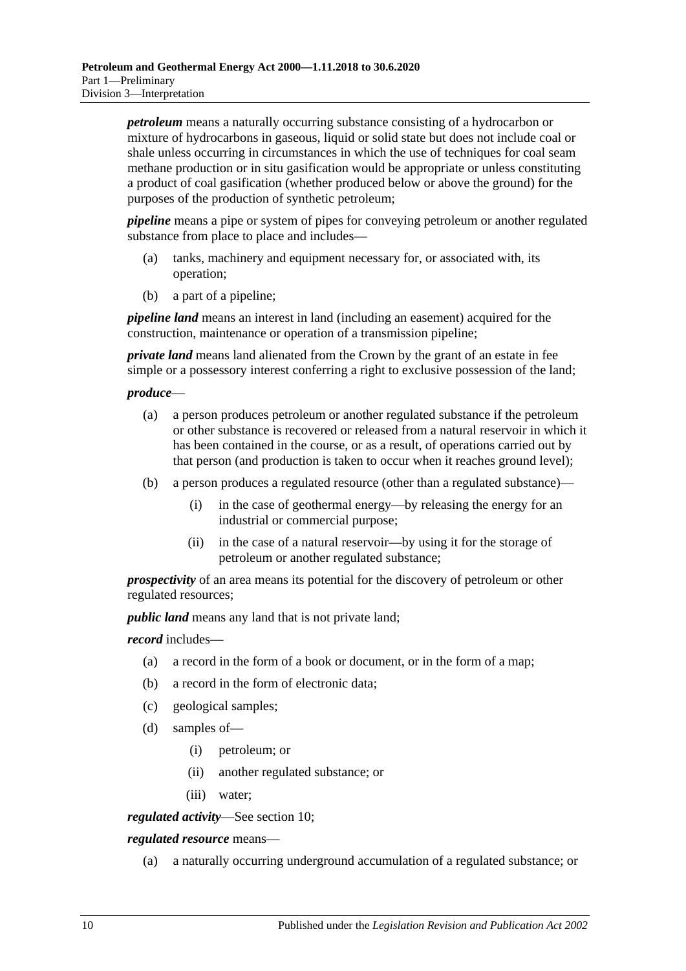*petroleum* means a naturally occurring substance consisting of a hydrocarbon or mixture of hydrocarbons in gaseous, liquid or solid state but does not include coal or shale unless occurring in circumstances in which the use of techniques for coal seam methane production or in situ gasification would be appropriate or unless constituting a product of coal gasification (whether produced below or above the ground) for the purposes of the production of synthetic petroleum;

*pipeline* means a pipe or system of pipes for conveying petroleum or another regulated substance from place to place and includes—

- (a) tanks, machinery and equipment necessary for, or associated with, its operation;
- (b) a part of a pipeline;

*pipeline land* means an interest in land (including an easement) acquired for the construction, maintenance or operation of a transmission pipeline;

*private land* means land alienated from the Crown by the grant of an estate in fee simple or a possessory interest conferring a right to exclusive possession of the land;

#### *produce*—

- (a) a person produces petroleum or another regulated substance if the petroleum or other substance is recovered or released from a natural reservoir in which it has been contained in the course, or as a result, of operations carried out by that person (and production is taken to occur when it reaches ground level);
- (b) a person produces a regulated resource (other than a regulated substance)—
	- (i) in the case of geothermal energy—by releasing the energy for an industrial or commercial purpose;
	- (ii) in the case of a natural reservoir—by using it for the storage of petroleum or another regulated substance;

*prospectivity* of an area means its potential for the discovery of petroleum or other regulated resources;

*public land* means any land that is not private land;

*record* includes—

- (a) a record in the form of a book or document, or in the form of a map;
- (b) a record in the form of electronic data;
- (c) geological samples;
- (d) samples of—
	- (i) petroleum; or
	- (ii) another regulated substance; or
	- (iii) water;

*regulated activity*—See [section](#page-13-3) 10;

*regulated resource* means—

(a) a naturally occurring underground accumulation of a regulated substance; or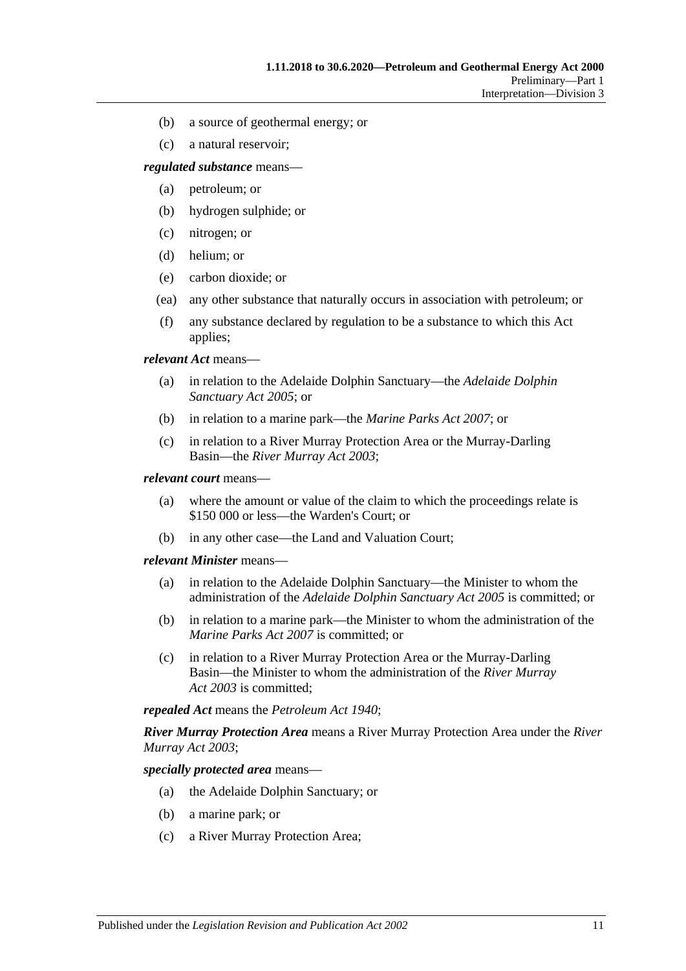- (b) a source of geothermal energy; or
- (c) a natural reservoir;

*regulated substance* means—

- (a) petroleum; or
- (b) hydrogen sulphide; or
- (c) nitrogen; or
- (d) helium; or
- (e) carbon dioxide; or
- (ea) any other substance that naturally occurs in association with petroleum; or
- (f) any substance declared by regulation to be a substance to which this Act applies;

*relevant Act* means—

- (a) in relation to the Adelaide Dolphin Sanctuary—the *[Adelaide Dolphin](http://www.legislation.sa.gov.au/index.aspx?action=legref&type=act&legtitle=Adelaide%20Dolphin%20Sanctuary%20Act%202005)  [Sanctuary Act](http://www.legislation.sa.gov.au/index.aspx?action=legref&type=act&legtitle=Adelaide%20Dolphin%20Sanctuary%20Act%202005) 2005*; or
- (b) in relation to a marine park—the *[Marine Parks Act](http://www.legislation.sa.gov.au/index.aspx?action=legref&type=act&legtitle=Marine%20Parks%20Act%202007) 2007*; or
- (c) in relation to a River Murray Protection Area or the Murray-Darling Basin—the *[River Murray Act](http://www.legislation.sa.gov.au/index.aspx?action=legref&type=act&legtitle=River%20Murray%20Act%202003) 2003*;

#### *relevant court* means—

- (a) where the amount or value of the claim to which the proceedings relate is \$150 000 or less—the Warden's Court; or
- (b) in any other case—the Land and Valuation Court;

#### *relevant Minister* means—

- (a) in relation to the Adelaide Dolphin Sanctuary—the Minister to whom the administration of the *[Adelaide Dolphin Sanctuary Act](http://www.legislation.sa.gov.au/index.aspx?action=legref&type=act&legtitle=Adelaide%20Dolphin%20Sanctuary%20Act%202005) 2005* is committed; or
- (b) in relation to a marine park—the Minister to whom the administration of the *[Marine Parks Act](http://www.legislation.sa.gov.au/index.aspx?action=legref&type=act&legtitle=Marine%20Parks%20Act%202007) 2007* is committed; or
- (c) in relation to a River Murray Protection Area or the Murray-Darling Basin—the Minister to whom the administration of the *[River Murray](http://www.legislation.sa.gov.au/index.aspx?action=legref&type=act&legtitle=River%20Murray%20Act%202003)  Act [2003](http://www.legislation.sa.gov.au/index.aspx?action=legref&type=act&legtitle=River%20Murray%20Act%202003)* is committed;

*repealed Act* means the *[Petroleum Act](http://www.legislation.sa.gov.au/index.aspx?action=legref&type=act&legtitle=Petroleum%20Act%201940) 1940*;

*River Murray Protection Area* means a River Murray Protection Area under the *[River](http://www.legislation.sa.gov.au/index.aspx?action=legref&type=act&legtitle=River%20Murray%20Act%202003)  [Murray Act](http://www.legislation.sa.gov.au/index.aspx?action=legref&type=act&legtitle=River%20Murray%20Act%202003) 2003*;

*specially protected area* means—

- (a) the Adelaide Dolphin Sanctuary; or
- (b) a marine park; or
- (c) a River Murray Protection Area;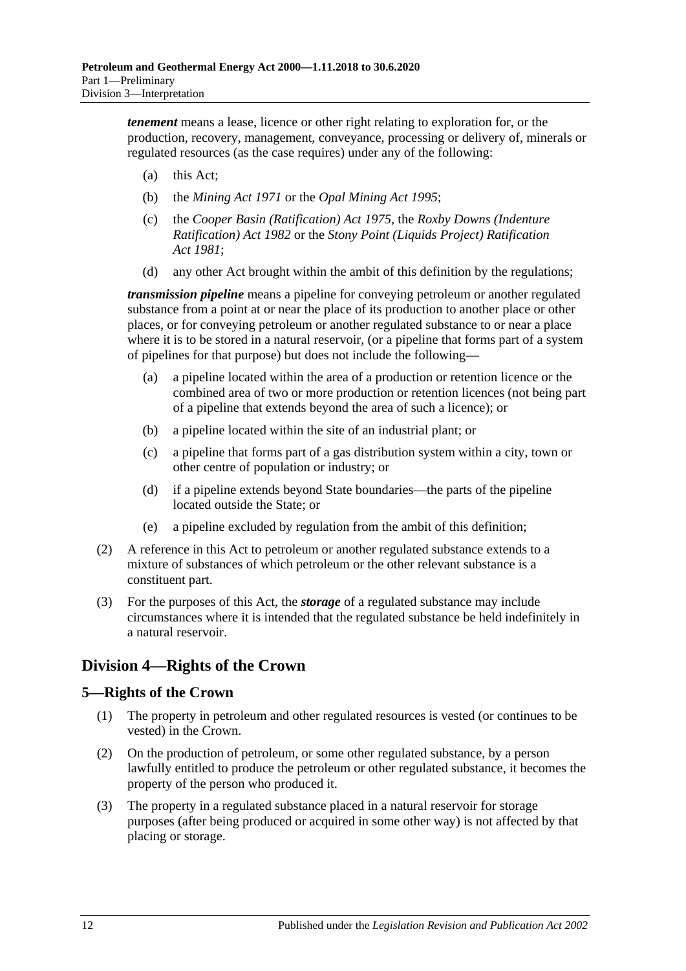*tenement* means a lease, licence or other right relating to exploration for, or the production, recovery, management, conveyance, processing or delivery of, minerals or regulated resources (as the case requires) under any of the following:

- (a) this Act;
- (b) the *[Mining Act](http://www.legislation.sa.gov.au/index.aspx?action=legref&type=act&legtitle=Mining%20Act%201971) 1971* or the *[Opal Mining Act](http://www.legislation.sa.gov.au/index.aspx?action=legref&type=act&legtitle=Opal%20Mining%20Act%201995) 1995*;
- (c) the *[Cooper Basin \(Ratification\) Act](http://www.legislation.sa.gov.au/index.aspx?action=legref&type=act&legtitle=Cooper%20Basin%20(Ratification)%20Act%201975) 1975*, the *[Roxby Downs \(Indenture](http://www.legislation.sa.gov.au/index.aspx?action=legref&type=act&legtitle=Roxby%20Downs%20(Indenture%20Ratification)%20Act%201982)  [Ratification\) Act](http://www.legislation.sa.gov.au/index.aspx?action=legref&type=act&legtitle=Roxby%20Downs%20(Indenture%20Ratification)%20Act%201982) 1982* or the *[Stony Point \(Liquids Project\) Ratification](http://www.legislation.sa.gov.au/index.aspx?action=legref&type=act&legtitle=Stony%20Point%20(Liquids%20Project)%20Ratification%20Act%201981)  Act [1981](http://www.legislation.sa.gov.au/index.aspx?action=legref&type=act&legtitle=Stony%20Point%20(Liquids%20Project)%20Ratification%20Act%201981)*;
- (d) any other Act brought within the ambit of this definition by the regulations;

*transmission pipeline* means a pipeline for conveying petroleum or another regulated substance from a point at or near the place of its production to another place or other places, or for conveying petroleum or another regulated substance to or near a place where it is to be stored in a natural reservoir, (or a pipeline that forms part of a system of pipelines for that purpose) but does not include the following—

- (a) a pipeline located within the area of a production or retention licence or the combined area of two or more production or retention licences (not being part of a pipeline that extends beyond the area of such a licence); or
- (b) a pipeline located within the site of an industrial plant; or
- (c) a pipeline that forms part of a gas distribution system within a city, town or other centre of population or industry; or
- (d) if a pipeline extends beyond State boundaries—the parts of the pipeline located outside the State; or
- (e) a pipeline excluded by regulation from the ambit of this definition;
- (2) A reference in this Act to petroleum or another regulated substance extends to a mixture of substances of which petroleum or the other relevant substance is a constituent part.
- (3) For the purposes of this Act, the *storage* of a regulated substance may include circumstances where it is intended that the regulated substance be held indefinitely in a natural reservoir.

# <span id="page-11-0"></span>**Division 4—Rights of the Crown**

# <span id="page-11-1"></span>**5—Rights of the Crown**

- (1) The property in petroleum and other regulated resources is vested (or continues to be vested) in the Crown.
- (2) On the production of petroleum, or some other regulated substance, by a person lawfully entitled to produce the petroleum or other regulated substance, it becomes the property of the person who produced it.
- (3) The property in a regulated substance placed in a natural reservoir for storage purposes (after being produced or acquired in some other way) is not affected by that placing or storage.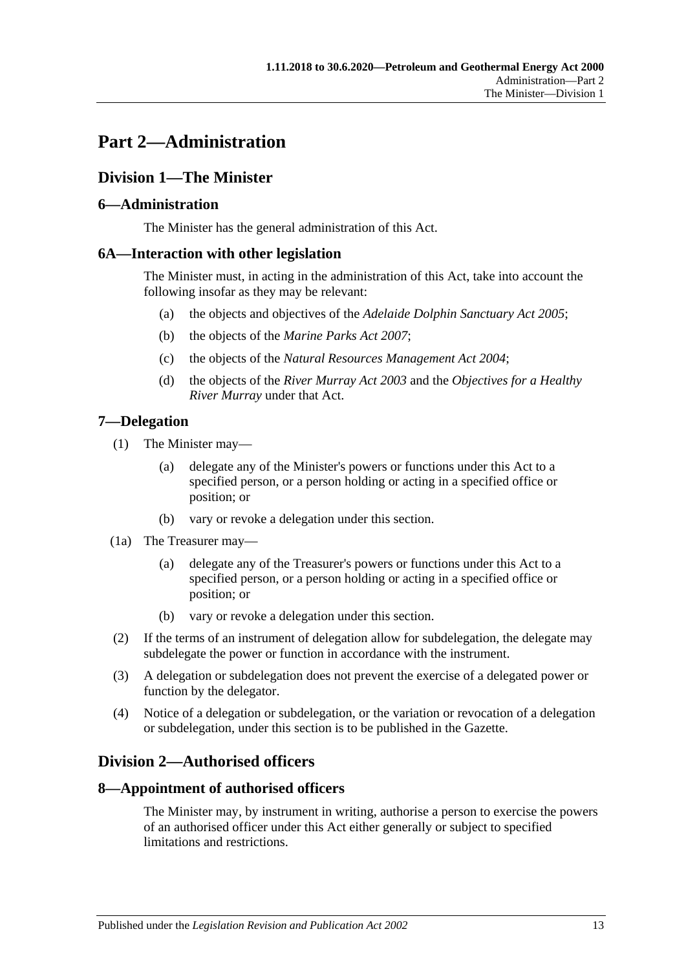# <span id="page-12-0"></span>**Part 2—Administration**

# <span id="page-12-1"></span>**Division 1—The Minister**

# <span id="page-12-2"></span>**6—Administration**

The Minister has the general administration of this Act.

# <span id="page-12-3"></span>**6A—Interaction with other legislation**

The Minister must, in acting in the administration of this Act, take into account the following insofar as they may be relevant:

- (a) the objects and objectives of the *[Adelaide Dolphin Sanctuary Act](http://www.legislation.sa.gov.au/index.aspx?action=legref&type=act&legtitle=Adelaide%20Dolphin%20Sanctuary%20Act%202005) 2005*;
- (b) the objects of the *[Marine Parks Act](http://www.legislation.sa.gov.au/index.aspx?action=legref&type=act&legtitle=Marine%20Parks%20Act%202007) 2007*;
- (c) the objects of the *[Natural Resources Management Act](http://www.legislation.sa.gov.au/index.aspx?action=legref&type=act&legtitle=Natural%20Resources%20Management%20Act%202004) 2004*;
- (d) the objects of the *[River Murray Act](http://www.legislation.sa.gov.au/index.aspx?action=legref&type=act&legtitle=River%20Murray%20Act%202003) 2003* and the *Objectives for a Healthy River Murray* under that Act.

# <span id="page-12-4"></span>**7—Delegation**

- (1) The Minister may—
	- (a) delegate any of the Minister's powers or functions under this Act to a specified person, or a person holding or acting in a specified office or position; or
	- (b) vary or revoke a delegation under this section.
- (1a) The Treasurer may—
	- (a) delegate any of the Treasurer's powers or functions under this Act to a specified person, or a person holding or acting in a specified office or position; or
	- (b) vary or revoke a delegation under this section.
- (2) If the terms of an instrument of delegation allow for subdelegation, the delegate may subdelegate the power or function in accordance with the instrument.
- (3) A delegation or subdelegation does not prevent the exercise of a delegated power or function by the delegator.
- (4) Notice of a delegation or subdelegation, or the variation or revocation of a delegation or subdelegation, under this section is to be published in the Gazette.

# <span id="page-12-5"></span>**Division 2—Authorised officers**

# <span id="page-12-6"></span>**8—Appointment of authorised officers**

The Minister may, by instrument in writing, authorise a person to exercise the powers of an authorised officer under this Act either generally or subject to specified limitations and restrictions.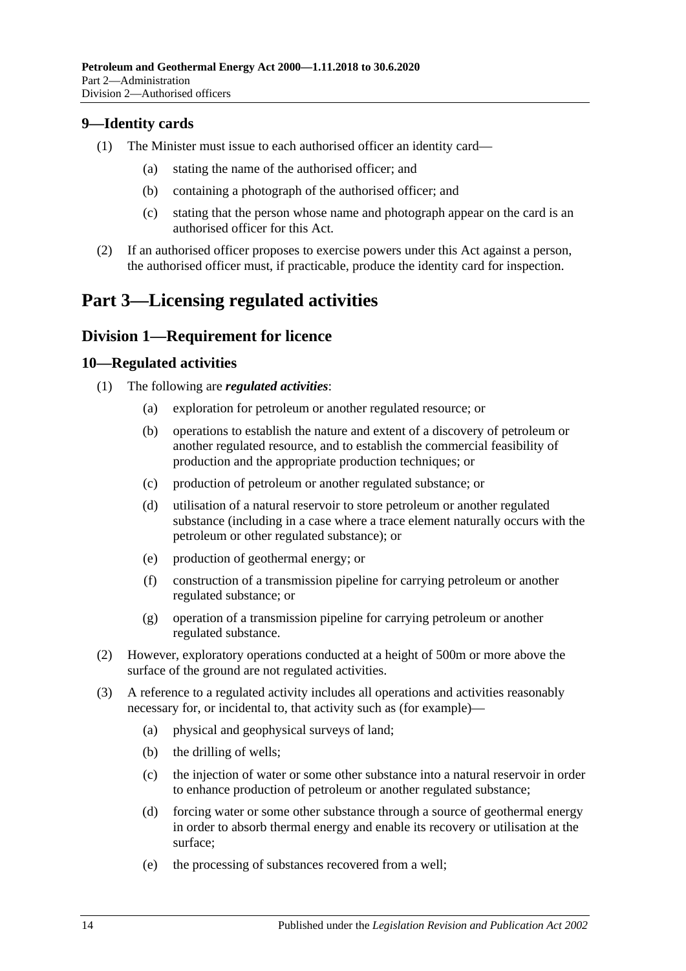# <span id="page-13-0"></span>**9—Identity cards**

- (1) The Minister must issue to each authorised officer an identity card—
	- (a) stating the name of the authorised officer; and
	- (b) containing a photograph of the authorised officer; and
	- (c) stating that the person whose name and photograph appear on the card is an authorised officer for this Act.
- (2) If an authorised officer proposes to exercise powers under this Act against a person, the authorised officer must, if practicable, produce the identity card for inspection.

# <span id="page-13-1"></span>**Part 3—Licensing regulated activities**

# <span id="page-13-2"></span>**Division 1—Requirement for licence**

#### <span id="page-13-3"></span>**10—Regulated activities**

- (1) The following are *regulated activities*:
	- (a) exploration for petroleum or another regulated resource; or
	- (b) operations to establish the nature and extent of a discovery of petroleum or another regulated resource, and to establish the commercial feasibility of production and the appropriate production techniques; or
	- (c) production of petroleum or another regulated substance; or
	- (d) utilisation of a natural reservoir to store petroleum or another regulated substance (including in a case where a trace element naturally occurs with the petroleum or other regulated substance); or
	- (e) production of geothermal energy; or
	- (f) construction of a transmission pipeline for carrying petroleum or another regulated substance; or
	- (g) operation of a transmission pipeline for carrying petroleum or another regulated substance.
- (2) However, exploratory operations conducted at a height of 500m or more above the surface of the ground are not regulated activities.
- (3) A reference to a regulated activity includes all operations and activities reasonably necessary for, or incidental to, that activity such as (for example)—
	- (a) physical and geophysical surveys of land;
	- (b) the drilling of wells;
	- (c) the injection of water or some other substance into a natural reservoir in order to enhance production of petroleum or another regulated substance;
	- (d) forcing water or some other substance through a source of geothermal energy in order to absorb thermal energy and enable its recovery or utilisation at the surface;
	- (e) the processing of substances recovered from a well;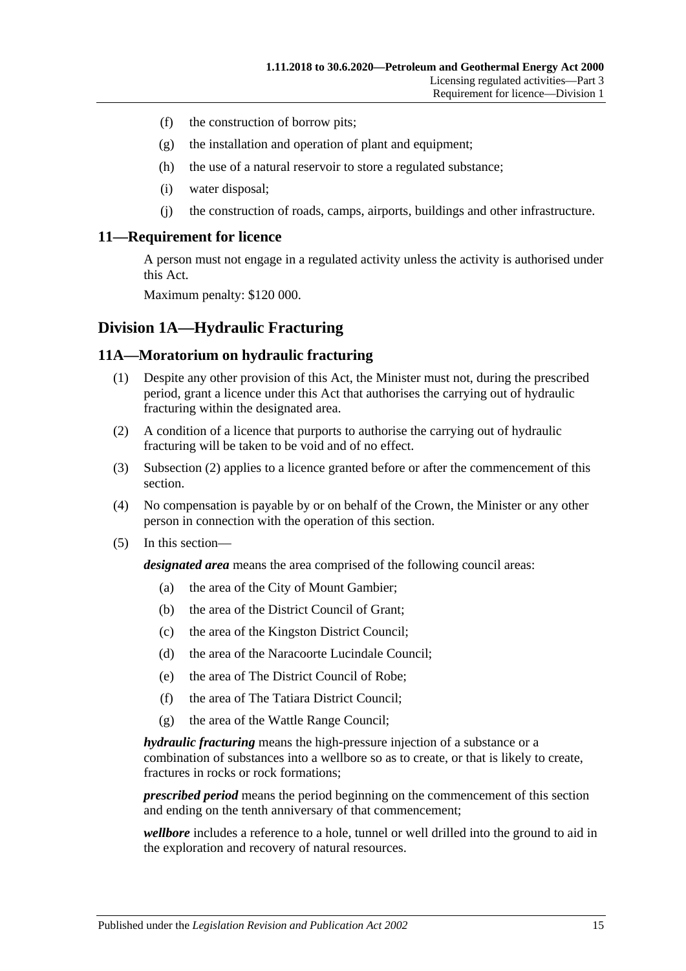- (f) the construction of borrow pits;
- (g) the installation and operation of plant and equipment;
- (h) the use of a natural reservoir to store a regulated substance;
- (i) water disposal;
- (j) the construction of roads, camps, airports, buildings and other infrastructure.

#### <span id="page-14-0"></span>**11—Requirement for licence**

A person must not engage in a regulated activity unless the activity is authorised under this Act.

Maximum penalty: \$120 000.

# <span id="page-14-1"></span>**Division 1A—Hydraulic Fracturing**

#### <span id="page-14-2"></span>**11A—Moratorium on hydraulic fracturing**

- (1) Despite any other provision of this Act, the Minister must not, during the prescribed period, grant a licence under this Act that authorises the carrying out of hydraulic fracturing within the designated area.
- <span id="page-14-3"></span>(2) A condition of a licence that purports to authorise the carrying out of hydraulic fracturing will be taken to be void and of no effect.
- (3) [Subsection](#page-14-3) (2) applies to a licence granted before or after the commencement of this section.
- (4) No compensation is payable by or on behalf of the Crown, the Minister or any other person in connection with the operation of this section.
- (5) In this section—

*designated area* means the area comprised of the following council areas:

- (a) the area of the City of Mount Gambier;
- (b) the area of the District Council of Grant;
- (c) the area of the Kingston District Council;
- (d) the area of the Naracoorte Lucindale Council;
- (e) the area of The District Council of Robe;
- (f) the area of The Tatiara District Council;
- (g) the area of the Wattle Range Council;

*hydraulic fracturing* means the high-pressure injection of a substance or a combination of substances into a wellbore so as to create, or that is likely to create, fractures in rocks or rock formations;

*prescribed period* means the period beginning on the commencement of this section and ending on the tenth anniversary of that commencement;

*wellbore* includes a reference to a hole, tunnel or well drilled into the ground to aid in the exploration and recovery of natural resources.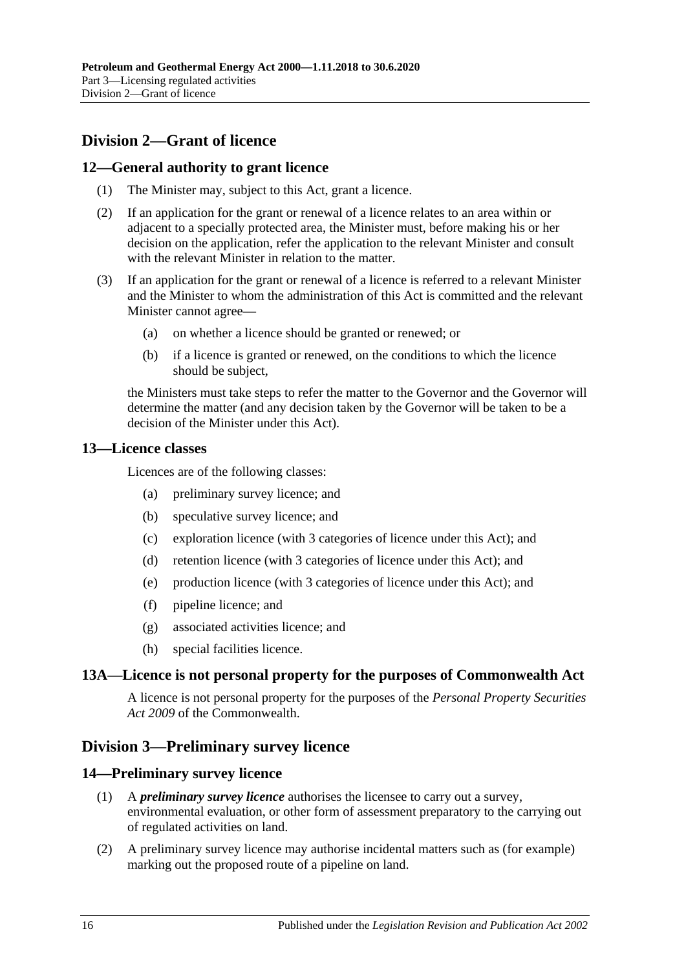# <span id="page-15-0"></span>**Division 2—Grant of licence**

# <span id="page-15-1"></span>**12—General authority to grant licence**

- (1) The Minister may, subject to this Act, grant a licence.
- (2) If an application for the grant or renewal of a licence relates to an area within or adjacent to a specially protected area, the Minister must, before making his or her decision on the application, refer the application to the relevant Minister and consult with the relevant Minister in relation to the matter.
- (3) If an application for the grant or renewal of a licence is referred to a relevant Minister and the Minister to whom the administration of this Act is committed and the relevant Minister cannot agree—
	- (a) on whether a licence should be granted or renewed; or
	- (b) if a licence is granted or renewed, on the conditions to which the licence should be subject,

the Ministers must take steps to refer the matter to the Governor and the Governor will determine the matter (and any decision taken by the Governor will be taken to be a decision of the Minister under this Act).

#### <span id="page-15-2"></span>**13—Licence classes**

Licences are of the following classes:

- (a) preliminary survey licence; and
- (b) speculative survey licence; and
- (c) exploration licence (with 3 categories of licence under this Act); and
- (d) retention licence (with 3 categories of licence under this Act); and
- (e) production licence (with 3 categories of licence under this Act); and
- (f) pipeline licence; and
- (g) associated activities licence; and
- (h) special facilities licence.

# <span id="page-15-3"></span>**13A—Licence is not personal property for the purposes of Commonwealth Act**

A licence is not personal property for the purposes of the *Personal Property Securities Act 2009* of the Commonwealth.

# <span id="page-15-4"></span>**Division 3—Preliminary survey licence**

# <span id="page-15-5"></span>**14—Preliminary survey licence**

- (1) A *preliminary survey licence* authorises the licensee to carry out a survey, environmental evaluation, or other form of assessment preparatory to the carrying out of regulated activities on land.
- (2) A preliminary survey licence may authorise incidental matters such as (for example) marking out the proposed route of a pipeline on land.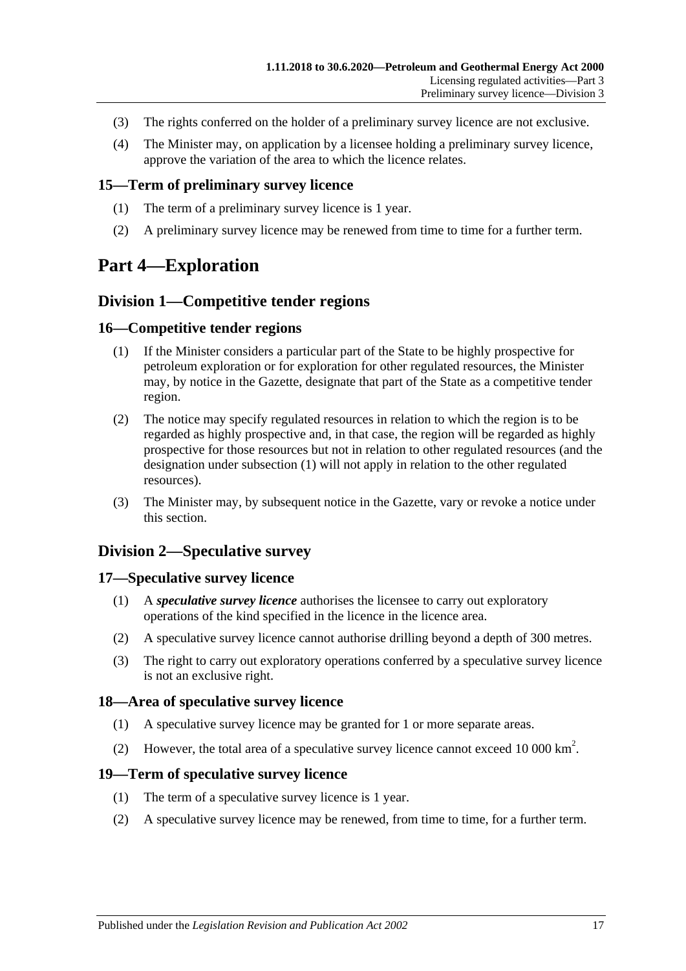- (3) The rights conferred on the holder of a preliminary survey licence are not exclusive.
- (4) The Minister may, on application by a licensee holding a preliminary survey licence, approve the variation of the area to which the licence relates.

#### <span id="page-16-0"></span>**15—Term of preliminary survey licence**

- (1) The term of a preliminary survey licence is 1 year.
- (2) A preliminary survey licence may be renewed from time to time for a further term.

# <span id="page-16-2"></span><span id="page-16-1"></span>**Part 4—Exploration**

# **Division 1—Competitive tender regions**

#### <span id="page-16-8"></span><span id="page-16-3"></span>**16—Competitive tender regions**

- (1) If the Minister considers a particular part of the State to be highly prospective for petroleum exploration or for exploration for other regulated resources, the Minister may, by notice in the Gazette, designate that part of the State as a competitive tender region.
- (2) The notice may specify regulated resources in relation to which the region is to be regarded as highly prospective and, in that case, the region will be regarded as highly prospective for those resources but not in relation to other regulated resources (and the designation under [subsection](#page-16-8) (1) will not apply in relation to the other regulated resources).
- (3) The Minister may, by subsequent notice in the Gazette, vary or revoke a notice under this section.

# <span id="page-16-4"></span>**Division 2—Speculative survey**

#### <span id="page-16-5"></span>**17—Speculative survey licence**

- (1) A *speculative survey licence* authorises the licensee to carry out exploratory operations of the kind specified in the licence in the licence area.
- (2) A speculative survey licence cannot authorise drilling beyond a depth of 300 metres.
- (3) The right to carry out exploratory operations conferred by a speculative survey licence is not an exclusive right.

# <span id="page-16-6"></span>**18—Area of speculative survey licence**

- (1) A speculative survey licence may be granted for 1 or more separate areas.
- (2) However, the total area of a speculative survey licence cannot exceed 10 000 km<sup>2</sup>.

#### <span id="page-16-7"></span>**19—Term of speculative survey licence**

- (1) The term of a speculative survey licence is 1 year.
- (2) A speculative survey licence may be renewed, from time to time, for a further term.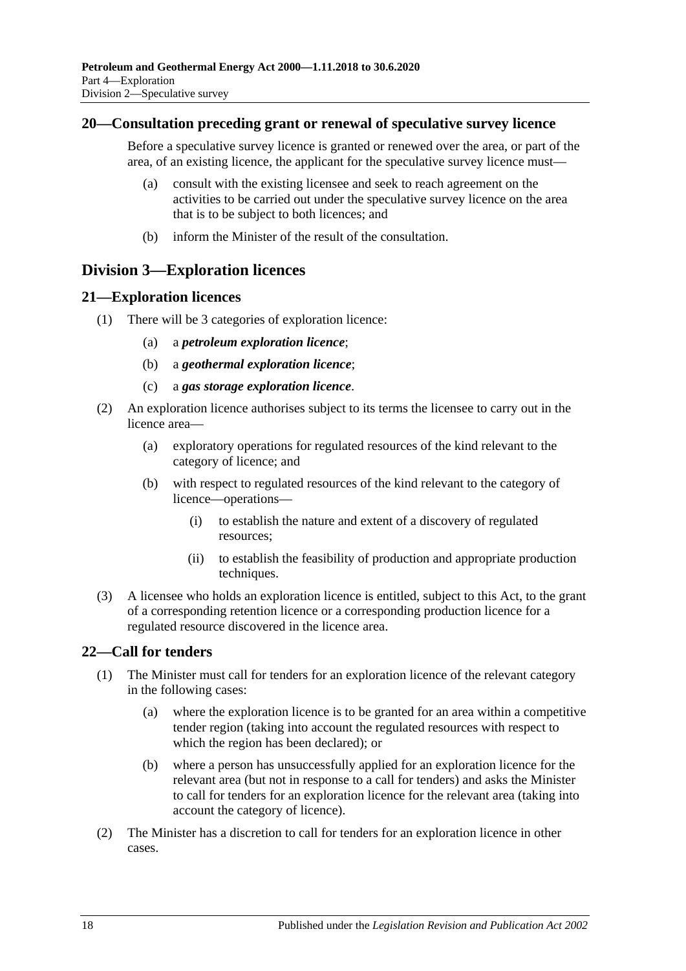### <span id="page-17-0"></span>**20—Consultation preceding grant or renewal of speculative survey licence**

Before a speculative survey licence is granted or renewed over the area, or part of the area, of an existing licence, the applicant for the speculative survey licence must—

- (a) consult with the existing licensee and seek to reach agreement on the activities to be carried out under the speculative survey licence on the area that is to be subject to both licences; and
- (b) inform the Minister of the result of the consultation.

# <span id="page-17-1"></span>**Division 3—Exploration licences**

#### <span id="page-17-2"></span>**21—Exploration licences**

- (1) There will be 3 categories of exploration licence:
	- (a) a *petroleum exploration licence*;
	- (b) a *geothermal exploration licence*;
	- (c) a *gas storage exploration licence*.
- (2) An exploration licence authorises subject to its terms the licensee to carry out in the licence area—
	- (a) exploratory operations for regulated resources of the kind relevant to the category of licence; and
	- (b) with respect to regulated resources of the kind relevant to the category of licence—operations—
		- (i) to establish the nature and extent of a discovery of regulated resources;
		- (ii) to establish the feasibility of production and appropriate production techniques.
- (3) A licensee who holds an exploration licence is entitled, subject to this Act, to the grant of a corresponding retention licence or a corresponding production licence for a regulated resource discovered in the licence area.

# <span id="page-17-3"></span>**22—Call for tenders**

- (1) The Minister must call for tenders for an exploration licence of the relevant category in the following cases:
	- (a) where the exploration licence is to be granted for an area within a competitive tender region (taking into account the regulated resources with respect to which the region has been declared); or
	- (b) where a person has unsuccessfully applied for an exploration licence for the relevant area (but not in response to a call for tenders) and asks the Minister to call for tenders for an exploration licence for the relevant area (taking into account the category of licence).
- (2) The Minister has a discretion to call for tenders for an exploration licence in other cases.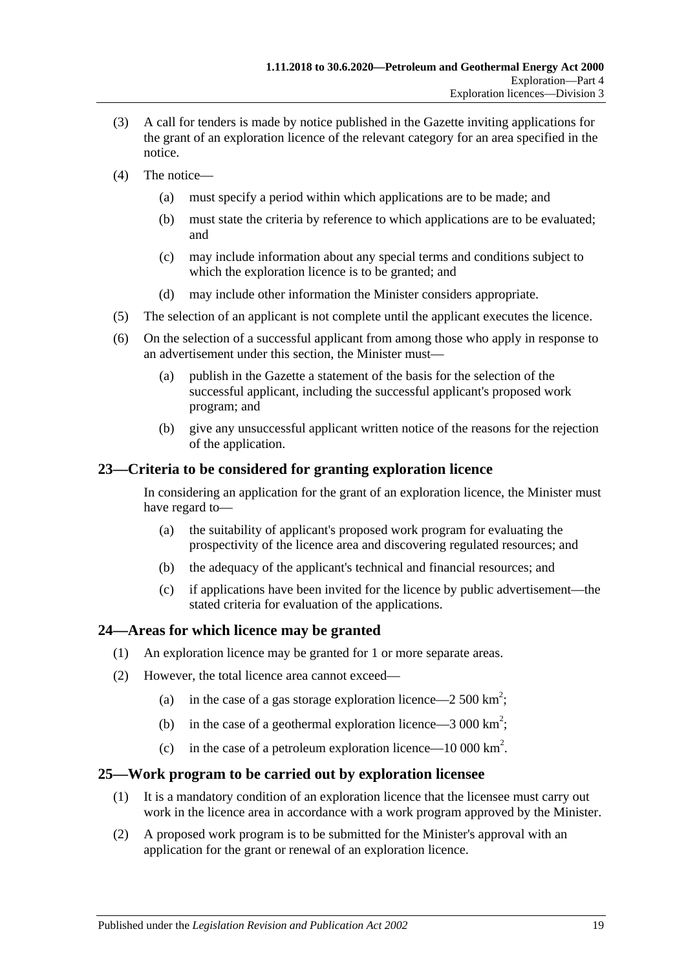- (3) A call for tenders is made by notice published in the Gazette inviting applications for the grant of an exploration licence of the relevant category for an area specified in the notice.
- (4) The notice—
	- (a) must specify a period within which applications are to be made; and
	- (b) must state the criteria by reference to which applications are to be evaluated; and
	- (c) may include information about any special terms and conditions subject to which the exploration licence is to be granted; and
	- (d) may include other information the Minister considers appropriate.
- (5) The selection of an applicant is not complete until the applicant executes the licence.
- (6) On the selection of a successful applicant from among those who apply in response to an advertisement under this section, the Minister must—
	- (a) publish in the Gazette a statement of the basis for the selection of the successful applicant, including the successful applicant's proposed work program; and
	- (b) give any unsuccessful applicant written notice of the reasons for the rejection of the application.

# <span id="page-18-0"></span>**23—Criteria to be considered for granting exploration licence**

In considering an application for the grant of an exploration licence, the Minister must have regard to—

- (a) the suitability of applicant's proposed work program for evaluating the prospectivity of the licence area and discovering regulated resources; and
- (b) the adequacy of the applicant's technical and financial resources; and
- (c) if applications have been invited for the licence by public advertisement—the stated criteria for evaluation of the applications.

# <span id="page-18-1"></span>**24—Areas for which licence may be granted**

- (1) An exploration licence may be granted for 1 or more separate areas.
- (2) However, the total licence area cannot exceed—
	- (a) in the case of a gas storage exploration licence—2 500 km<sup>2</sup>;
	- (b) in the case of a geothermal exploration licence  $-3000 \text{ km}^2$ ;
	- (c) in the case of a petroleum exploration licence—10 000 km<sup>2</sup>.

# <span id="page-18-2"></span>**25—Work program to be carried out by exploration licensee**

- (1) It is a mandatory condition of an exploration licence that the licensee must carry out work in the licence area in accordance with a work program approved by the Minister.
- (2) A proposed work program is to be submitted for the Minister's approval with an application for the grant or renewal of an exploration licence.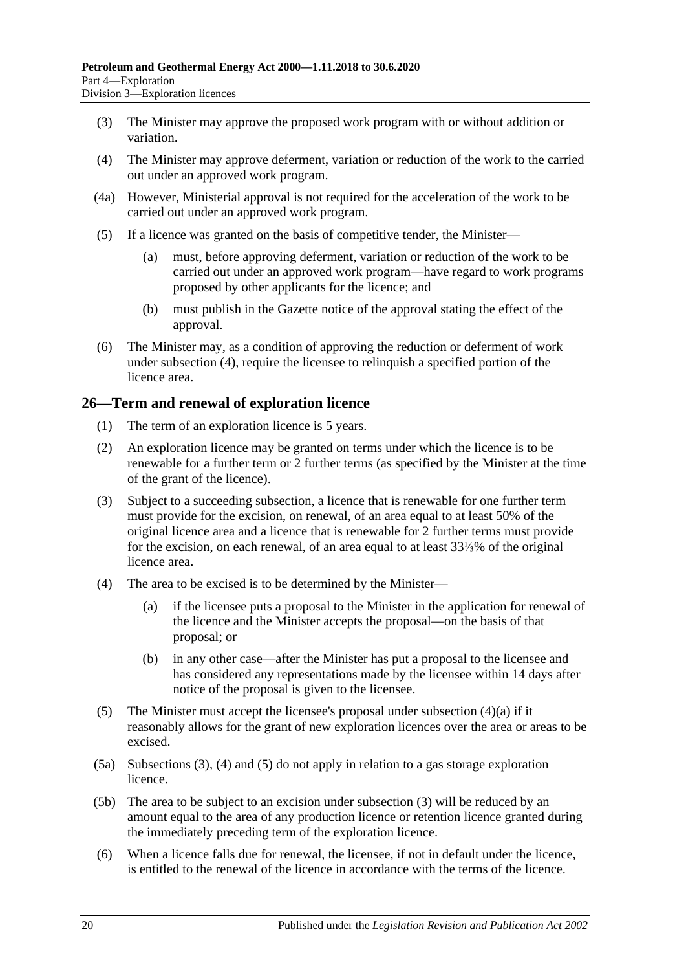- (3) The Minister may approve the proposed work program with or without addition or variation.
- <span id="page-19-1"></span>(4) The Minister may approve deferment, variation or reduction of the work to the carried out under an approved work program.
- (4a) However, Ministerial approval is not required for the acceleration of the work to be carried out under an approved work program.
- (5) If a licence was granted on the basis of competitive tender, the Minister—
	- (a) must, before approving deferment, variation or reduction of the work to be carried out under an approved work program—have regard to work programs proposed by other applicants for the licence; and
	- (b) must publish in the Gazette notice of the approval stating the effect of the approval.
- (6) The Minister may, as a condition of approving the reduction or deferment of work under [subsection](#page-19-1) (4), require the licensee to relinquish a specified portion of the licence area.

# <span id="page-19-0"></span>**26—Term and renewal of exploration licence**

- (1) The term of an exploration licence is 5 years.
- (2) An exploration licence may be granted on terms under which the licence is to be renewable for a further term or 2 further terms (as specified by the Minister at the time of the grant of the licence).
- <span id="page-19-3"></span>(3) Subject to a succeeding subsection, a licence that is renewable for one further term must provide for the excision, on renewal, of an area equal to at least 50% of the original licence area and a licence that is renewable for 2 further terms must provide for the excision, on each renewal, of an area equal to at least 33⅓% of the original licence area.
- <span id="page-19-4"></span><span id="page-19-2"></span>(4) The area to be excised is to be determined by the Minister—
	- (a) if the licensee puts a proposal to the Minister in the application for renewal of the licence and the Minister accepts the proposal—on the basis of that proposal; or
	- (b) in any other case—after the Minister has put a proposal to the licensee and has considered any representations made by the licensee within 14 days after notice of the proposal is given to the licensee.
- <span id="page-19-5"></span>(5) The Minister must accept the licensee's proposal under [subsection](#page-19-2)  $(4)(a)$  if it reasonably allows for the grant of new exploration licences over the area or areas to be excised.
- (5a) [Subsections](#page-19-3) (3), [\(4\)](#page-19-4) and [\(5\)](#page-19-5) do not apply in relation to a gas storage exploration licence.
- (5b) The area to be subject to an excision under [subsection](#page-19-3) (3) will be reduced by an amount equal to the area of any production licence or retention licence granted during the immediately preceding term of the exploration licence.
- (6) When a licence falls due for renewal, the licensee, if not in default under the licence, is entitled to the renewal of the licence in accordance with the terms of the licence.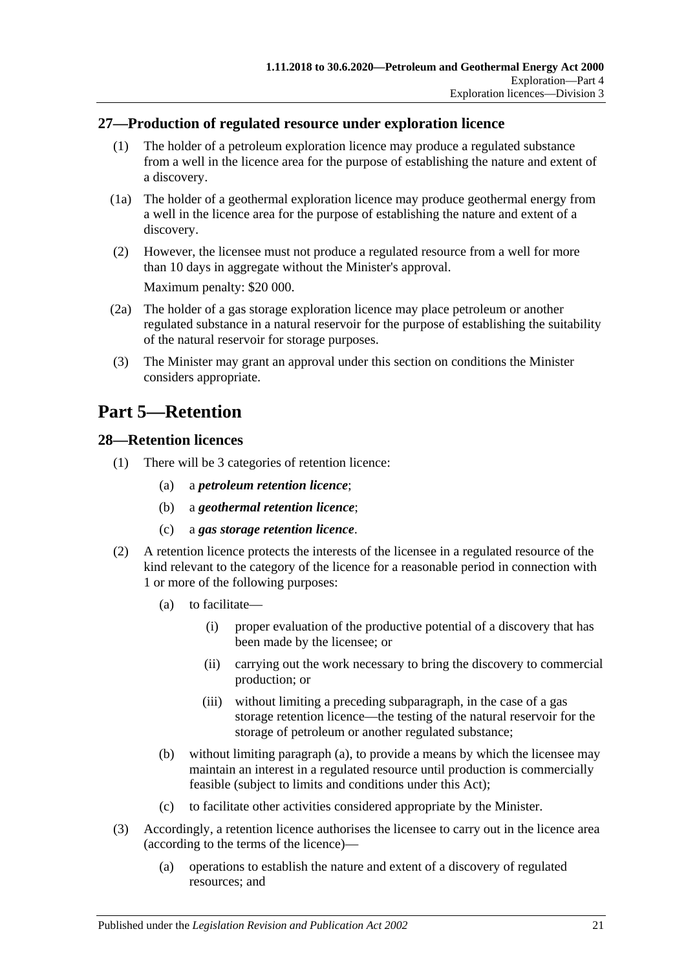# <span id="page-20-0"></span>**27—Production of regulated resource under exploration licence**

- (1) The holder of a petroleum exploration licence may produce a regulated substance from a well in the licence area for the purpose of establishing the nature and extent of a discovery.
- (1a) The holder of a geothermal exploration licence may produce geothermal energy from a well in the licence area for the purpose of establishing the nature and extent of a discovery.
- (2) However, the licensee must not produce a regulated resource from a well for more than 10 days in aggregate without the Minister's approval. Maximum penalty: \$20 000.
- (2a) The holder of a gas storage exploration licence may place petroleum or another regulated substance in a natural reservoir for the purpose of establishing the suitability of the natural reservoir for storage purposes.
- (3) The Minister may grant an approval under this section on conditions the Minister considers appropriate.

# <span id="page-20-1"></span>**Part 5—Retention**

#### <span id="page-20-2"></span>**28—Retention licences**

- (1) There will be 3 categories of retention licence:
	- (a) a *petroleum retention licence*;
	- (b) a *geothermal retention licence*;
	- (c) a *gas storage retention licence*.
- <span id="page-20-3"></span>(2) A retention licence protects the interests of the licensee in a regulated resource of the kind relevant to the category of the licence for a reasonable period in connection with 1 or more of the following purposes:
	- (a) to facilitate—
		- (i) proper evaluation of the productive potential of a discovery that has been made by the licensee; or
		- (ii) carrying out the work necessary to bring the discovery to commercial production; or
		- (iii) without limiting a preceding subparagraph, in the case of a gas storage retention licence—the testing of the natural reservoir for the storage of petroleum or another regulated substance;
	- (b) without limiting [paragraph](#page-20-3) (a), to provide a means by which the licensee may maintain an interest in a regulated resource until production is commercially feasible (subject to limits and conditions under this Act);
	- (c) to facilitate other activities considered appropriate by the Minister.
- (3) Accordingly, a retention licence authorises the licensee to carry out in the licence area (according to the terms of the licence)—
	- (a) operations to establish the nature and extent of a discovery of regulated resources; and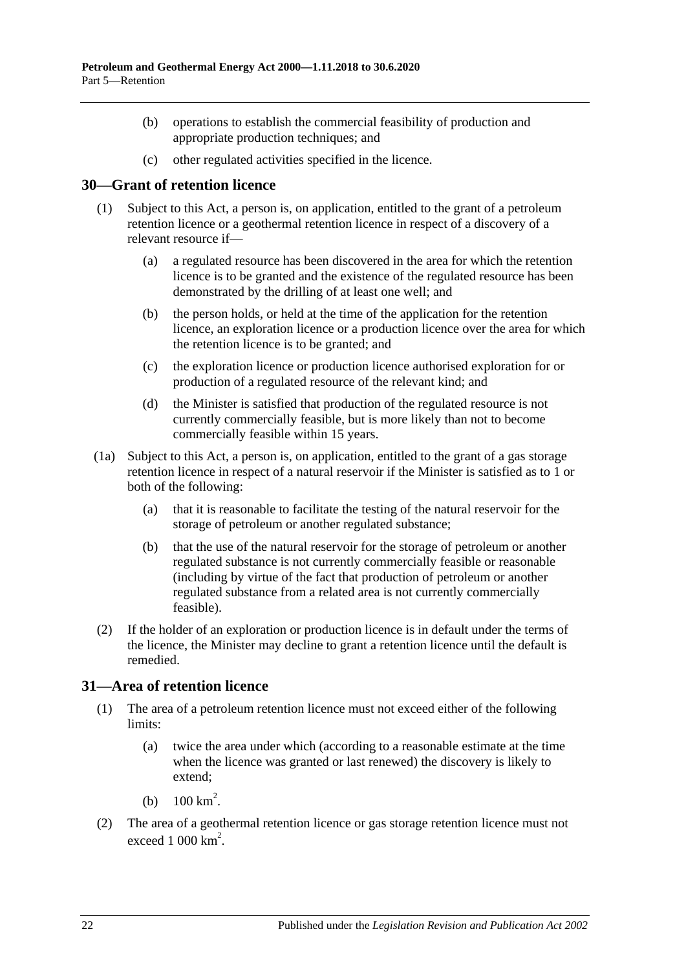- (b) operations to establish the commercial feasibility of production and appropriate production techniques; and
- (c) other regulated activities specified in the licence.

# <span id="page-21-0"></span>**30—Grant of retention licence**

- (1) Subject to this Act, a person is, on application, entitled to the grant of a petroleum retention licence or a geothermal retention licence in respect of a discovery of a relevant resource if—
	- (a) a regulated resource has been discovered in the area for which the retention licence is to be granted and the existence of the regulated resource has been demonstrated by the drilling of at least one well; and
	- (b) the person holds, or held at the time of the application for the retention licence, an exploration licence or a production licence over the area for which the retention licence is to be granted; and
	- (c) the exploration licence or production licence authorised exploration for or production of a regulated resource of the relevant kind; and
	- (d) the Minister is satisfied that production of the regulated resource is not currently commercially feasible, but is more likely than not to become commercially feasible within 15 years.
- (1a) Subject to this Act, a person is, on application, entitled to the grant of a gas storage retention licence in respect of a natural reservoir if the Minister is satisfied as to 1 or both of the following:
	- (a) that it is reasonable to facilitate the testing of the natural reservoir for the storage of petroleum or another regulated substance;
	- (b) that the use of the natural reservoir for the storage of petroleum or another regulated substance is not currently commercially feasible or reasonable (including by virtue of the fact that production of petroleum or another regulated substance from a related area is not currently commercially feasible).
- (2) If the holder of an exploration or production licence is in default under the terms of the licence, the Minister may decline to grant a retention licence until the default is remedied.

# <span id="page-21-1"></span>**31—Area of retention licence**

- (1) The area of a petroleum retention licence must not exceed either of the following limits:
	- (a) twice the area under which (according to a reasonable estimate at the time when the licence was granted or last renewed) the discovery is likely to extend;
	- (b)  $100 \text{ km}^2$ .
- (2) The area of a geothermal retention licence or gas storage retention licence must not exceed  $1000 \mathrm{km}^2$ .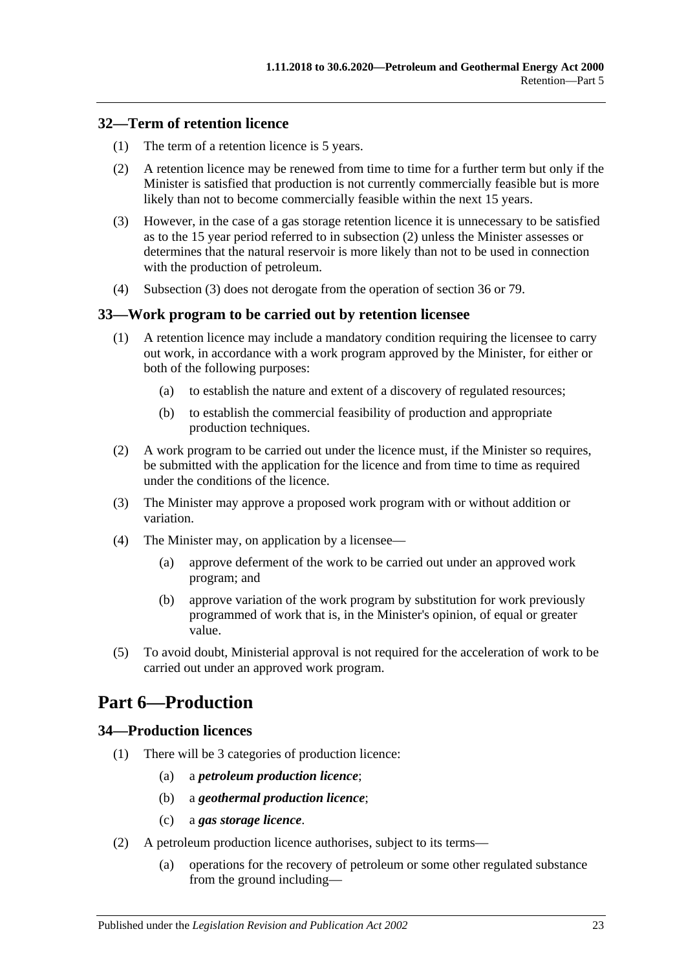# <span id="page-22-0"></span>**32—Term of retention licence**

- (1) The term of a retention licence is 5 years.
- <span id="page-22-4"></span>(2) A retention licence may be renewed from time to time for a further term but only if the Minister is satisfied that production is not currently commercially feasible but is more likely than not to become commercially feasible within the next 15 years.
- <span id="page-22-5"></span>(3) However, in the case of a gas storage retention licence it is unnecessary to be satisfied as to the 15 year period referred to in [subsection](#page-22-4) (2) unless the Minister assesses or determines that the natural reservoir is more likely than not to be used in connection with the production of petroleum.
- (4) [Subsection](#page-22-5) (3) does not derogate from the operation of [section](#page-24-0) 36 or [79.](#page-42-3)

# <span id="page-22-1"></span>**33—Work program to be carried out by retention licensee**

- (1) A retention licence may include a mandatory condition requiring the licensee to carry out work, in accordance with a work program approved by the Minister, for either or both of the following purposes:
	- (a) to establish the nature and extent of a discovery of regulated resources;
	- (b) to establish the commercial feasibility of production and appropriate production techniques.
- (2) A work program to be carried out under the licence must, if the Minister so requires, be submitted with the application for the licence and from time to time as required under the conditions of the licence.
- (3) The Minister may approve a proposed work program with or without addition or variation.
- (4) The Minister may, on application by a licensee—
	- (a) approve deferment of the work to be carried out under an approved work program; and
	- (b) approve variation of the work program by substitution for work previously programmed of work that is, in the Minister's opinion, of equal or greater value.
- (5) To avoid doubt, Ministerial approval is not required for the acceleration of work to be carried out under an approved work program.

# <span id="page-22-2"></span>**Part 6—Production**

# <span id="page-22-3"></span>**34—Production licences**

- (1) There will be 3 categories of production licence:
	- (a) a *petroleum production licence*;
	- (b) a *geothermal production licence*;
	- (c) a *gas storage licence*.
- (2) A petroleum production licence authorises, subject to its terms—
	- (a) operations for the recovery of petroleum or some other regulated substance from the ground including—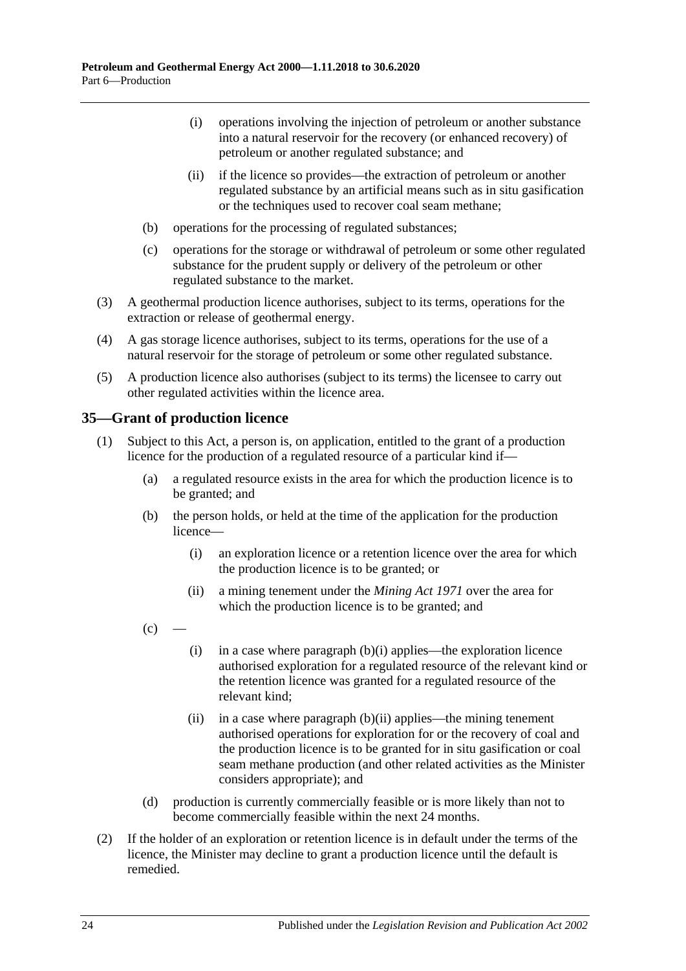- (i) operations involving the injection of petroleum or another substance into a natural reservoir for the recovery (or enhanced recovery) of petroleum or another regulated substance; and
- (ii) if the licence so provides—the extraction of petroleum or another regulated substance by an artificial means such as in situ gasification or the techniques used to recover coal seam methane;
- (b) operations for the processing of regulated substances;
- (c) operations for the storage or withdrawal of petroleum or some other regulated substance for the prudent supply or delivery of the petroleum or other regulated substance to the market.
- (3) A geothermal production licence authorises, subject to its terms, operations for the extraction or release of geothermal energy.
- (4) A gas storage licence authorises, subject to its terms, operations for the use of a natural reservoir for the storage of petroleum or some other regulated substance.
- (5) A production licence also authorises (subject to its terms) the licensee to carry out other regulated activities within the licence area.

# <span id="page-23-3"></span><span id="page-23-0"></span>**35—Grant of production licence**

- <span id="page-23-4"></span><span id="page-23-1"></span>(1) Subject to this Act, a person is, on application, entitled to the grant of a production licence for the production of a regulated resource of a particular kind if—
	- (a) a regulated resource exists in the area for which the production licence is to be granted; and
	- (b) the person holds, or held at the time of the application for the production licence—
		- (i) an exploration licence or a retention licence over the area for which the production licence is to be granted; or
		- (ii) a mining tenement under the *[Mining Act](http://www.legislation.sa.gov.au/index.aspx?action=legref&type=act&legtitle=Mining%20Act%201971) 1971* over the area for which the production licence is to be granted; and
	- $(c)$
- <span id="page-23-5"></span><span id="page-23-2"></span>(i) in a case where [paragraph](#page-23-1)  $(b)(i)$  applies—the exploration licence authorised exploration for a regulated resource of the relevant kind or the retention licence was granted for a regulated resource of the relevant kind;
- (ii) in a case where [paragraph](#page-23-2)  $(b)(ii)$  applies—the mining tenement authorised operations for exploration for or the recovery of coal and the production licence is to be granted for in situ gasification or coal seam methane production (and other related activities as the Minister considers appropriate); and
- (d) production is currently commercially feasible or is more likely than not to become commercially feasible within the next 24 months.
- (2) If the holder of an exploration or retention licence is in default under the terms of the licence, the Minister may decline to grant a production licence until the default is remedied.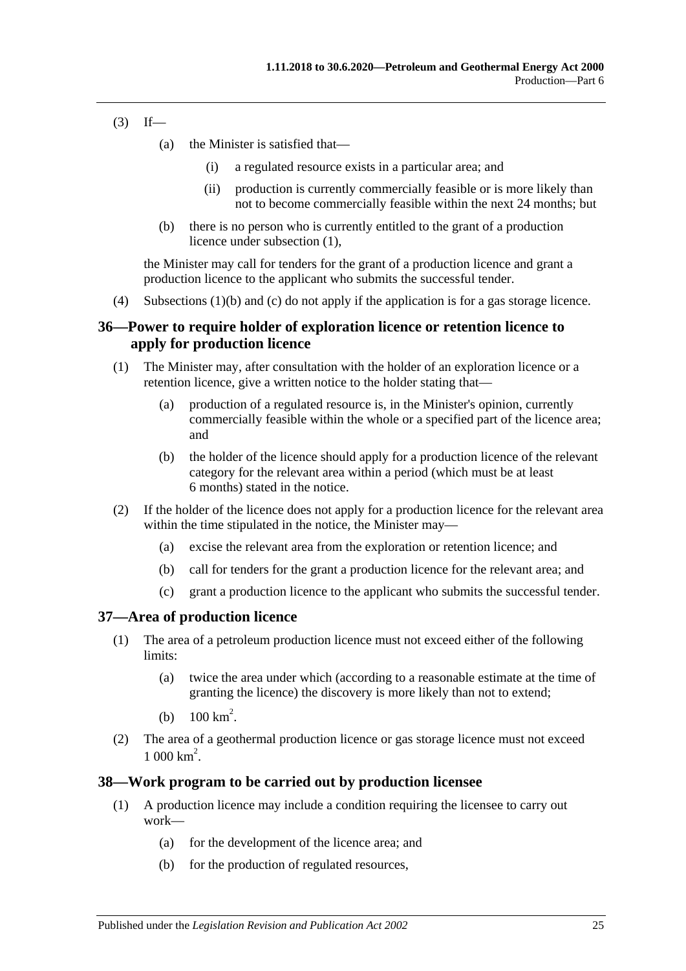- $(3)$  If—
	- (a) the Minister is satisfied that—
		- (i) a regulated resource exists in a particular area; and
		- (ii) production is currently commercially feasible or is more likely than not to become commercially feasible within the next 24 months; but
	- (b) there is no person who is currently entitled to the grant of a production licence under [subsection](#page-23-3) (1),

the Minister may call for tenders for the grant of a production licence and grant a production licence to the applicant who submits the successful tender.

(4) [Subsections](#page-23-4) (1)(b) and [\(c\)](#page-23-5) do not apply if the application is for a gas storage licence.

# <span id="page-24-0"></span>**36—Power to require holder of exploration licence or retention licence to apply for production licence**

- (1) The Minister may, after consultation with the holder of an exploration licence or a retention licence, give a written notice to the holder stating that—
	- (a) production of a regulated resource is, in the Minister's opinion, currently commercially feasible within the whole or a specified part of the licence area; and
	- (b) the holder of the licence should apply for a production licence of the relevant category for the relevant area within a period (which must be at least 6 months) stated in the notice.
- (2) If the holder of the licence does not apply for a production licence for the relevant area within the time stipulated in the notice, the Minister may—
	- (a) excise the relevant area from the exploration or retention licence; and
	- (b) call for tenders for the grant a production licence for the relevant area; and
	- (c) grant a production licence to the applicant who submits the successful tender.

# <span id="page-24-1"></span>**37—Area of production licence**

- (1) The area of a petroleum production licence must not exceed either of the following limits:
	- (a) twice the area under which (according to a reasonable estimate at the time of granting the licence) the discovery is more likely than not to extend;
	- (b)  $100 \text{ km}^2$ .
- (2) The area of a geothermal production licence or gas storage licence must not exceed  $1000 \text{ km}^2$ .

# <span id="page-24-2"></span>**38—Work program to be carried out by production licensee**

- (1) A production licence may include a condition requiring the licensee to carry out work—
	- (a) for the development of the licence area; and
	- (b) for the production of regulated resources,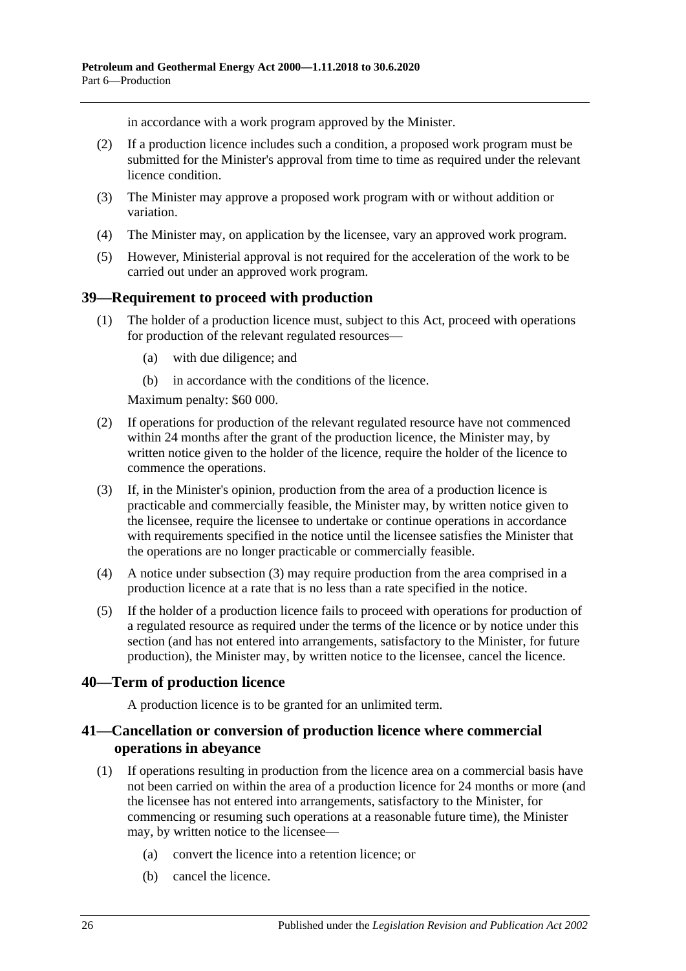in accordance with a work program approved by the Minister.

- (2) If a production licence includes such a condition, a proposed work program must be submitted for the Minister's approval from time to time as required under the relevant licence condition.
- (3) The Minister may approve a proposed work program with or without addition or variation.
- (4) The Minister may, on application by the licensee, vary an approved work program.
- (5) However, Ministerial approval is not required for the acceleration of the work to be carried out under an approved work program.

# <span id="page-25-0"></span>**39—Requirement to proceed with production**

- (1) The holder of a production licence must, subject to this Act, proceed with operations for production of the relevant regulated resources—
	- (a) with due diligence; and
	- (b) in accordance with the conditions of the licence.

Maximum penalty: \$60 000.

- (2) If operations for production of the relevant regulated resource have not commenced within 24 months after the grant of the production licence, the Minister may, by written notice given to the holder of the licence, require the holder of the licence to commence the operations.
- <span id="page-25-3"></span>(3) If, in the Minister's opinion, production from the area of a production licence is practicable and commercially feasible, the Minister may, by written notice given to the licensee, require the licensee to undertake or continue operations in accordance with requirements specified in the notice until the licensee satisfies the Minister that the operations are no longer practicable or commercially feasible.
- (4) A notice under [subsection](#page-25-3) (3) may require production from the area comprised in a production licence at a rate that is no less than a rate specified in the notice.
- (5) If the holder of a production licence fails to proceed with operations for production of a regulated resource as required under the terms of the licence or by notice under this section (and has not entered into arrangements, satisfactory to the Minister, for future production), the Minister may, by written notice to the licensee, cancel the licence.

# <span id="page-25-1"></span>**40—Term of production licence**

A production licence is to be granted for an unlimited term.

# <span id="page-25-2"></span>**41—Cancellation or conversion of production licence where commercial operations in abeyance**

- (1) If operations resulting in production from the licence area on a commercial basis have not been carried on within the area of a production licence for 24 months or more (and the licensee has not entered into arrangements, satisfactory to the Minister, for commencing or resuming such operations at a reasonable future time), the Minister may, by written notice to the licensee—
	- (a) convert the licence into a retention licence; or
	- (b) cancel the licence.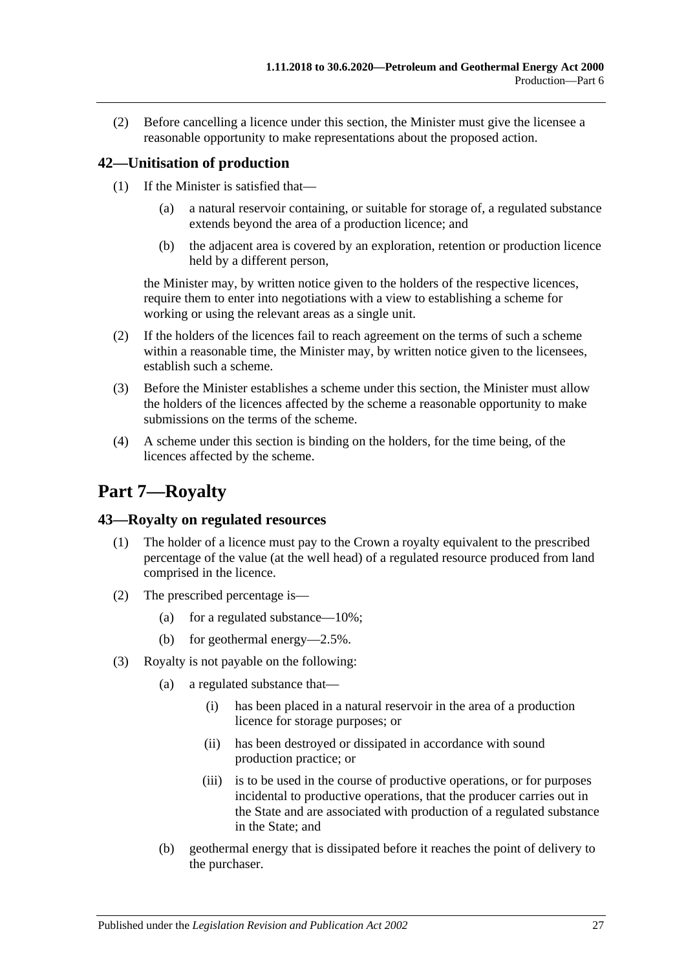(2) Before cancelling a licence under this section, the Minister must give the licensee a reasonable opportunity to make representations about the proposed action.

# <span id="page-26-0"></span>**42—Unitisation of production**

- (1) If the Minister is satisfied that—
	- (a) a natural reservoir containing, or suitable for storage of, a regulated substance extends beyond the area of a production licence; and
	- (b) the adjacent area is covered by an exploration, retention or production licence held by a different person,

the Minister may, by written notice given to the holders of the respective licences, require them to enter into negotiations with a view to establishing a scheme for working or using the relevant areas as a single unit.

- (2) If the holders of the licences fail to reach agreement on the terms of such a scheme within a reasonable time, the Minister may, by written notice given to the licensees, establish such a scheme.
- (3) Before the Minister establishes a scheme under this section, the Minister must allow the holders of the licences affected by the scheme a reasonable opportunity to make submissions on the terms of the scheme.
- (4) A scheme under this section is binding on the holders, for the time being, of the licences affected by the scheme.

# <span id="page-26-1"></span>**Part 7—Royalty**

# <span id="page-26-2"></span>**43—Royalty on regulated resources**

- (1) The holder of a licence must pay to the Crown a royalty equivalent to the prescribed percentage of the value (at the well head) of a regulated resource produced from land comprised in the licence.
- (2) The prescribed percentage is—
	- (a) for a regulated substance— $10\%$ ;
	- (b) for geothermal energy—2.5%.
- (3) Royalty is not payable on the following:
	- (a) a regulated substance that—
		- (i) has been placed in a natural reservoir in the area of a production licence for storage purposes; or
		- (ii) has been destroyed or dissipated in accordance with sound production practice; or
		- (iii) is to be used in the course of productive operations, or for purposes incidental to productive operations, that the producer carries out in the State and are associated with production of a regulated substance in the State; and
	- (b) geothermal energy that is dissipated before it reaches the point of delivery to the purchaser.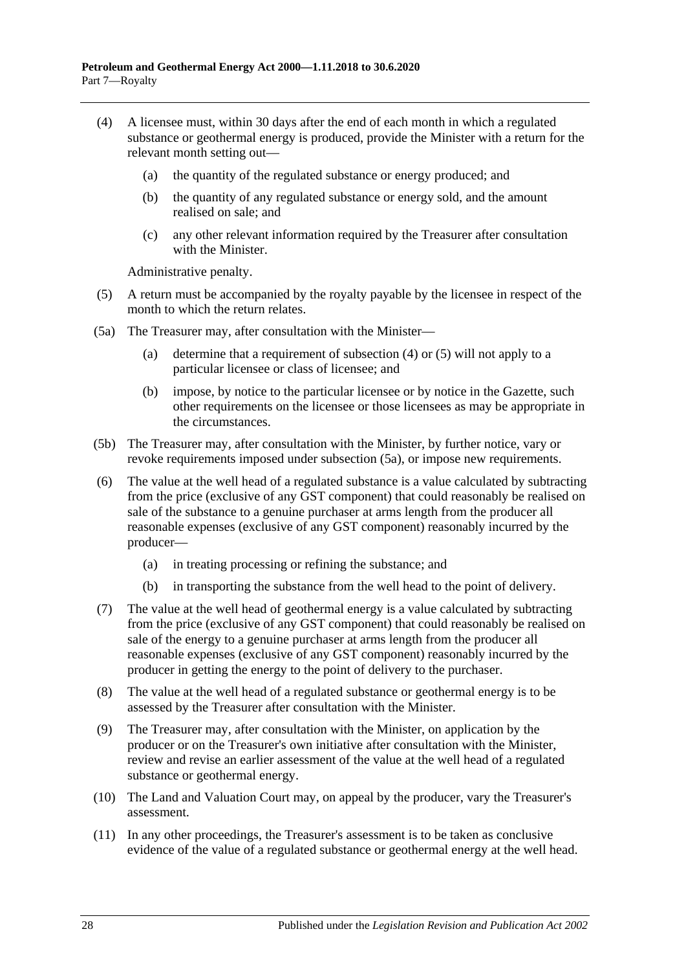- <span id="page-27-0"></span>(4) A licensee must, within 30 days after the end of each month in which a regulated substance or geothermal energy is produced, provide the Minister with a return for the relevant month setting out—
	- (a) the quantity of the regulated substance or energy produced; and
	- (b) the quantity of any regulated substance or energy sold, and the amount realised on sale; and
	- (c) any other relevant information required by the Treasurer after consultation with the Minister.

Administrative penalty.

- <span id="page-27-1"></span>(5) A return must be accompanied by the royalty payable by the licensee in respect of the month to which the return relates.
- <span id="page-27-2"></span>(5a) The Treasurer may, after consultation with the Minister—
	- (a) determine that a requirement of [subsection](#page-27-0) (4) or [\(5\)](#page-27-1) will not apply to a particular licensee or class of licensee; and
	- (b) impose, by notice to the particular licensee or by notice in the Gazette, such other requirements on the licensee or those licensees as may be appropriate in the circumstances.
- (5b) The Treasurer may, after consultation with the Minister, by further notice, vary or revoke requirements imposed under [subsection](#page-27-2) (5a), or impose new requirements.
- <span id="page-27-3"></span>(6) The value at the well head of a regulated substance is a value calculated by subtracting from the price (exclusive of any GST component) that could reasonably be realised on sale of the substance to a genuine purchaser at arms length from the producer all reasonable expenses (exclusive of any GST component) reasonably incurred by the producer—
	- (a) in treating processing or refining the substance; and
	- (b) in transporting the substance from the well head to the point of delivery.
- (7) The value at the well head of geothermal energy is a value calculated by subtracting from the price (exclusive of any GST component) that could reasonably be realised on sale of the energy to a genuine purchaser at arms length from the producer all reasonable expenses (exclusive of any GST component) reasonably incurred by the producer in getting the energy to the point of delivery to the purchaser.
- (8) The value at the well head of a regulated substance or geothermal energy is to be assessed by the Treasurer after consultation with the Minister.
- (9) The Treasurer may, after consultation with the Minister, on application by the producer or on the Treasurer's own initiative after consultation with the Minister, review and revise an earlier assessment of the value at the well head of a regulated substance or geothermal energy.
- (10) The Land and Valuation Court may, on appeal by the producer, vary the Treasurer's assessment.
- (11) In any other proceedings, the Treasurer's assessment is to be taken as conclusive evidence of the value of a regulated substance or geothermal energy at the well head.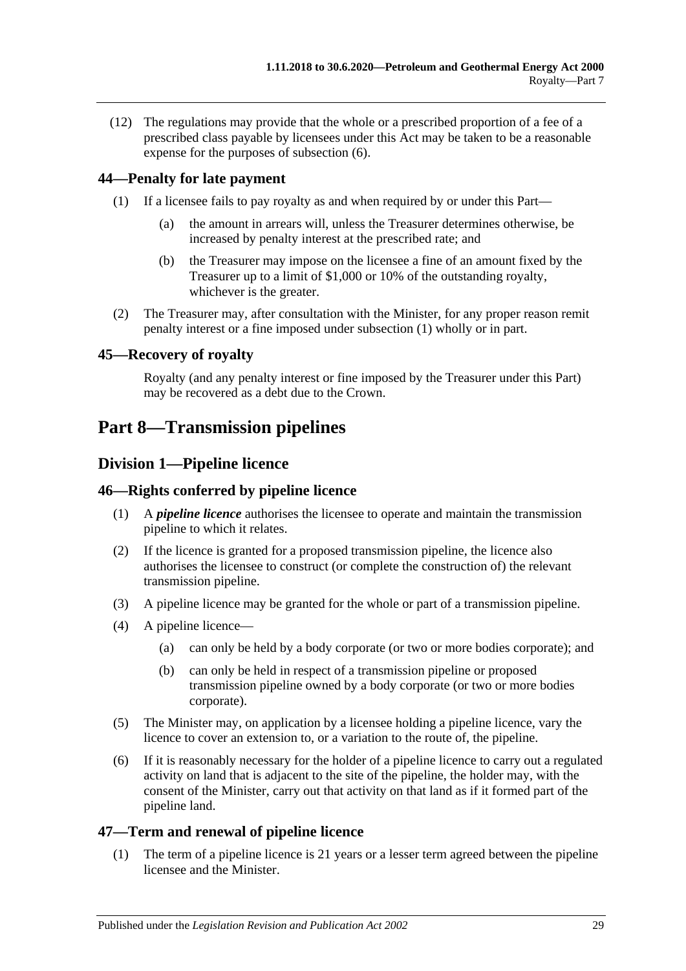(12) The regulations may provide that the whole or a prescribed proportion of a fee of a prescribed class payable by licensees under this Act may be taken to be a reasonable expense for the purposes of [subsection](#page-27-3) (6).

# <span id="page-28-6"></span><span id="page-28-0"></span>**44—Penalty for late payment**

- (1) If a licensee fails to pay royalty as and when required by or under this Part—
	- (a) the amount in arrears will, unless the Treasurer determines otherwise, be increased by penalty interest at the prescribed rate; and
	- (b) the Treasurer may impose on the licensee a fine of an amount fixed by the Treasurer up to a limit of \$1,000 or 10% of the outstanding royalty, whichever is the greater.
- (2) The Treasurer may, after consultation with the Minister, for any proper reason remit penalty interest or a fine imposed under [subsection](#page-28-6) (1) wholly or in part.

# <span id="page-28-1"></span>**45—Recovery of royalty**

Royalty (and any penalty interest or fine imposed by the Treasurer under this Part) may be recovered as a debt due to the Crown.

# <span id="page-28-3"></span><span id="page-28-2"></span>**Part 8—Transmission pipelines**

# **Division 1—Pipeline licence**

# <span id="page-28-4"></span>**46—Rights conferred by pipeline licence**

- (1) A *pipeline licence* authorises the licensee to operate and maintain the transmission pipeline to which it relates.
- (2) If the licence is granted for a proposed transmission pipeline, the licence also authorises the licensee to construct (or complete the construction of) the relevant transmission pipeline.
- (3) A pipeline licence may be granted for the whole or part of a transmission pipeline.
- (4) A pipeline licence—
	- (a) can only be held by a body corporate (or two or more bodies corporate); and
	- (b) can only be held in respect of a transmission pipeline or proposed transmission pipeline owned by a body corporate (or two or more bodies corporate).
- (5) The Minister may, on application by a licensee holding a pipeline licence, vary the licence to cover an extension to, or a variation to the route of, the pipeline.
- (6) If it is reasonably necessary for the holder of a pipeline licence to carry out a regulated activity on land that is adjacent to the site of the pipeline, the holder may, with the consent of the Minister, carry out that activity on that land as if it formed part of the pipeline land.

# <span id="page-28-5"></span>**47—Term and renewal of pipeline licence**

(1) The term of a pipeline licence is 21 years or a lesser term agreed between the pipeline licensee and the Minister.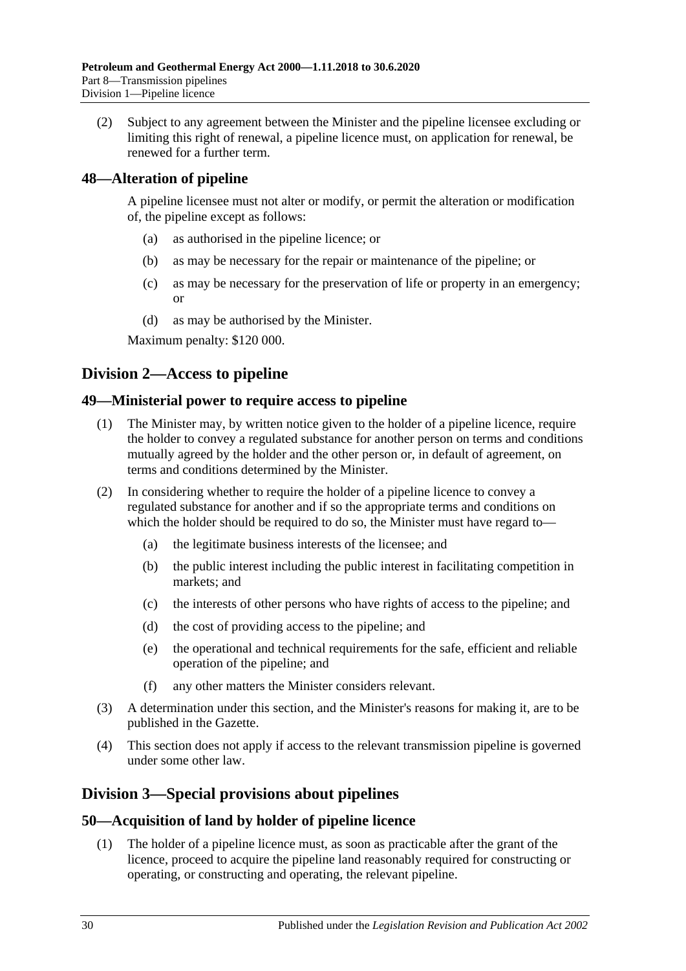(2) Subject to any agreement between the Minister and the pipeline licensee excluding or limiting this right of renewal, a pipeline licence must, on application for renewal, be renewed for a further term.

# <span id="page-29-0"></span>**48—Alteration of pipeline**

A pipeline licensee must not alter or modify, or permit the alteration or modification of, the pipeline except as follows:

- (a) as authorised in the pipeline licence; or
- (b) as may be necessary for the repair or maintenance of the pipeline; or
- (c) as may be necessary for the preservation of life or property in an emergency; or
- (d) as may be authorised by the Minister.

Maximum penalty: \$120 000.

# <span id="page-29-1"></span>**Division 2—Access to pipeline**

#### <span id="page-29-2"></span>**49—Ministerial power to require access to pipeline**

- (1) The Minister may, by written notice given to the holder of a pipeline licence, require the holder to convey a regulated substance for another person on terms and conditions mutually agreed by the holder and the other person or, in default of agreement, on terms and conditions determined by the Minister.
- (2) In considering whether to require the holder of a pipeline licence to convey a regulated substance for another and if so the appropriate terms and conditions on which the holder should be required to do so, the Minister must have regard to—
	- (a) the legitimate business interests of the licensee; and
	- (b) the public interest including the public interest in facilitating competition in markets; and
	- (c) the interests of other persons who have rights of access to the pipeline; and
	- (d) the cost of providing access to the pipeline; and
	- (e) the operational and technical requirements for the safe, efficient and reliable operation of the pipeline; and
	- (f) any other matters the Minister considers relevant.
- (3) A determination under this section, and the Minister's reasons for making it, are to be published in the Gazette.
- (4) This section does not apply if access to the relevant transmission pipeline is governed under some other law.

# <span id="page-29-3"></span>**Division 3—Special provisions about pipelines**

# <span id="page-29-4"></span>**50—Acquisition of land by holder of pipeline licence**

(1) The holder of a pipeline licence must, as soon as practicable after the grant of the licence, proceed to acquire the pipeline land reasonably required for constructing or operating, or constructing and operating, the relevant pipeline.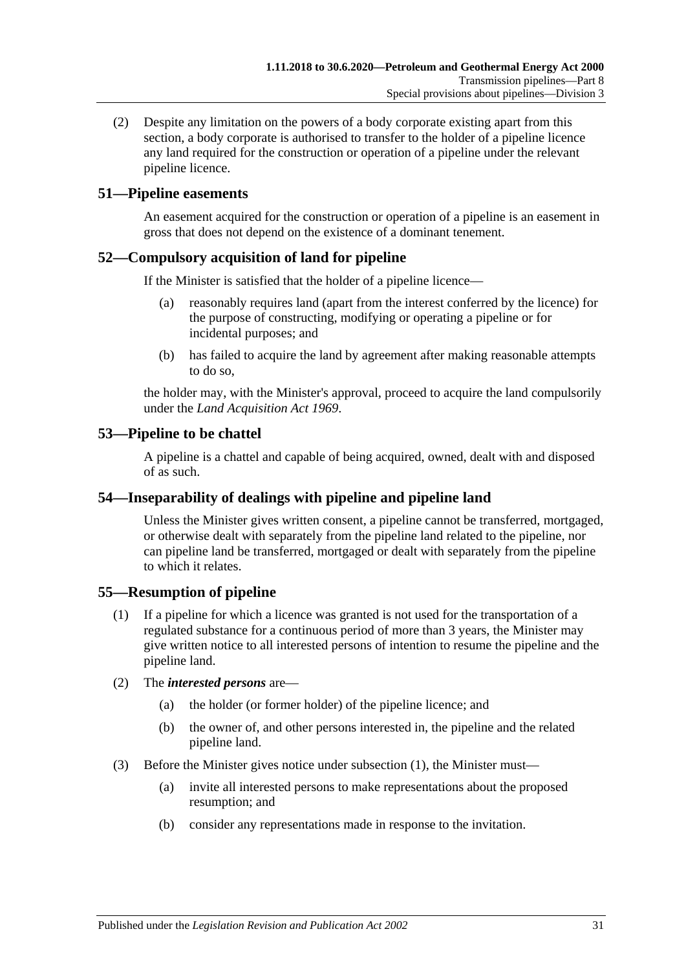(2) Despite any limitation on the powers of a body corporate existing apart from this section, a body corporate is authorised to transfer to the holder of a pipeline licence any land required for the construction or operation of a pipeline under the relevant pipeline licence.

# <span id="page-30-0"></span>**51—Pipeline easements**

An easement acquired for the construction or operation of a pipeline is an easement in gross that does not depend on the existence of a dominant tenement.

# <span id="page-30-1"></span>**52—Compulsory acquisition of land for pipeline**

If the Minister is satisfied that the holder of a pipeline licence—

- (a) reasonably requires land (apart from the interest conferred by the licence) for the purpose of constructing, modifying or operating a pipeline or for incidental purposes; and
- (b) has failed to acquire the land by agreement after making reasonable attempts to do so,

the holder may, with the Minister's approval, proceed to acquire the land compulsorily under the *[Land Acquisition Act](http://www.legislation.sa.gov.au/index.aspx?action=legref&type=act&legtitle=Land%20Acquisition%20Act%201969) 1969*.

# <span id="page-30-2"></span>**53—Pipeline to be chattel**

A pipeline is a chattel and capable of being acquired, owned, dealt with and disposed of as such.

# <span id="page-30-3"></span>**54—Inseparability of dealings with pipeline and pipeline land**

Unless the Minister gives written consent, a pipeline cannot be transferred, mortgaged, or otherwise dealt with separately from the pipeline land related to the pipeline, nor can pipeline land be transferred, mortgaged or dealt with separately from the pipeline to which it relates.

# <span id="page-30-5"></span><span id="page-30-4"></span>**55—Resumption of pipeline**

- (1) If a pipeline for which a licence was granted is not used for the transportation of a regulated substance for a continuous period of more than 3 years, the Minister may give written notice to all interested persons of intention to resume the pipeline and the pipeline land.
- (2) The *interested persons* are—
	- (a) the holder (or former holder) of the pipeline licence; and
	- (b) the owner of, and other persons interested in, the pipeline and the related pipeline land.
- (3) Before the Minister gives notice under [subsection](#page-30-5) (1), the Minister must—
	- (a) invite all interested persons to make representations about the proposed resumption; and
	- (b) consider any representations made in response to the invitation.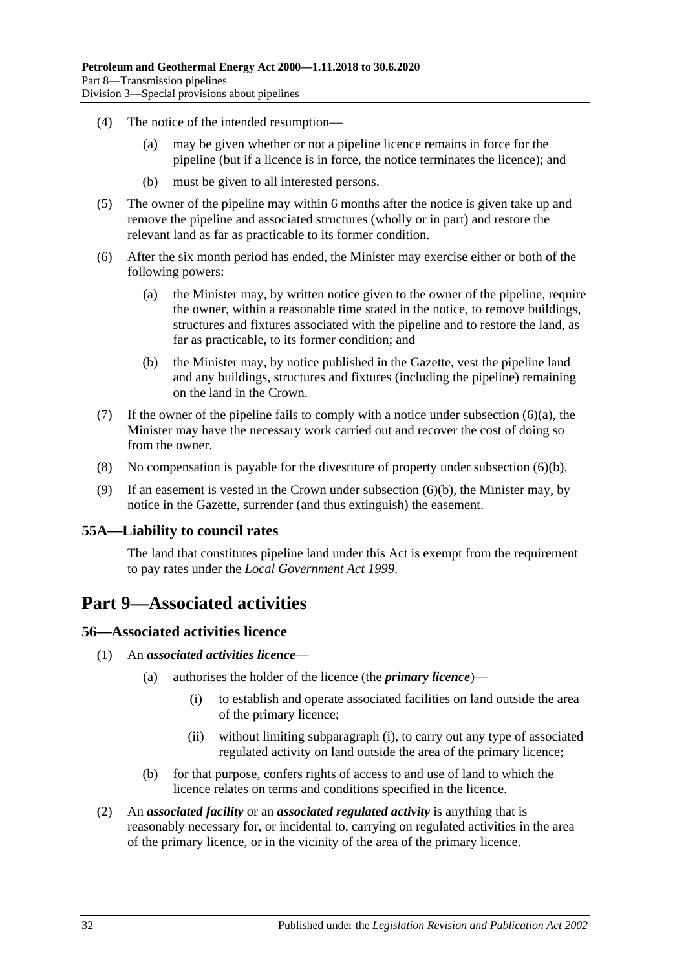- (4) The notice of the intended resumption—
	- (a) may be given whether or not a pipeline licence remains in force for the pipeline (but if a licence is in force, the notice terminates the licence); and
	- (b) must be given to all interested persons.
- (5) The owner of the pipeline may within 6 months after the notice is given take up and remove the pipeline and associated structures (wholly or in part) and restore the relevant land as far as practicable to its former condition.
- <span id="page-31-4"></span>(6) After the six month period has ended, the Minister may exercise either or both of the following powers:
	- (a) the Minister may, by written notice given to the owner of the pipeline, require the owner, within a reasonable time stated in the notice, to remove buildings, structures and fixtures associated with the pipeline and to restore the land, as far as practicable, to its former condition; and
	- (b) the Minister may, by notice published in the Gazette, vest the pipeline land and any buildings, structures and fixtures (including the pipeline) remaining on the land in the Crown.
- <span id="page-31-5"></span>(7) If the owner of the pipeline fails to comply with a notice under [subsection](#page-31-4)  $(6)(a)$ , the Minister may have the necessary work carried out and recover the cost of doing so from the owner.
- (8) No compensation is payable for the divestiture of property under [subsection](#page-31-5) (6)(b).
- (9) If an easement is vested in the Crown under [subsection](#page-31-5) (6)(b), the Minister may, by notice in the Gazette, surrender (and thus extinguish) the easement.

#### <span id="page-31-0"></span>**55A—Liability to council rates**

The land that constitutes pipeline land under this Act is exempt from the requirement to pay rates under the *[Local Government Act](http://www.legislation.sa.gov.au/index.aspx?action=legref&type=act&legtitle=Local%20Government%20Act%201999) 1999*.

# <span id="page-31-1"></span>**Part 9—Associated activities**

#### <span id="page-31-2"></span>**56—Associated activities licence**

- <span id="page-31-6"></span>(1) An *associated activities licence*—
	- (a) authorises the holder of the licence (the *primary licence*)—
		- (i) to establish and operate associated facilities on land outside the area of the primary licence;
		- (ii) without limiting [subparagraph](#page-31-6) (i), to carry out any type of associated regulated activity on land outside the area of the primary licence;
	- (b) for that purpose, confers rights of access to and use of land to which the licence relates on terms and conditions specified in the licence.
- <span id="page-31-3"></span>(2) An *associated facility* or an *associated regulated activity* is anything that is reasonably necessary for, or incidental to, carrying on regulated activities in the area of the primary licence, or in the vicinity of the area of the primary licence.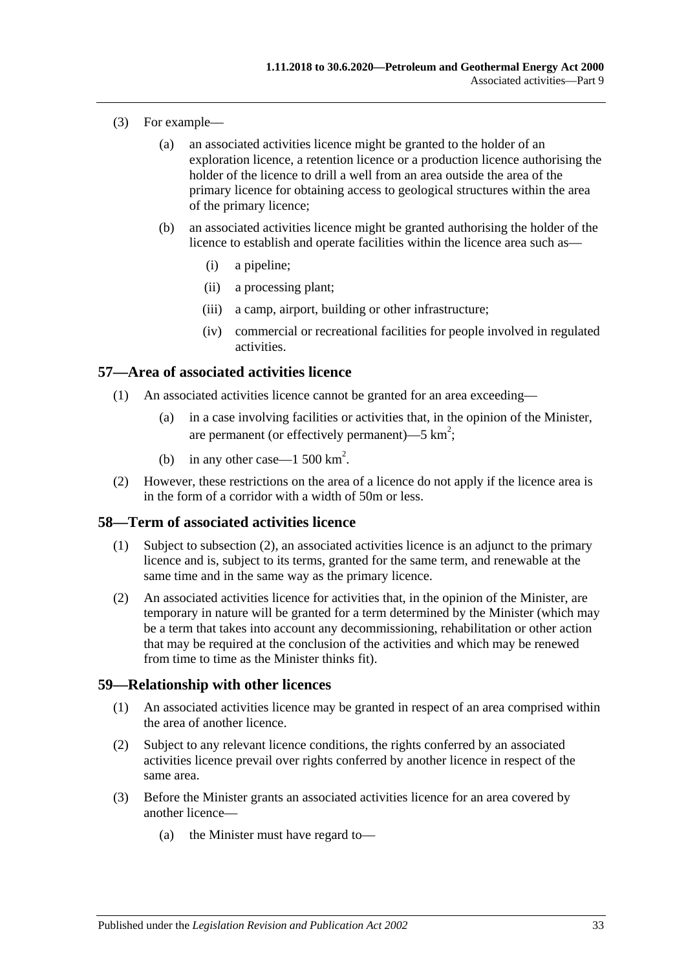- (3) For example—
	- (a) an associated activities licence might be granted to the holder of an exploration licence, a retention licence or a production licence authorising the holder of the licence to drill a well from an area outside the area of the primary licence for obtaining access to geological structures within the area of the primary licence;
	- (b) an associated activities licence might be granted authorising the holder of the licence to establish and operate facilities within the licence area such as—
		- (i) a pipeline;
		- (ii) a processing plant;
		- (iii) a camp, airport, building or other infrastructure;
		- (iv) commercial or recreational facilities for people involved in regulated activities.

### <span id="page-32-0"></span>**57—Area of associated activities licence**

- (1) An associated activities licence cannot be granted for an area exceeding—
	- (a) in a case involving facilities or activities that, in the opinion of the Minister, are permanent (or effectively permanent)—5  $km^2$ ;
	- (b) in any other case—1 500  $\text{km}^2$ .
- (2) However, these restrictions on the area of a licence do not apply if the licence area is in the form of a corridor with a width of 50m or less.

#### <span id="page-32-1"></span>**58—Term of associated activities licence**

- (1) Subject to [subsection](#page-32-3) (2), an associated activities licence is an adjunct to the primary licence and is, subject to its terms, granted for the same term, and renewable at the same time and in the same way as the primary licence.
- <span id="page-32-3"></span>(2) An associated activities licence for activities that, in the opinion of the Minister, are temporary in nature will be granted for a term determined by the Minister (which may be a term that takes into account any decommissioning, rehabilitation or other action that may be required at the conclusion of the activities and which may be renewed from time to time as the Minister thinks fit).

#### <span id="page-32-2"></span>**59—Relationship with other licences**

- (1) An associated activities licence may be granted in respect of an area comprised within the area of another licence.
- (2) Subject to any relevant licence conditions, the rights conferred by an associated activities licence prevail over rights conferred by another licence in respect of the same area.
- <span id="page-32-4"></span>(3) Before the Minister grants an associated activities licence for an area covered by another licence—
	- (a) the Minister must have regard to—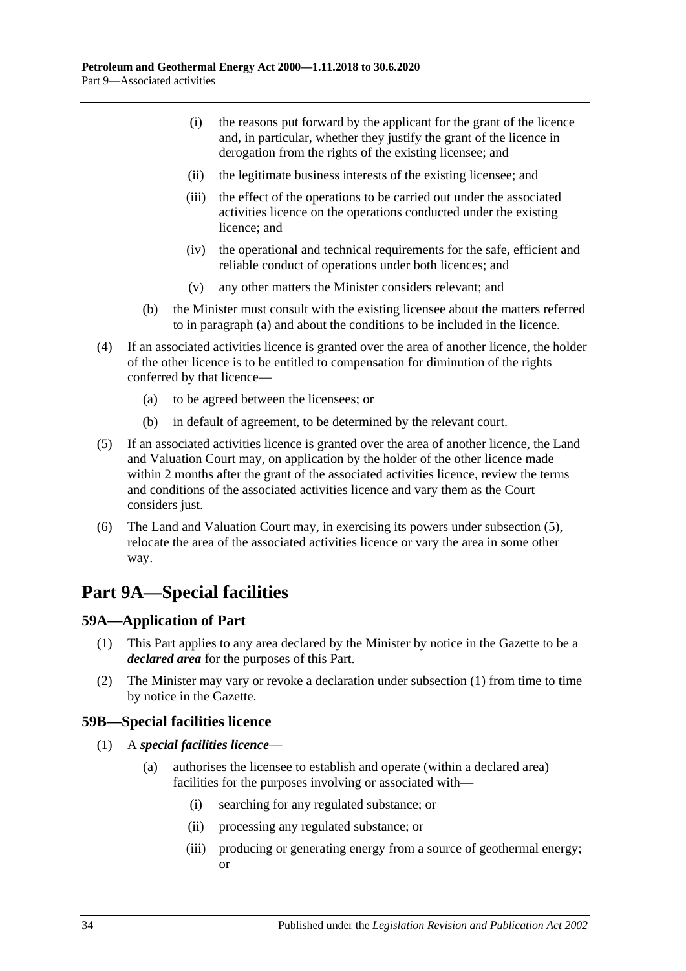- (i) the reasons put forward by the applicant for the grant of the licence and, in particular, whether they justify the grant of the licence in derogation from the rights of the existing licensee; and
- (ii) the legitimate business interests of the existing licensee; and
- (iii) the effect of the operations to be carried out under the associated activities licence on the operations conducted under the existing licence; and
- (iv) the operational and technical requirements for the safe, efficient and reliable conduct of operations under both licences; and
- (v) any other matters the Minister considers relevant; and
- (b) the Minister must consult with the existing licensee about the matters referred to in [paragraph](#page-32-4) (a) and about the conditions to be included in the licence.
- (4) If an associated activities licence is granted over the area of another licence, the holder of the other licence is to be entitled to compensation for diminution of the rights conferred by that licence—
	- (a) to be agreed between the licensees; or
	- (b) in default of agreement, to be determined by the relevant court.
- <span id="page-33-3"></span>(5) If an associated activities licence is granted over the area of another licence, the Land and Valuation Court may, on application by the holder of the other licence made within 2 months after the grant of the associated activities licence, review the terms and conditions of the associated activities licence and vary them as the Court considers just.
- (6) The Land and Valuation Court may, in exercising its powers under [subsection](#page-33-3) (5), relocate the area of the associated activities licence or vary the area in some other way.

# <span id="page-33-0"></span>**Part 9A—Special facilities**

# <span id="page-33-4"></span><span id="page-33-1"></span>**59A—Application of Part**

- (1) This Part applies to any area declared by the Minister by notice in the Gazette to be a *declared area* for the purposes of this Part.
- (2) The Minister may vary or revoke a declaration under [subsection](#page-33-4) (1) from time to time by notice in the Gazette.

# <span id="page-33-2"></span>**59B—Special facilities licence**

- (1) A *special facilities licence*
	- (a) authorises the licensee to establish and operate (within a declared area) facilities for the purposes involving or associated with—
		- (i) searching for any regulated substance; or
		- (ii) processing any regulated substance; or
		- (iii) producing or generating energy from a source of geothermal energy; or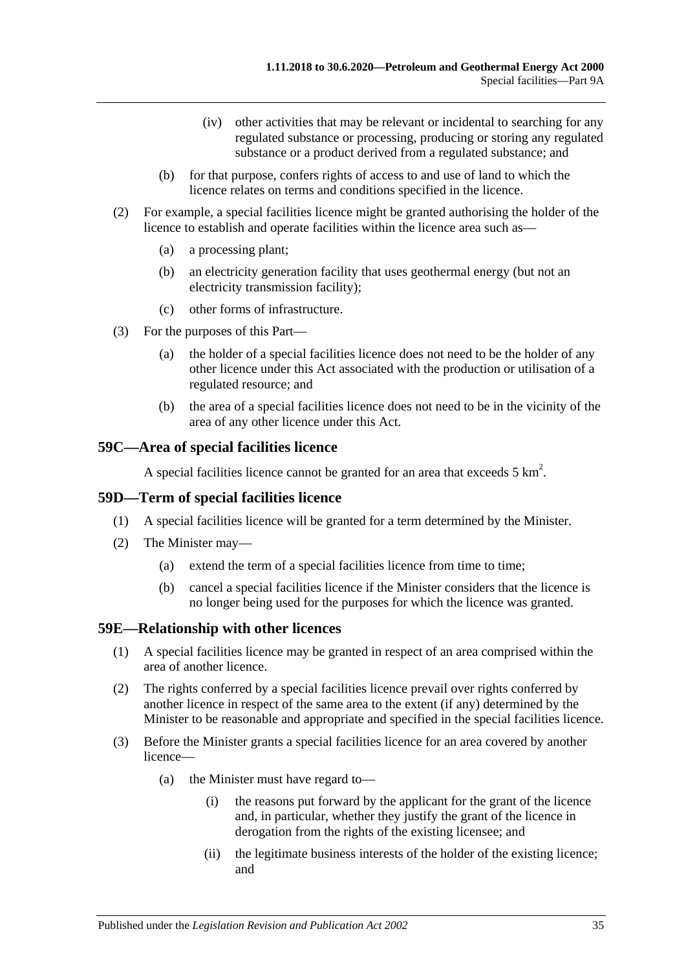- (iv) other activities that may be relevant or incidental to searching for any regulated substance or processing, producing or storing any regulated substance or a product derived from a regulated substance; and
- (b) for that purpose, confers rights of access to and use of land to which the licence relates on terms and conditions specified in the licence.
- (2) For example, a special facilities licence might be granted authorising the holder of the licence to establish and operate facilities within the licence area such as—
	- (a) a processing plant;
	- (b) an electricity generation facility that uses geothermal energy (but not an electricity transmission facility);
	- (c) other forms of infrastructure.
- (3) For the purposes of this Part—
	- (a) the holder of a special facilities licence does not need to be the holder of any other licence under this Act associated with the production or utilisation of a regulated resource; and
	- (b) the area of a special facilities licence does not need to be in the vicinity of the area of any other licence under this Act.

# <span id="page-34-0"></span>**59C—Area of special facilities licence**

A special facilities licence cannot be granted for an area that exceeds  $5 \text{ km}^2$ .

# <span id="page-34-1"></span>**59D—Term of special facilities licence**

- (1) A special facilities licence will be granted for a term determined by the Minister.
- (2) The Minister may—
	- (a) extend the term of a special facilities licence from time to time;
	- (b) cancel a special facilities licence if the Minister considers that the licence is no longer being used for the purposes for which the licence was granted.

# <span id="page-34-2"></span>**59E—Relationship with other licences**

- (1) A special facilities licence may be granted in respect of an area comprised within the area of another licence.
- (2) The rights conferred by a special facilities licence prevail over rights conferred by another licence in respect of the same area to the extent (if any) determined by the Minister to be reasonable and appropriate and specified in the special facilities licence.
- <span id="page-34-3"></span>(3) Before the Minister grants a special facilities licence for an area covered by another licence—
	- (a) the Minister must have regard to—
		- (i) the reasons put forward by the applicant for the grant of the licence and, in particular, whether they justify the grant of the licence in derogation from the rights of the existing licensee; and
		- (ii) the legitimate business interests of the holder of the existing licence; and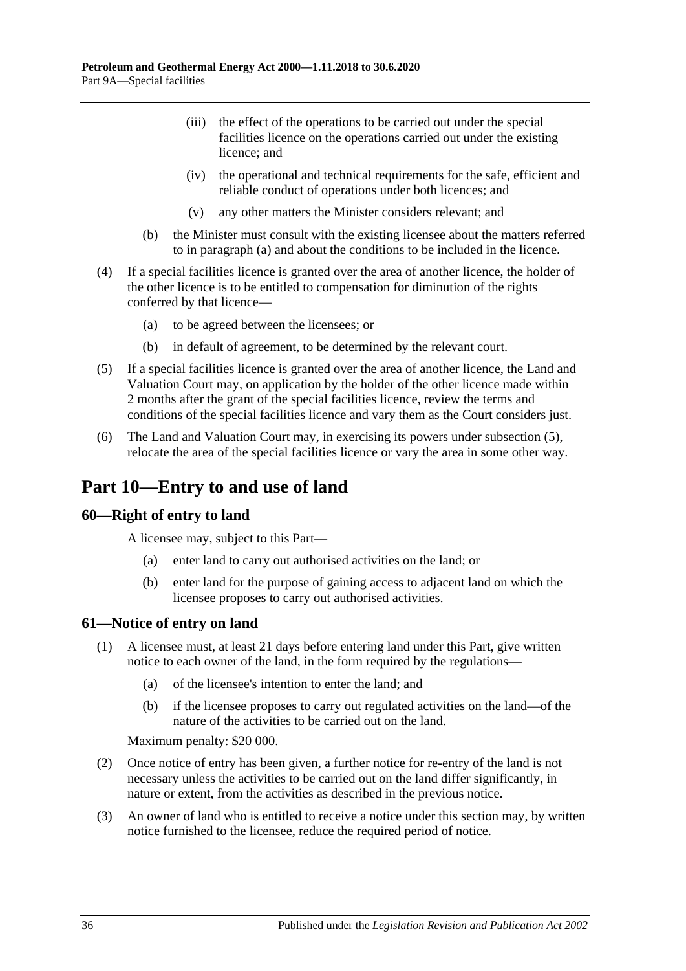- (iii) the effect of the operations to be carried out under the special facilities licence on the operations carried out under the existing licence; and
- (iv) the operational and technical requirements for the safe, efficient and reliable conduct of operations under both licences; and
- (v) any other matters the Minister considers relevant; and
- (b) the Minister must consult with the existing licensee about the matters referred to in [paragraph](#page-34-3) (a) and about the conditions to be included in the licence.
- (4) If a special facilities licence is granted over the area of another licence, the holder of the other licence is to be entitled to compensation for diminution of the rights conferred by that licence—
	- (a) to be agreed between the licensees; or
	- (b) in default of agreement, to be determined by the relevant court.
- <span id="page-35-3"></span>(5) If a special facilities licence is granted over the area of another licence, the Land and Valuation Court may, on application by the holder of the other licence made within 2 months after the grant of the special facilities licence, review the terms and conditions of the special facilities licence and vary them as the Court considers just.
- (6) The Land and Valuation Court may, in exercising its powers under [subsection](#page-35-3) (5), relocate the area of the special facilities licence or vary the area in some other way.

# <span id="page-35-0"></span>**Part 10—Entry to and use of land**

#### <span id="page-35-1"></span>**60—Right of entry to land**

A licensee may, subject to this Part—

- (a) enter land to carry out authorised activities on the land; or
- (b) enter land for the purpose of gaining access to adjacent land on which the licensee proposes to carry out authorised activities.

#### <span id="page-35-2"></span>**61—Notice of entry on land**

- (1) A licensee must, at least 21 days before entering land under this Part, give written notice to each owner of the land, in the form required by the regulations—
	- (a) of the licensee's intention to enter the land; and
	- (b) if the licensee proposes to carry out regulated activities on the land—of the nature of the activities to be carried out on the land.

Maximum penalty: \$20 000.

- (2) Once notice of entry has been given, a further notice for re-entry of the land is not necessary unless the activities to be carried out on the land differ significantly, in nature or extent, from the activities as described in the previous notice.
- (3) An owner of land who is entitled to receive a notice under this section may, by written notice furnished to the licensee, reduce the required period of notice.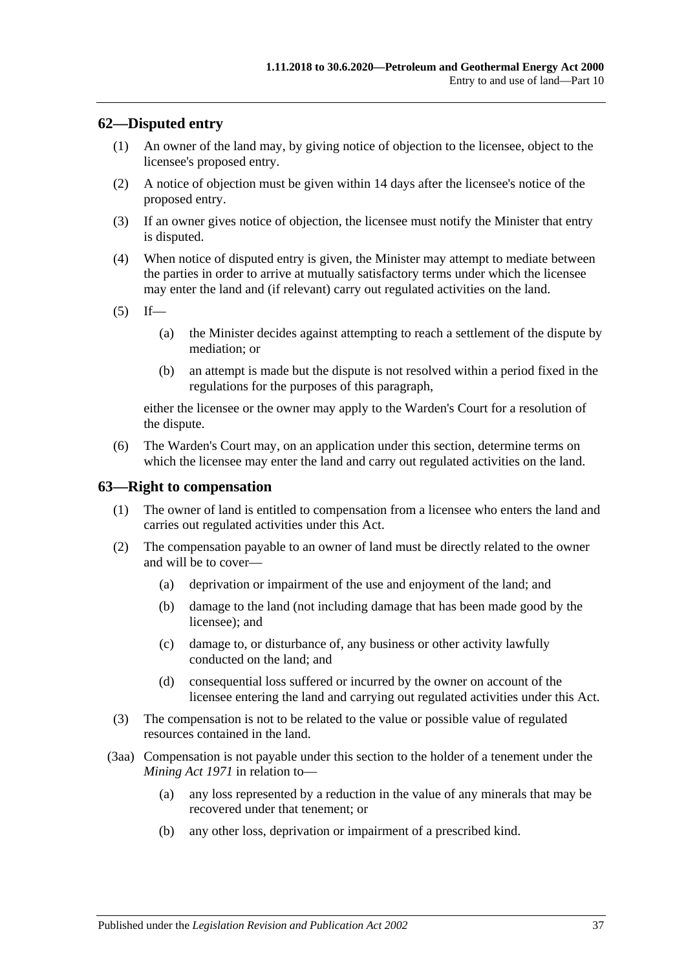## **62—Disputed entry**

- (1) An owner of the land may, by giving notice of objection to the licensee, object to the licensee's proposed entry.
- (2) A notice of objection must be given within 14 days after the licensee's notice of the proposed entry.
- (3) If an owner gives notice of objection, the licensee must notify the Minister that entry is disputed.
- (4) When notice of disputed entry is given, the Minister may attempt to mediate between the parties in order to arrive at mutually satisfactory terms under which the licensee may enter the land and (if relevant) carry out regulated activities on the land.

 $(5)$  If—

- (a) the Minister decides against attempting to reach a settlement of the dispute by mediation; or
- (b) an attempt is made but the dispute is not resolved within a period fixed in the regulations for the purposes of this paragraph,

either the licensee or the owner may apply to the Warden's Court for a resolution of the dispute.

(6) The Warden's Court may, on an application under this section, determine terms on which the licensee may enter the land and carry out regulated activities on the land.

#### **63—Right to compensation**

- (1) The owner of land is entitled to compensation from a licensee who enters the land and carries out regulated activities under this Act.
- <span id="page-36-0"></span>(2) The compensation payable to an owner of land must be directly related to the owner and will be to cover—
	- (a) deprivation or impairment of the use and enjoyment of the land; and
	- (b) damage to the land (not including damage that has been made good by the licensee); and
	- (c) damage to, or disturbance of, any business or other activity lawfully conducted on the land; and
	- (d) consequential loss suffered or incurred by the owner on account of the licensee entering the land and carrying out regulated activities under this Act.
- (3) The compensation is not to be related to the value or possible value of regulated resources contained in the land.
- (3aa) Compensation is not payable under this section to the holder of a tenement under the *[Mining Act](http://www.legislation.sa.gov.au/index.aspx?action=legref&type=act&legtitle=Mining%20Act%201971) 1971* in relation to—
	- (a) any loss represented by a reduction in the value of any minerals that may be recovered under that tenement; or
	- (b) any other loss, deprivation or impairment of a prescribed kind.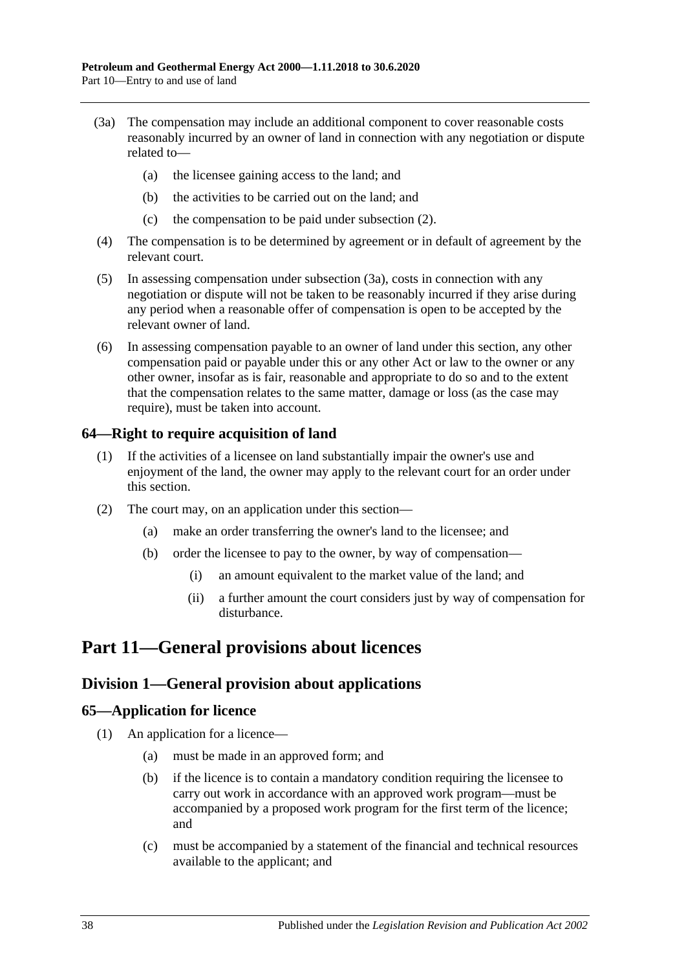- <span id="page-37-0"></span>(3a) The compensation may include an additional component to cover reasonable costs reasonably incurred by an owner of land in connection with any negotiation or dispute related to—
	- (a) the licensee gaining access to the land; and
	- (b) the activities to be carried out on the land; and
	- (c) the compensation to be paid under [subsection](#page-36-0) (2).
- (4) The compensation is to be determined by agreement or in default of agreement by the relevant court.
- (5) In assessing compensation under [subsection](#page-37-0) (3a), costs in connection with any negotiation or dispute will not be taken to be reasonably incurred if they arise during any period when a reasonable offer of compensation is open to be accepted by the relevant owner of land.
- (6) In assessing compensation payable to an owner of land under this section, any other compensation paid or payable under this or any other Act or law to the owner or any other owner, insofar as is fair, reasonable and appropriate to do so and to the extent that the compensation relates to the same matter, damage or loss (as the case may require), must be taken into account.

## **64—Right to require acquisition of land**

- (1) If the activities of a licensee on land substantially impair the owner's use and enjoyment of the land, the owner may apply to the relevant court for an order under this section.
- (2) The court may, on an application under this section—
	- (a) make an order transferring the owner's land to the licensee; and
	- (b) order the licensee to pay to the owner, by way of compensation—
		- (i) an amount equivalent to the market value of the land; and
		- (ii) a further amount the court considers just by way of compensation for disturbance.

# **Part 11—General provisions about licences**

## **Division 1—General provision about applications**

## **65—Application for licence**

- (1) An application for a licence—
	- (a) must be made in an approved form; and
	- (b) if the licence is to contain a mandatory condition requiring the licensee to carry out work in accordance with an approved work program—must be accompanied by a proposed work program for the first term of the licence; and
	- (c) must be accompanied by a statement of the financial and technical resources available to the applicant; and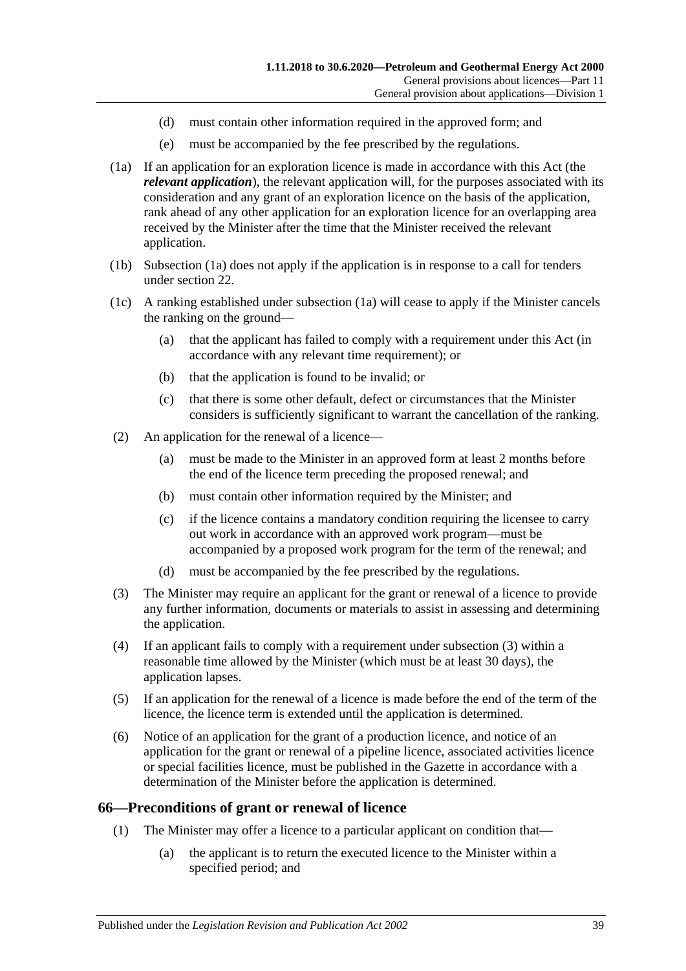- (d) must contain other information required in the approved form; and
- (e) must be accompanied by the fee prescribed by the regulations.
- <span id="page-38-0"></span>(1a) If an application for an exploration licence is made in accordance with this Act (the *relevant application*), the relevant application will, for the purposes associated with its consideration and any grant of an exploration licence on the basis of the application, rank ahead of any other application for an exploration licence for an overlapping area received by the Minister after the time that the Minister received the relevant application.
- (1b) [Subsection](#page-38-0) (1a) does not apply if the application is in response to a call for tenders under [section](#page-17-0) 22.
- (1c) A ranking established under [subsection](#page-38-0) (1a) will cease to apply if the Minister cancels the ranking on the ground—
	- (a) that the applicant has failed to comply with a requirement under this Act (in accordance with any relevant time requirement); or
	- (b) that the application is found to be invalid; or
	- (c) that there is some other default, defect or circumstances that the Minister considers is sufficiently significant to warrant the cancellation of the ranking.
- (2) An application for the renewal of a licence—
	- (a) must be made to the Minister in an approved form at least 2 months before the end of the licence term preceding the proposed renewal; and
	- (b) must contain other information required by the Minister; and
	- (c) if the licence contains a mandatory condition requiring the licensee to carry out work in accordance with an approved work program—must be accompanied by a proposed work program for the term of the renewal; and
	- (d) must be accompanied by the fee prescribed by the regulations.
- <span id="page-38-1"></span>(3) The Minister may require an applicant for the grant or renewal of a licence to provide any further information, documents or materials to assist in assessing and determining the application.
- (4) If an applicant fails to comply with a requirement under [subsection](#page-38-1) (3) within a reasonable time allowed by the Minister (which must be at least 30 days), the application lapses.
- (5) If an application for the renewal of a licence is made before the end of the term of the licence, the licence term is extended until the application is determined.
- (6) Notice of an application for the grant of a production licence, and notice of an application for the grant or renewal of a pipeline licence, associated activities licence or special facilities licence, must be published in the Gazette in accordance with a determination of the Minister before the application is determined.

#### **66—Preconditions of grant or renewal of licence**

- (1) The Minister may offer a licence to a particular applicant on condition that—
	- (a) the applicant is to return the executed licence to the Minister within a specified period; and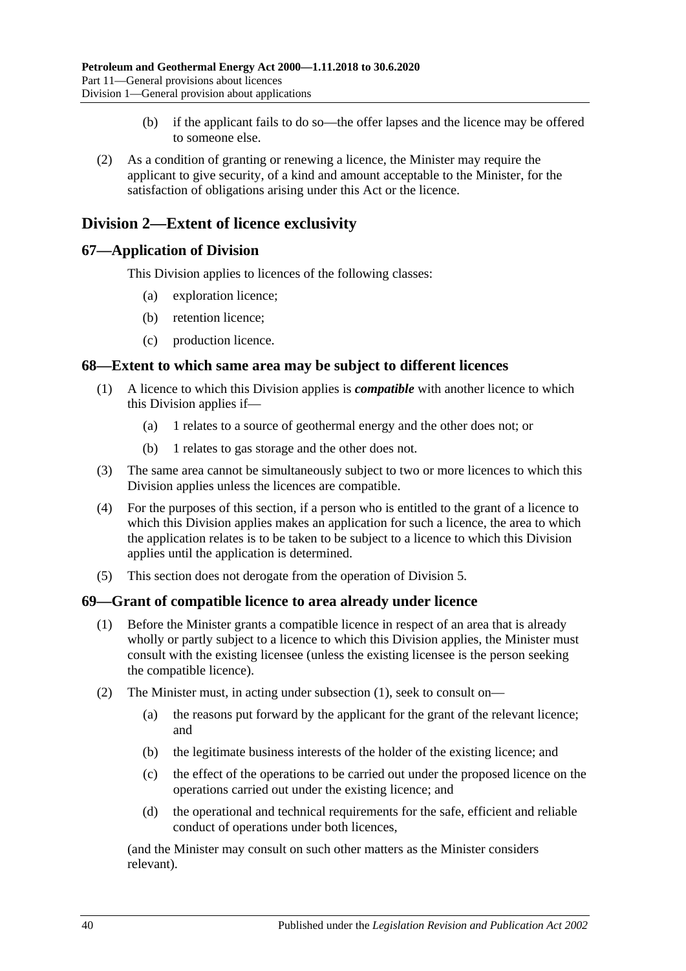- (b) if the applicant fails to do so—the offer lapses and the licence may be offered to someone else.
- (2) As a condition of granting or renewing a licence, the Minister may require the applicant to give security, of a kind and amount acceptable to the Minister, for the satisfaction of obligations arising under this Act or the licence.

## **Division 2—Extent of licence exclusivity**

## **67—Application of Division**

This Division applies to licences of the following classes:

- (a) exploration licence;
- (b) retention licence;
- (c) production licence.

#### **68—Extent to which same area may be subject to different licences**

- (1) A licence to which this Division applies is *compatible* with another licence to which this Division applies if—
	- (a) 1 relates to a source of geothermal energy and the other does not; or
	- (b) 1 relates to gas storage and the other does not.
- (3) The same area cannot be simultaneously subject to two or more licences to which this Division applies unless the licences are compatible.
- (4) For the purposes of this section, if a person who is entitled to the grant of a licence to which this Division applies makes an application for such a licence, the area to which the application relates is to be taken to be subject to a licence to which this Division applies until the application is determined.
- (5) This section does not derogate from the operation of [Division 5.](#page-42-0)

#### <span id="page-39-0"></span>**69—Grant of compatible licence to area already under licence**

- (1) Before the Minister grants a compatible licence in respect of an area that is already wholly or partly subject to a licence to which this Division applies, the Minister must consult with the existing licensee (unless the existing licensee is the person seeking the compatible licence).
- (2) The Minister must, in acting under [subsection](#page-39-0) (1), seek to consult on—
	- (a) the reasons put forward by the applicant for the grant of the relevant licence; and
	- (b) the legitimate business interests of the holder of the existing licence; and
	- (c) the effect of the operations to be carried out under the proposed licence on the operations carried out under the existing licence; and
	- (d) the operational and technical requirements for the safe, efficient and reliable conduct of operations under both licences,

(and the Minister may consult on such other matters as the Minister considers relevant).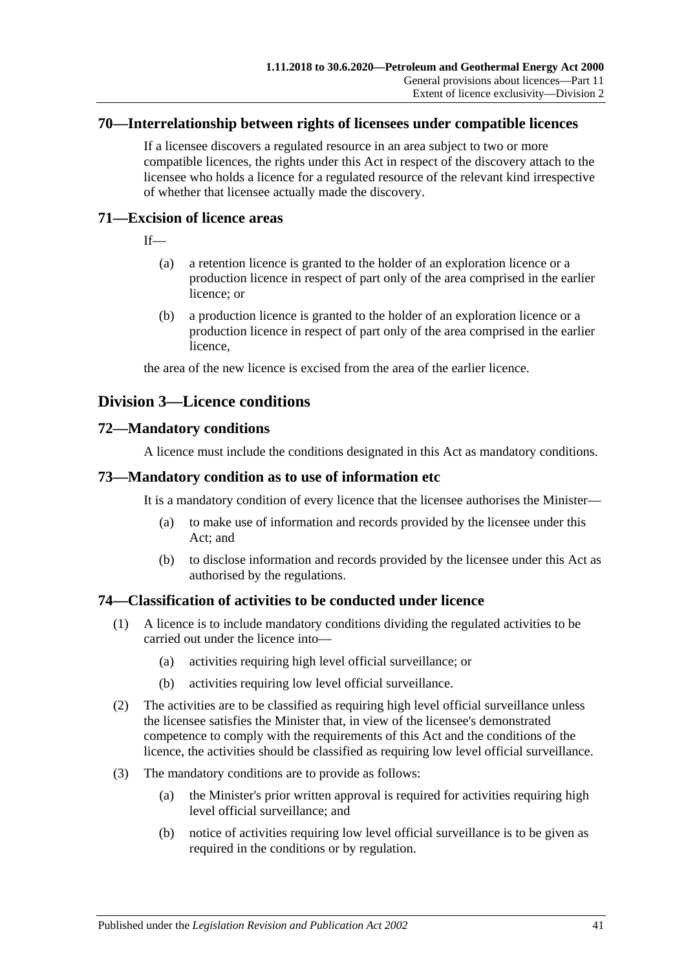#### **70—Interrelationship between rights of licensees under compatible licences**

If a licensee discovers a regulated resource in an area subject to two or more compatible licences, the rights under this Act in respect of the discovery attach to the licensee who holds a licence for a regulated resource of the relevant kind irrespective of whether that licensee actually made the discovery.

## **71—Excision of licence areas**

If—

- (a) a retention licence is granted to the holder of an exploration licence or a production licence in respect of part only of the area comprised in the earlier licence; or
- (b) a production licence is granted to the holder of an exploration licence or a production licence in respect of part only of the area comprised in the earlier licence,

the area of the new licence is excised from the area of the earlier licence.

## **Division 3—Licence conditions**

## **72—Mandatory conditions**

A licence must include the conditions designated in this Act as mandatory conditions.

## **73—Mandatory condition as to use of information etc**

It is a mandatory condition of every licence that the licensee authorises the Minister—

- (a) to make use of information and records provided by the licensee under this Act; and
- (b) to disclose information and records provided by the licensee under this Act as authorised by the regulations.

## <span id="page-40-0"></span>**74—Classification of activities to be conducted under licence**

- (1) A licence is to include mandatory conditions dividing the regulated activities to be carried out under the licence into—
	- (a) activities requiring high level official surveillance; or
	- (b) activities requiring low level official surveillance.
- (2) The activities are to be classified as requiring high level official surveillance unless the licensee satisfies the Minister that, in view of the licensee's demonstrated competence to comply with the requirements of this Act and the conditions of the licence, the activities should be classified as requiring low level official surveillance.
- (3) The mandatory conditions are to provide as follows:
	- (a) the Minister's prior written approval is required for activities requiring high level official surveillance; and
	- (b) notice of activities requiring low level official surveillance is to be given as required in the conditions or by regulation.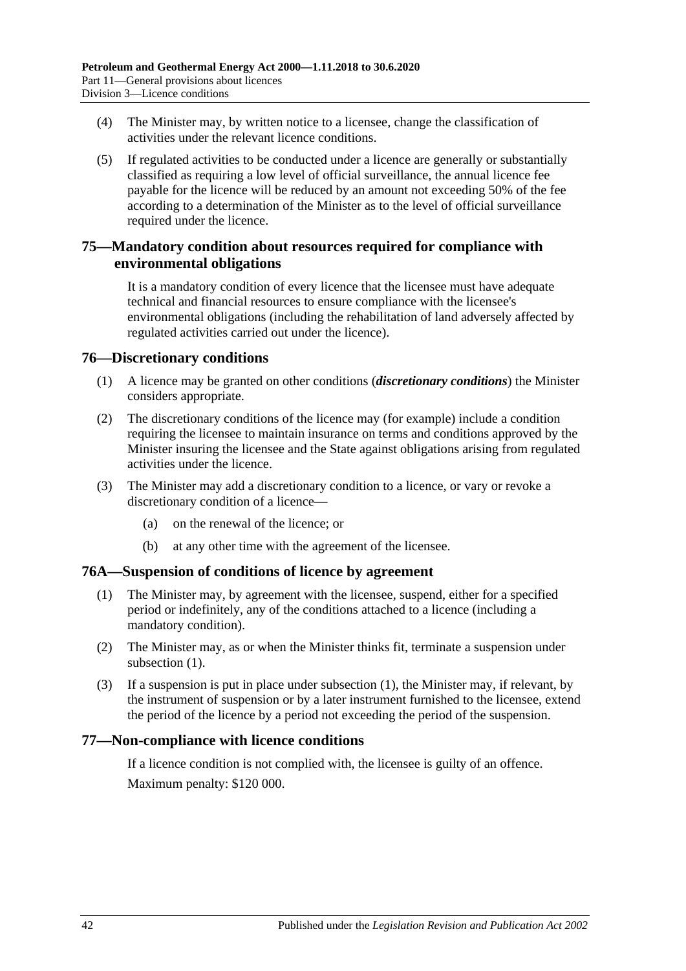- <span id="page-41-1"></span>(4) The Minister may, by written notice to a licensee, change the classification of activities under the relevant licence conditions.
- (5) If regulated activities to be conducted under a licence are generally or substantially classified as requiring a low level of official surveillance, the annual licence fee payable for the licence will be reduced by an amount not exceeding 50% of the fee according to a determination of the Minister as to the level of official surveillance required under the licence.

## **75—Mandatory condition about resources required for compliance with environmental obligations**

It is a mandatory condition of every licence that the licensee must have adequate technical and financial resources to ensure compliance with the licensee's environmental obligations (including the rehabilitation of land adversely affected by regulated activities carried out under the licence).

## **76—Discretionary conditions**

- (1) A licence may be granted on other conditions (*discretionary conditions*) the Minister considers appropriate.
- (2) The discretionary conditions of the licence may (for example) include a condition requiring the licensee to maintain insurance on terms and conditions approved by the Minister insuring the licensee and the State against obligations arising from regulated activities under the licence.
- (3) The Minister may add a discretionary condition to a licence, or vary or revoke a discretionary condition of a licence—
	- (a) on the renewal of the licence; or
	- (b) at any other time with the agreement of the licensee.

#### <span id="page-41-0"></span>**76A—Suspension of conditions of licence by agreement**

- (1) The Minister may, by agreement with the licensee, suspend, either for a specified period or indefinitely, any of the conditions attached to a licence (including a mandatory condition).
- (2) The Minister may, as or when the Minister thinks fit, terminate a suspension under [subsection](#page-41-0) (1).
- (3) If a suspension is put in place under [subsection](#page-41-0) (1), the Minister may, if relevant, by the instrument of suspension or by a later instrument furnished to the licensee, extend the period of the licence by a period not exceeding the period of the suspension.

## **77—Non-compliance with licence conditions**

If a licence condition is not complied with, the licensee is guilty of an offence. Maximum penalty: \$120 000.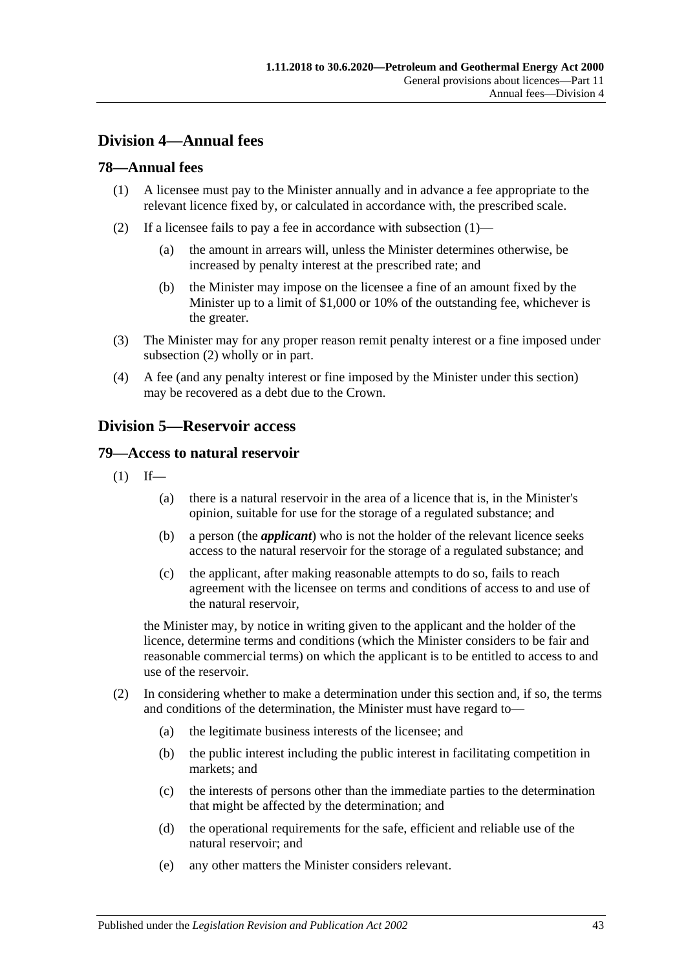# **Division 4—Annual fees**

## <span id="page-42-1"></span>**78—Annual fees**

- (1) A licensee must pay to the Minister annually and in advance a fee appropriate to the relevant licence fixed by, or calculated in accordance with, the prescribed scale.
- <span id="page-42-2"></span>(2) If a licensee fails to pay a fee in accordance with [subsection](#page-42-1)  $(1)$ —
	- (a) the amount in arrears will, unless the Minister determines otherwise, be increased by penalty interest at the prescribed rate; and
	- (b) the Minister may impose on the licensee a fine of an amount fixed by the Minister up to a limit of \$1,000 or 10% of the outstanding fee, whichever is the greater.
- (3) The Minister may for any proper reason remit penalty interest or a fine imposed under [subsection](#page-42-2) (2) wholly or in part.
- (4) A fee (and any penalty interest or fine imposed by the Minister under this section) may be recovered as a debt due to the Crown.

## <span id="page-42-0"></span>**Division 5—Reservoir access**

#### **79—Access to natural reservoir**

- $(1)$  If—
	- (a) there is a natural reservoir in the area of a licence that is, in the Minister's opinion, suitable for use for the storage of a regulated substance; and
	- (b) a person (the *applicant*) who is not the holder of the relevant licence seeks access to the natural reservoir for the storage of a regulated substance; and
	- (c) the applicant, after making reasonable attempts to do so, fails to reach agreement with the licensee on terms and conditions of access to and use of the natural reservoir,

the Minister may, by notice in writing given to the applicant and the holder of the licence, determine terms and conditions (which the Minister considers to be fair and reasonable commercial terms) on which the applicant is to be entitled to access to and use of the reservoir.

- (2) In considering whether to make a determination under this section and, if so, the terms and conditions of the determination, the Minister must have regard to—
	- (a) the legitimate business interests of the licensee; and
	- (b) the public interest including the public interest in facilitating competition in markets; and
	- (c) the interests of persons other than the immediate parties to the determination that might be affected by the determination; and
	- (d) the operational requirements for the safe, efficient and reliable use of the natural reservoir; and
	- (e) any other matters the Minister considers relevant.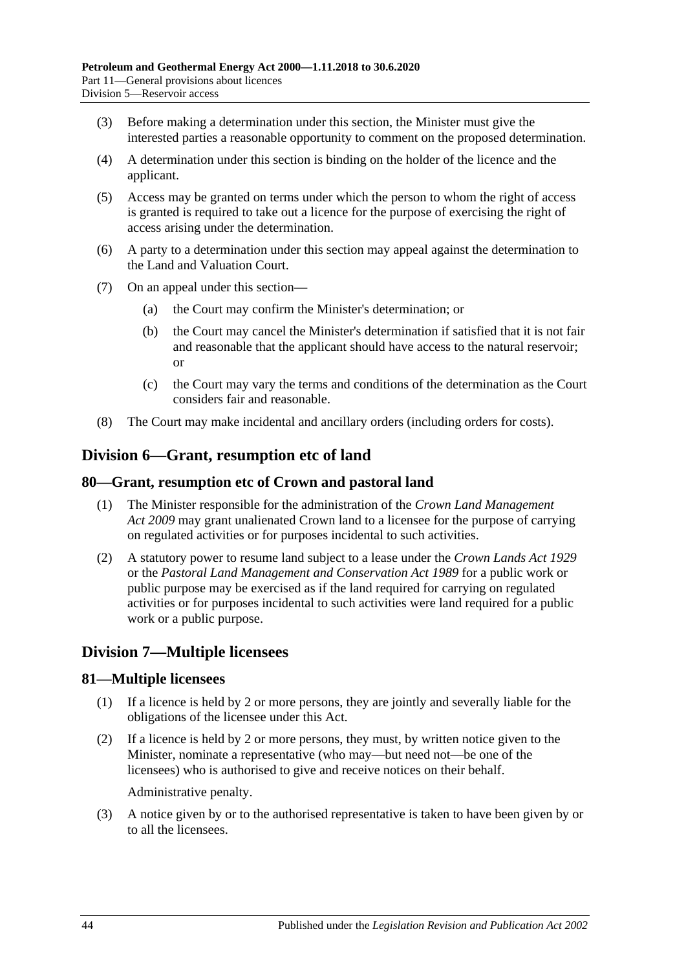- (3) Before making a determination under this section, the Minister must give the interested parties a reasonable opportunity to comment on the proposed determination.
- (4) A determination under this section is binding on the holder of the licence and the applicant.
- (5) Access may be granted on terms under which the person to whom the right of access is granted is required to take out a licence for the purpose of exercising the right of access arising under the determination.
- (6) A party to a determination under this section may appeal against the determination to the Land and Valuation Court.
- (7) On an appeal under this section—
	- (a) the Court may confirm the Minister's determination; or
	- (b) the Court may cancel the Minister's determination if satisfied that it is not fair and reasonable that the applicant should have access to the natural reservoir; or
	- (c) the Court may vary the terms and conditions of the determination as the Court considers fair and reasonable.
- (8) The Court may make incidental and ancillary orders (including orders for costs).

## **Division 6—Grant, resumption etc of land**

## **80—Grant, resumption etc of Crown and pastoral land**

- (1) The Minister responsible for the administration of the *[Crown Land Management](http://www.legislation.sa.gov.au/index.aspx?action=legref&type=act&legtitle=Crown%20Land%20Management%20Act%202009)  Act [2009](http://www.legislation.sa.gov.au/index.aspx?action=legref&type=act&legtitle=Crown%20Land%20Management%20Act%202009)* may grant unalienated Crown land to a licensee for the purpose of carrying on regulated activities or for purposes incidental to such activities.
- (2) A statutory power to resume land subject to a lease under the *[Crown Lands Act](http://www.legislation.sa.gov.au/index.aspx?action=legref&type=act&legtitle=Crown%20Lands%20Act%201929) 1929* or the *[Pastoral Land Management and Conservation Act](http://www.legislation.sa.gov.au/index.aspx?action=legref&type=act&legtitle=Pastoral%20Land%20Management%20and%20Conservation%20Act%201989) 1989* for a public work or public purpose may be exercised as if the land required for carrying on regulated activities or for purposes incidental to such activities were land required for a public work or a public purpose.

## **Division 7—Multiple licensees**

#### **81—Multiple licensees**

- (1) If a licence is held by 2 or more persons, they are jointly and severally liable for the obligations of the licensee under this Act.
- (2) If a licence is held by 2 or more persons, they must, by written notice given to the Minister, nominate a representative (who may—but need not—be one of the licensees) who is authorised to give and receive notices on their behalf.

Administrative penalty.

(3) A notice given by or to the authorised representative is taken to have been given by or to all the licensees.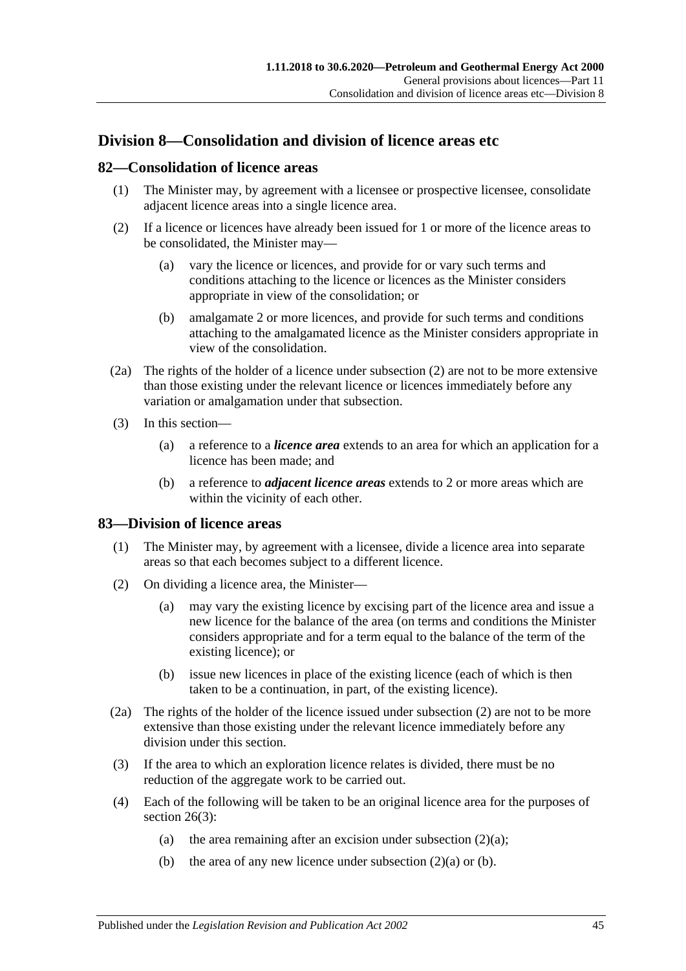## **Division 8—Consolidation and division of licence areas etc**

## <span id="page-44-3"></span>**82—Consolidation of licence areas**

- (1) The Minister may, by agreement with a licensee or prospective licensee, consolidate adjacent licence areas into a single licence area.
- (2) If a licence or licences have already been issued for 1 or more of the licence areas to be consolidated, the Minister may—
	- (a) vary the licence or licences, and provide for or vary such terms and conditions attaching to the licence or licences as the Minister considers appropriate in view of the consolidation; or
	- (b) amalgamate 2 or more licences, and provide for such terms and conditions attaching to the amalgamated licence as the Minister considers appropriate in view of the consolidation.
- (2a) The rights of the holder of a licence under subsection (2) are not to be more extensive than those existing under the relevant licence or licences immediately before any variation or amalgamation under that subsection.
- (3) In this section—
	- (a) a reference to a *licence area* extends to an area for which an application for a licence has been made; and
	- (b) a reference to *adjacent licence areas* extends to 2 or more areas which are within the vicinity of each other.

## <span id="page-44-4"></span>**83—Division of licence areas**

- (1) The Minister may, by agreement with a licensee, divide a licence area into separate areas so that each becomes subject to a different licence.
- <span id="page-44-1"></span><span id="page-44-0"></span>(2) On dividing a licence area, the Minister—
	- (a) may vary the existing licence by excising part of the licence area and issue a new licence for the balance of the area (on terms and conditions the Minister considers appropriate and for a term equal to the balance of the term of the existing licence); or
	- (b) issue new licences in place of the existing licence (each of which is then taken to be a continuation, in part, of the existing licence).
- <span id="page-44-2"></span>(2a) The rights of the holder of the licence issued under [subsection](#page-44-0) (2) are not to be more extensive than those existing under the relevant licence immediately before any division under this section.
- (3) If the area to which an exploration licence relates is divided, there must be no reduction of the aggregate work to be carried out.
- (4) Each of the following will be taken to be an original licence area for the purposes of [section](#page-19-0) 26(3):
	- (a) the area remaining after an excision under [subsection](#page-44-1)  $(2)(a)$ ;
	- (b) the area of any new licence under [subsection](#page-44-1)  $(2)(a)$  or [\(b\).](#page-44-2)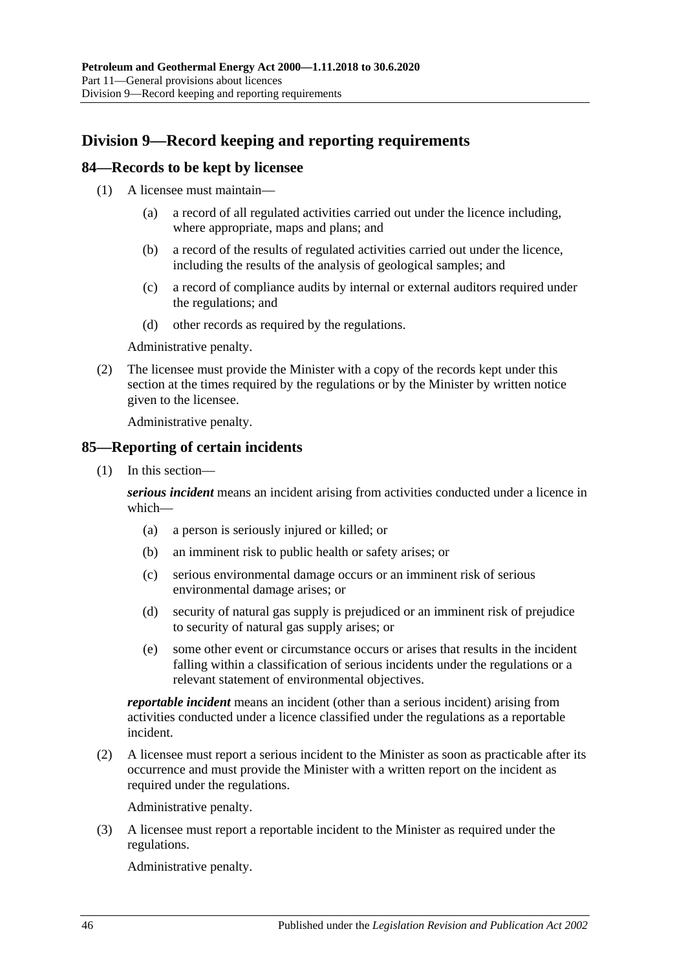# **Division 9—Record keeping and reporting requirements**

## **84—Records to be kept by licensee**

- (1) A licensee must maintain—
	- (a) a record of all regulated activities carried out under the licence including, where appropriate, maps and plans; and
	- (b) a record of the results of regulated activities carried out under the licence, including the results of the analysis of geological samples; and
	- (c) a record of compliance audits by internal or external auditors required under the regulations; and
	- (d) other records as required by the regulations.

Administrative penalty.

(2) The licensee must provide the Minister with a copy of the records kept under this section at the times required by the regulations or by the Minister by written notice given to the licensee.

Administrative penalty.

## <span id="page-45-0"></span>**85—Reporting of certain incidents**

(1) In this section—

*serious incident* means an incident arising from activities conducted under a licence in which—

- (a) a person is seriously injured or killed; or
- (b) an imminent risk to public health or safety arises; or
- (c) serious environmental damage occurs or an imminent risk of serious environmental damage arises; or
- (d) security of natural gas supply is prejudiced or an imminent risk of prejudice to security of natural gas supply arises; or
- (e) some other event or circumstance occurs or arises that results in the incident falling within a classification of serious incidents under the regulations or a relevant statement of environmental objectives.

*reportable incident* means an incident (other than a serious incident) arising from activities conducted under a licence classified under the regulations as a reportable incident.

(2) A licensee must report a serious incident to the Minister as soon as practicable after its occurrence and must provide the Minister with a written report on the incident as required under the regulations.

Administrative penalty.

(3) A licensee must report a reportable incident to the Minister as required under the regulations.

Administrative penalty.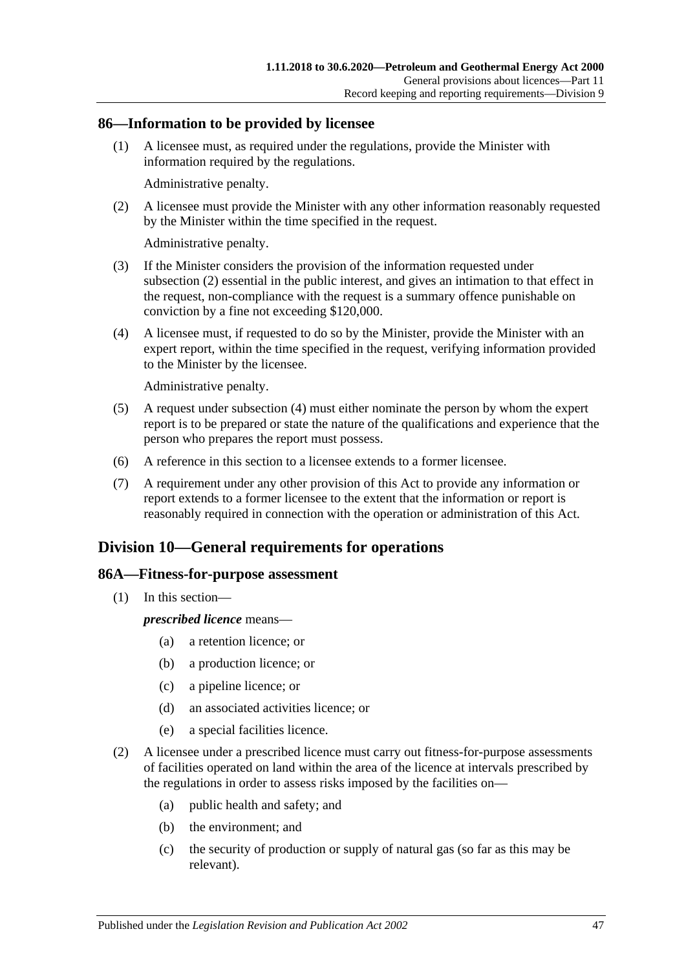## **86—Information to be provided by licensee**

(1) A licensee must, as required under the regulations, provide the Minister with information required by the regulations.

Administrative penalty.

<span id="page-46-0"></span>(2) A licensee must provide the Minister with any other information reasonably requested by the Minister within the time specified in the request.

Administrative penalty.

- (3) If the Minister considers the provision of the information requested under [subsection](#page-46-0) (2) essential in the public interest, and gives an intimation to that effect in the request, non-compliance with the request is a summary offence punishable on conviction by a fine not exceeding \$120,000.
- <span id="page-46-1"></span>(4) A licensee must, if requested to do so by the Minister, provide the Minister with an expert report, within the time specified in the request, verifying information provided to the Minister by the licensee.

Administrative penalty.

- (5) A request under [subsection](#page-46-1) (4) must either nominate the person by whom the expert report is to be prepared or state the nature of the qualifications and experience that the person who prepares the report must possess.
- (6) A reference in this section to a licensee extends to a former licensee.
- (7) A requirement under any other provision of this Act to provide any information or report extends to a former licensee to the extent that the information or report is reasonably required in connection with the operation or administration of this Act.

## **Division 10—General requirements for operations**

#### **86A—Fitness-for-purpose assessment**

(1) In this section—

*prescribed licence* means—

- (a) a retention licence; or
- (b) a production licence; or
- (c) a pipeline licence; or
- (d) an associated activities licence; or
- (e) a special facilities licence.
- (2) A licensee under a prescribed licence must carry out fitness-for-purpose assessments of facilities operated on land within the area of the licence at intervals prescribed by the regulations in order to assess risks imposed by the facilities on—
	- (a) public health and safety; and
	- (b) the environment; and
	- (c) the security of production or supply of natural gas (so far as this may be relevant).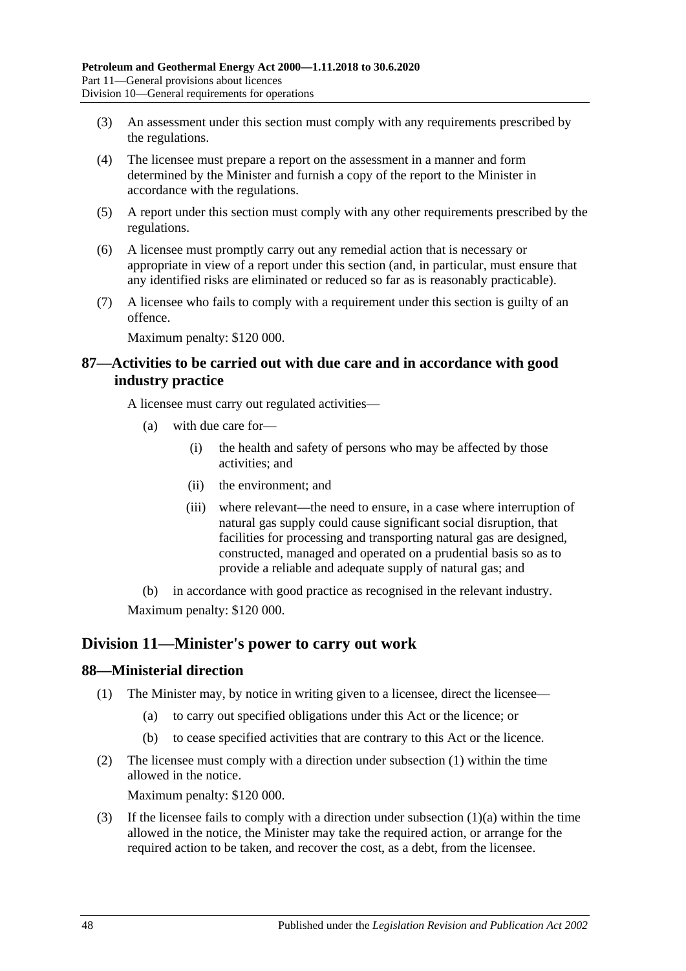- (3) An assessment under this section must comply with any requirements prescribed by the regulations.
- (4) The licensee must prepare a report on the assessment in a manner and form determined by the Minister and furnish a copy of the report to the Minister in accordance with the regulations.
- (5) A report under this section must comply with any other requirements prescribed by the regulations.
- (6) A licensee must promptly carry out any remedial action that is necessary or appropriate in view of a report under this section (and, in particular, must ensure that any identified risks are eliminated or reduced so far as is reasonably practicable).
- (7) A licensee who fails to comply with a requirement under this section is guilty of an offence.

Maximum penalty: \$120 000.

## **87—Activities to be carried out with due care and in accordance with good industry practice**

A licensee must carry out regulated activities—

- (a) with due care for—
	- (i) the health and safety of persons who may be affected by those activities; and
	- (ii) the environment; and
	- (iii) where relevant—the need to ensure, in a case where interruption of natural gas supply could cause significant social disruption, that facilities for processing and transporting natural gas are designed, constructed, managed and operated on a prudential basis so as to provide a reliable and adequate supply of natural gas; and

(b) in accordance with good practice as recognised in the relevant industry. Maximum penalty: \$120 000.

## **Division 11—Minister's power to carry out work**

#### <span id="page-47-0"></span>**88—Ministerial direction**

- <span id="page-47-1"></span>(1) The Minister may, by notice in writing given to a licensee, direct the licensee—
	- (a) to carry out specified obligations under this Act or the licence; or
	- (b) to cease specified activities that are contrary to this Act or the licence.
- (2) The licensee must comply with a direction under [subsection](#page-47-0) (1) within the time allowed in the notice.

Maximum penalty: \$120 000.

(3) If the licensee fails to comply with a direction under [subsection](#page-47-1)  $(1)(a)$  within the time allowed in the notice, the Minister may take the required action, or arrange for the required action to be taken, and recover the cost, as a debt, from the licensee.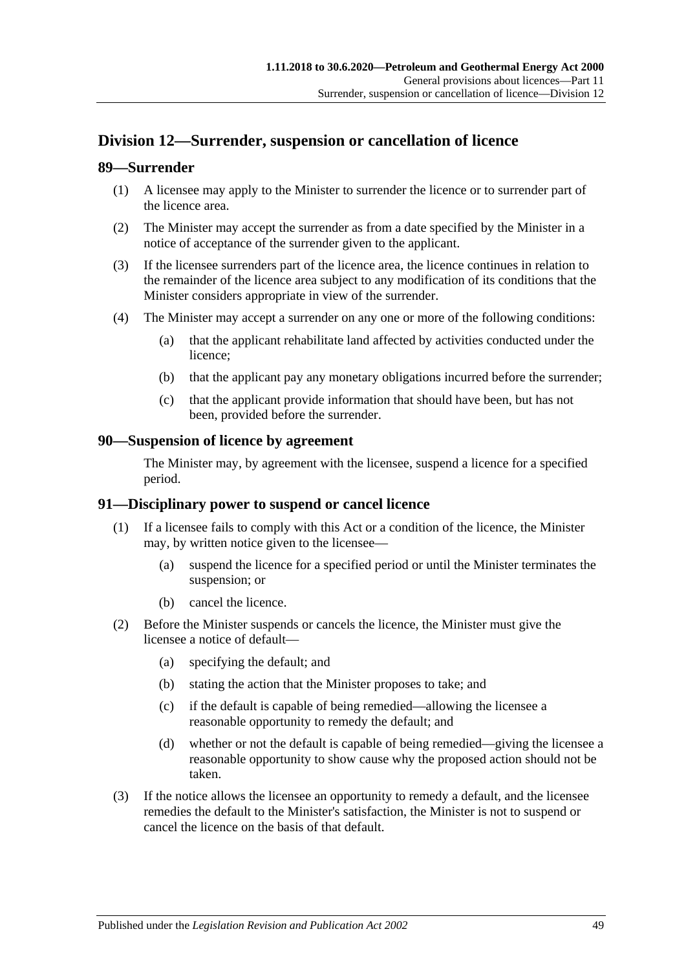# **Division 12—Surrender, suspension or cancellation of licence**

## **89—Surrender**

- (1) A licensee may apply to the Minister to surrender the licence or to surrender part of the licence area.
- (2) The Minister may accept the surrender as from a date specified by the Minister in a notice of acceptance of the surrender given to the applicant.
- (3) If the licensee surrenders part of the licence area, the licence continues in relation to the remainder of the licence area subject to any modification of its conditions that the Minister considers appropriate in view of the surrender.
- (4) The Minister may accept a surrender on any one or more of the following conditions:
	- (a) that the applicant rehabilitate land affected by activities conducted under the licence;
	- (b) that the applicant pay any monetary obligations incurred before the surrender;
	- (c) that the applicant provide information that should have been, but has not been, provided before the surrender.

## **90—Suspension of licence by agreement**

The Minister may, by agreement with the licensee, suspend a licence for a specified period.

## **91—Disciplinary power to suspend or cancel licence**

- (1) If a licensee fails to comply with this Act or a condition of the licence, the Minister may, by written notice given to the licensee—
	- (a) suspend the licence for a specified period or until the Minister terminates the suspension; or
	- (b) cancel the licence.
- (2) Before the Minister suspends or cancels the licence, the Minister must give the licensee a notice of default—
	- (a) specifying the default; and
	- (b) stating the action that the Minister proposes to take; and
	- (c) if the default is capable of being remedied—allowing the licensee a reasonable opportunity to remedy the default; and
	- (d) whether or not the default is capable of being remedied—giving the licensee a reasonable opportunity to show cause why the proposed action should not be taken.
- (3) If the notice allows the licensee an opportunity to remedy a default, and the licensee remedies the default to the Minister's satisfaction, the Minister is not to suspend or cancel the licence on the basis of that default.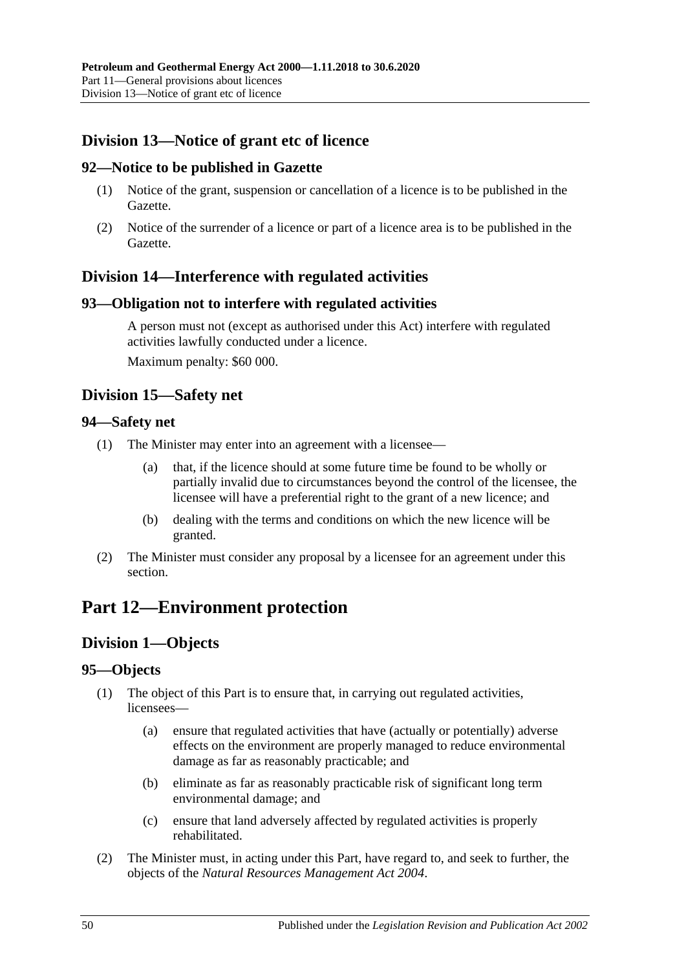# **Division 13—Notice of grant etc of licence**

## **92—Notice to be published in Gazette**

- (1) Notice of the grant, suspension or cancellation of a licence is to be published in the Gazette.
- (2) Notice of the surrender of a licence or part of a licence area is to be published in the Gazette.

## **Division 14—Interference with regulated activities**

## **93—Obligation not to interfere with regulated activities**

A person must not (except as authorised under this Act) interfere with regulated activities lawfully conducted under a licence. Maximum penalty: \$60 000.

## **Division 15—Safety net**

## **94—Safety net**

- (1) The Minister may enter into an agreement with a licensee—
	- (a) that, if the licence should at some future time be found to be wholly or partially invalid due to circumstances beyond the control of the licensee, the licensee will have a preferential right to the grant of a new licence; and
	- (b) dealing with the terms and conditions on which the new licence will be granted.
- (2) The Minister must consider any proposal by a licensee for an agreement under this section.

# **Part 12—Environment protection**

# **Division 1—Objects**

## **95—Objects**

- (1) The object of this Part is to ensure that, in carrying out regulated activities, licensees—
	- (a) ensure that regulated activities that have (actually or potentially) adverse effects on the environment are properly managed to reduce environmental damage as far as reasonably practicable; and
	- (b) eliminate as far as reasonably practicable risk of significant long term environmental damage; and
	- (c) ensure that land adversely affected by regulated activities is properly rehabilitated.
- (2) The Minister must, in acting under this Part, have regard to, and seek to further, the objects of the *[Natural Resources Management Act](http://www.legislation.sa.gov.au/index.aspx?action=legref&type=act&legtitle=Natural%20Resources%20Management%20Act%202004) 2004*.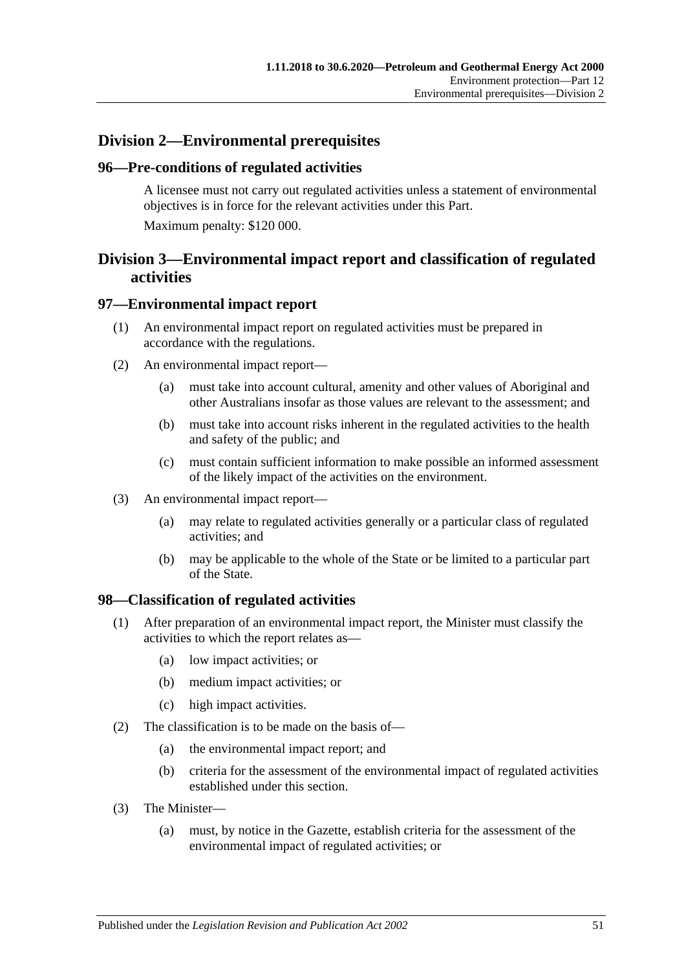# **Division 2—Environmental prerequisites**

## **96—Pre-conditions of regulated activities**

A licensee must not carry out regulated activities unless a statement of environmental objectives is in force for the relevant activities under this Part. Maximum penalty: \$120 000.

## **Division 3—Environmental impact report and classification of regulated activities**

## **97—Environmental impact report**

- (1) An environmental impact report on regulated activities must be prepared in accordance with the regulations.
- (2) An environmental impact report—
	- (a) must take into account cultural, amenity and other values of Aboriginal and other Australians insofar as those values are relevant to the assessment; and
	- (b) must take into account risks inherent in the regulated activities to the health and safety of the public; and
	- (c) must contain sufficient information to make possible an informed assessment of the likely impact of the activities on the environment.
- (3) An environmental impact report—
	- (a) may relate to regulated activities generally or a particular class of regulated activities; and
	- (b) may be applicable to the whole of the State or be limited to a particular part of the State.

#### **98—Classification of regulated activities**

- (1) After preparation of an environmental impact report, the Minister must classify the activities to which the report relates as—
	- (a) low impact activities; or
	- (b) medium impact activities; or
	- (c) high impact activities.
- (2) The classification is to be made on the basis of—
	- (a) the environmental impact report; and
	- (b) criteria for the assessment of the environmental impact of regulated activities established under this section.
- (3) The Minister—
	- (a) must, by notice in the Gazette, establish criteria for the assessment of the environmental impact of regulated activities; or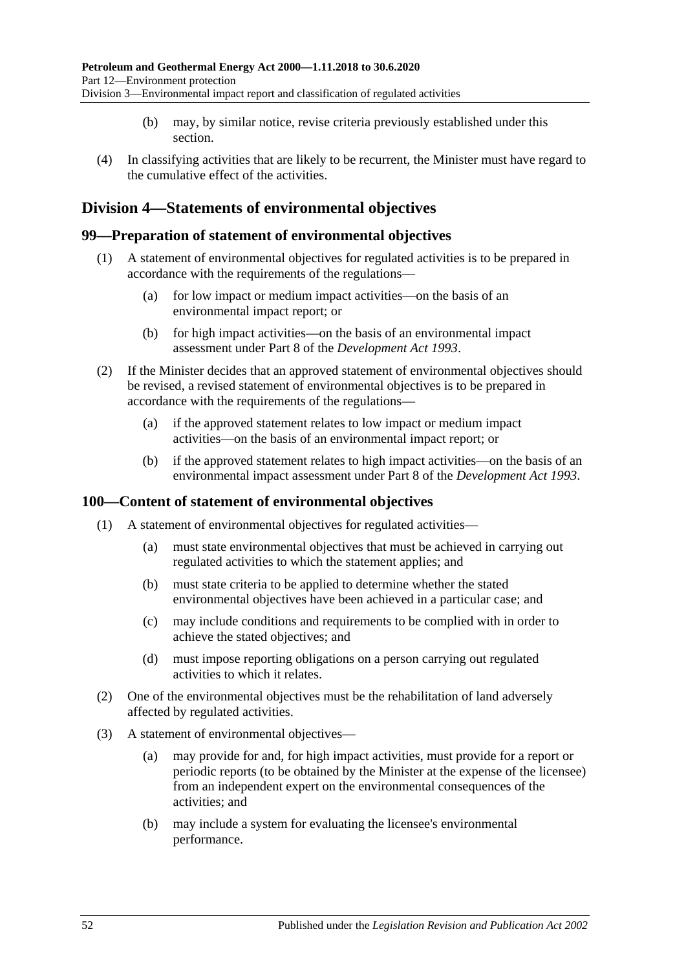- (b) may, by similar notice, revise criteria previously established under this section.
- (4) In classifying activities that are likely to be recurrent, the Minister must have regard to the cumulative effect of the activities.

## **Division 4—Statements of environmental objectives**

## **99—Preparation of statement of environmental objectives**

- (1) A statement of environmental objectives for regulated activities is to be prepared in accordance with the requirements of the regulations—
	- (a) for low impact or medium impact activities—on the basis of an environmental impact report; or
	- (b) for high impact activities—on the basis of an environmental impact assessment under Part 8 of the *[Development Act](http://www.legislation.sa.gov.au/index.aspx?action=legref&type=act&legtitle=Development%20Act%201993) 1993*.
- (2) If the Minister decides that an approved statement of environmental objectives should be revised, a revised statement of environmental objectives is to be prepared in accordance with the requirements of the regulations—
	- (a) if the approved statement relates to low impact or medium impact activities—on the basis of an environmental impact report; or
	- (b) if the approved statement relates to high impact activities—on the basis of an environmental impact assessment under Part 8 of the *[Development Act](http://www.legislation.sa.gov.au/index.aspx?action=legref&type=act&legtitle=Development%20Act%201993) 1993*.

## **100—Content of statement of environmental objectives**

- (1) A statement of environmental objectives for regulated activities—
	- (a) must state environmental objectives that must be achieved in carrying out regulated activities to which the statement applies; and
	- (b) must state criteria to be applied to determine whether the stated environmental objectives have been achieved in a particular case; and
	- (c) may include conditions and requirements to be complied with in order to achieve the stated objectives; and
	- (d) must impose reporting obligations on a person carrying out regulated activities to which it relates.
- (2) One of the environmental objectives must be the rehabilitation of land adversely affected by regulated activities.
- (3) A statement of environmental objectives—
	- (a) may provide for and, for high impact activities, must provide for a report or periodic reports (to be obtained by the Minister at the expense of the licensee) from an independent expert on the environmental consequences of the activities; and
	- (b) may include a system for evaluating the licensee's environmental performance.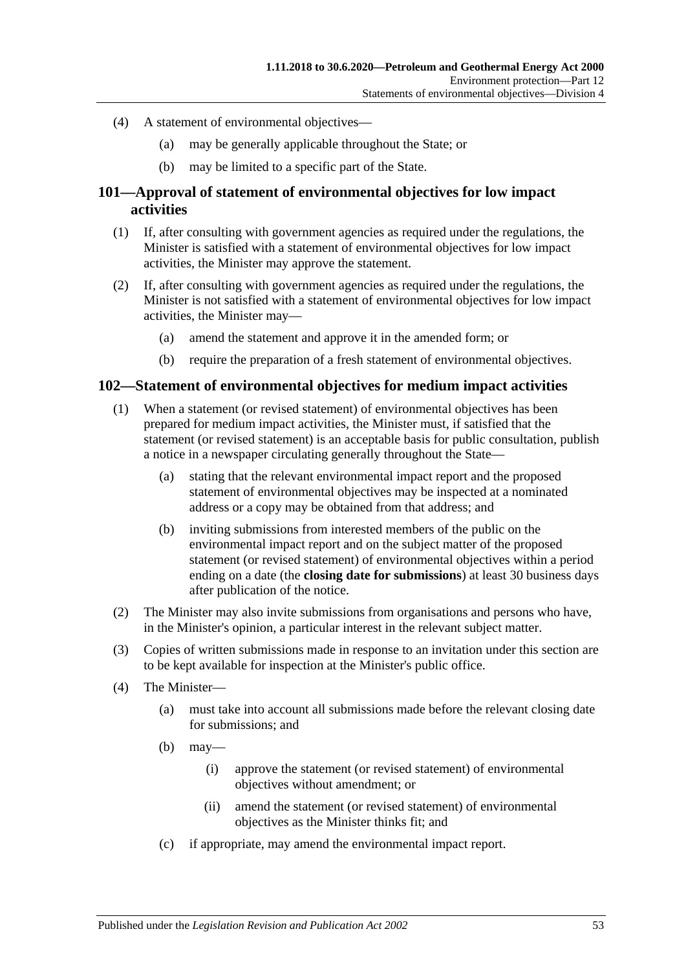- (4) A statement of environmental objectives—
	- (a) may be generally applicable throughout the State; or
	- (b) may be limited to a specific part of the State.

## **101—Approval of statement of environmental objectives for low impact activities**

- (1) If, after consulting with government agencies as required under the regulations, the Minister is satisfied with a statement of environmental objectives for low impact activities, the Minister may approve the statement.
- (2) If, after consulting with government agencies as required under the regulations, the Minister is not satisfied with a statement of environmental objectives for low impact activities, the Minister may—
	- (a) amend the statement and approve it in the amended form; or
	- (b) require the preparation of a fresh statement of environmental objectives.

#### **102—Statement of environmental objectives for medium impact activities**

- (1) When a statement (or revised statement) of environmental objectives has been prepared for medium impact activities, the Minister must, if satisfied that the statement (or revised statement) is an acceptable basis for public consultation, publish a notice in a newspaper circulating generally throughout the State—
	- (a) stating that the relevant environmental impact report and the proposed statement of environmental objectives may be inspected at a nominated address or a copy may be obtained from that address; and
	- (b) inviting submissions from interested members of the public on the environmental impact report and on the subject matter of the proposed statement (or revised statement) of environmental objectives within a period ending on a date (the **closing date for submissions**) at least 30 business days after publication of the notice.
- (2) The Minister may also invite submissions from organisations and persons who have, in the Minister's opinion, a particular interest in the relevant subject matter.
- (3) Copies of written submissions made in response to an invitation under this section are to be kept available for inspection at the Minister's public office.
- (4) The Minister—
	- (a) must take into account all submissions made before the relevant closing date for submissions; and
	- $(b)$  may—
		- (i) approve the statement (or revised statement) of environmental objectives without amendment; or
		- (ii) amend the statement (or revised statement) of environmental objectives as the Minister thinks fit; and
	- (c) if appropriate, may amend the environmental impact report.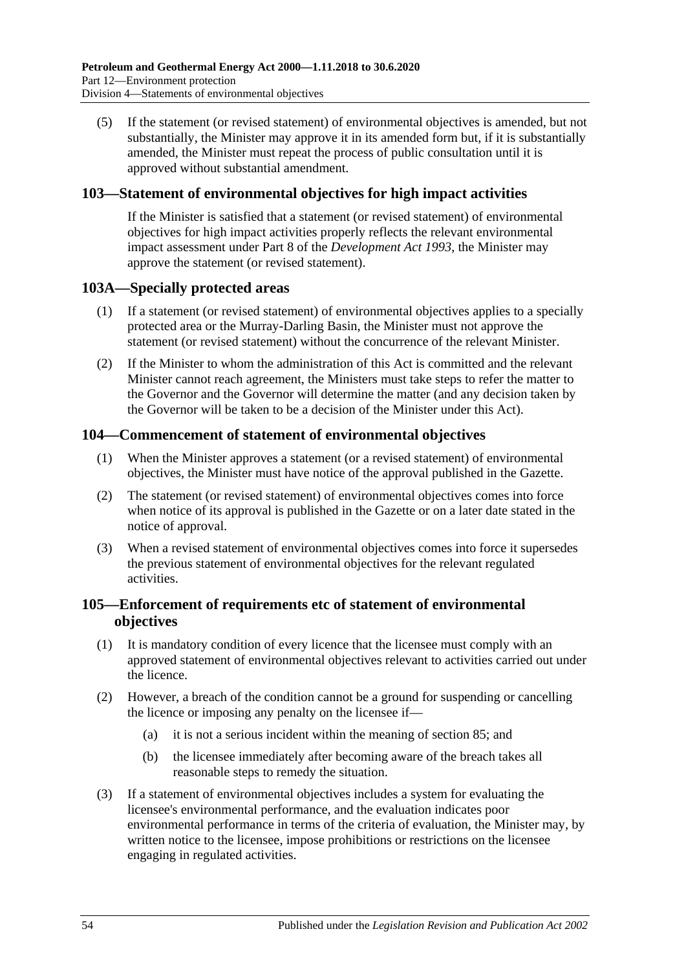(5) If the statement (or revised statement) of environmental objectives is amended, but not substantially, the Minister may approve it in its amended form but, if it is substantially amended, the Minister must repeat the process of public consultation until it is approved without substantial amendment.

## **103—Statement of environmental objectives for high impact activities**

If the Minister is satisfied that a statement (or revised statement) of environmental objectives for high impact activities properly reflects the relevant environmental impact assessment under Part 8 of the *[Development Act](http://www.legislation.sa.gov.au/index.aspx?action=legref&type=act&legtitle=Development%20Act%201993) 1993*, the Minister may approve the statement (or revised statement).

## **103A—Specially protected areas**

- (1) If a statement (or revised statement) of environmental objectives applies to a specially protected area or the Murray-Darling Basin, the Minister must not approve the statement (or revised statement) without the concurrence of the relevant Minister.
- (2) If the Minister to whom the administration of this Act is committed and the relevant Minister cannot reach agreement, the Ministers must take steps to refer the matter to the Governor and the Governor will determine the matter (and any decision taken by the Governor will be taken to be a decision of the Minister under this Act).

## **104—Commencement of statement of environmental objectives**

- (1) When the Minister approves a statement (or a revised statement) of environmental objectives, the Minister must have notice of the approval published in the Gazette.
- (2) The statement (or revised statement) of environmental objectives comes into force when notice of its approval is published in the Gazette or on a later date stated in the notice of approval.
- (3) When a revised statement of environmental objectives comes into force it supersedes the previous statement of environmental objectives for the relevant regulated activities.

## **105—Enforcement of requirements etc of statement of environmental objectives**

- (1) It is mandatory condition of every licence that the licensee must comply with an approved statement of environmental objectives relevant to activities carried out under the licence.
- (2) However, a breach of the condition cannot be a ground for suspending or cancelling the licence or imposing any penalty on the licensee if—
	- (a) it is not a serious incident within the meaning of [section](#page-45-0) 85; and
	- (b) the licensee immediately after becoming aware of the breach takes all reasonable steps to remedy the situation.
- <span id="page-53-0"></span>(3) If a statement of environmental objectives includes a system for evaluating the licensee's environmental performance, and the evaluation indicates poor environmental performance in terms of the criteria of evaluation, the Minister may, by written notice to the licensee, impose prohibitions or restrictions on the licensee engaging in regulated activities.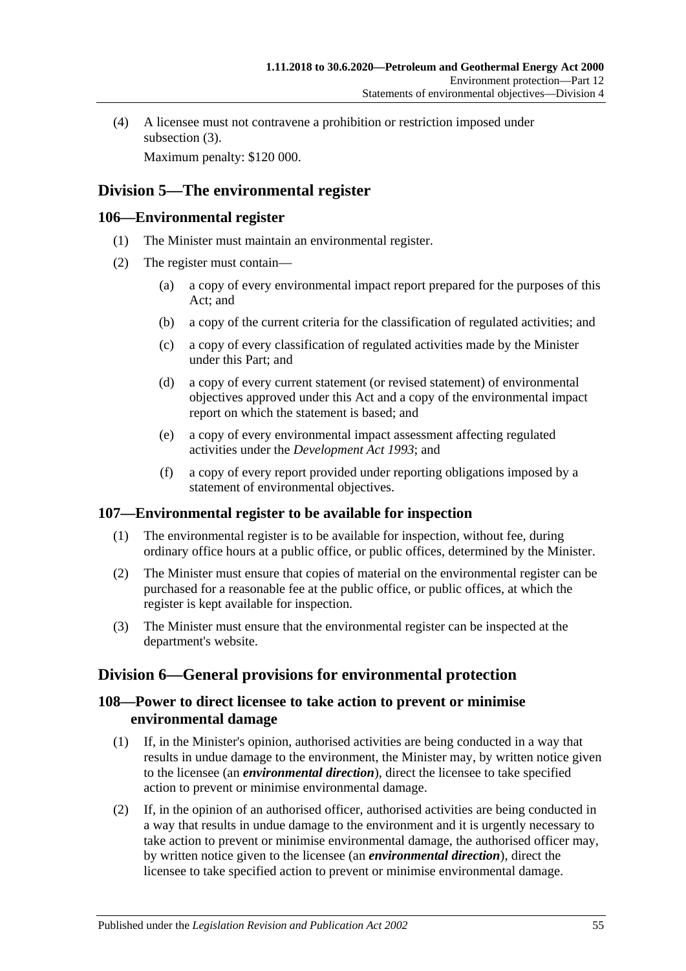(4) A licensee must not contravene a prohibition or restriction imposed under [subsection](#page-53-0)  $(3)$ .

Maximum penalty: \$120 000.

# **Division 5—The environmental register**

## **106—Environmental register**

- (1) The Minister must maintain an environmental register.
- (2) The register must contain—
	- (a) a copy of every environmental impact report prepared for the purposes of this Act; and
	- (b) a copy of the current criteria for the classification of regulated activities; and
	- (c) a copy of every classification of regulated activities made by the Minister under this Part; and
	- (d) a copy of every current statement (or revised statement) of environmental objectives approved under this Act and a copy of the environmental impact report on which the statement is based; and
	- (e) a copy of every environmental impact assessment affecting regulated activities under the *[Development Act](http://www.legislation.sa.gov.au/index.aspx?action=legref&type=act&legtitle=Development%20Act%201993) 1993*; and
	- (f) a copy of every report provided under reporting obligations imposed by a statement of environmental objectives.

## **107—Environmental register to be available for inspection**

- (1) The environmental register is to be available for inspection, without fee, during ordinary office hours at a public office, or public offices, determined by the Minister.
- (2) The Minister must ensure that copies of material on the environmental register can be purchased for a reasonable fee at the public office, or public offices, at which the register is kept available for inspection.
- (3) The Minister must ensure that the environmental register can be inspected at the department's website.

# **Division 6—General provisions for environmental protection**

## **108—Power to direct licensee to take action to prevent or minimise environmental damage**

- (1) If, in the Minister's opinion, authorised activities are being conducted in a way that results in undue damage to the environment, the Minister may, by written notice given to the licensee (an *environmental direction*), direct the licensee to take specified action to prevent or minimise environmental damage.
- (2) If, in the opinion of an authorised officer, authorised activities are being conducted in a way that results in undue damage to the environment and it is urgently necessary to take action to prevent or minimise environmental damage, the authorised officer may, by written notice given to the licensee (an *environmental direction*), direct the licensee to take specified action to prevent or minimise environmental damage.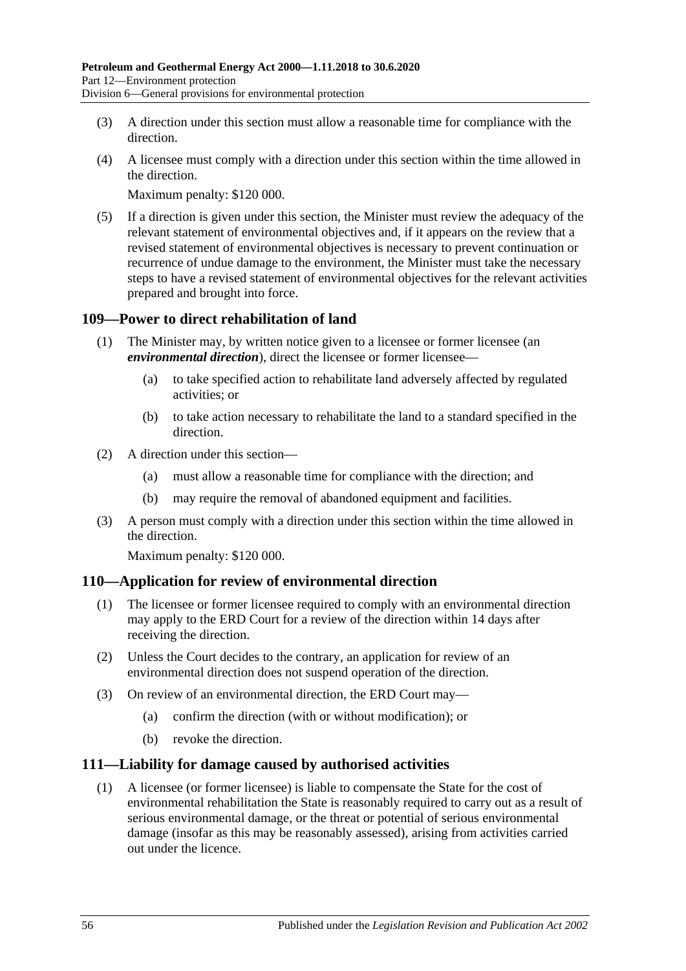- (3) A direction under this section must allow a reasonable time for compliance with the direction.
- (4) A licensee must comply with a direction under this section within the time allowed in the direction.

Maximum penalty: \$120 000.

(5) If a direction is given under this section, the Minister must review the adequacy of the relevant statement of environmental objectives and, if it appears on the review that a revised statement of environmental objectives is necessary to prevent continuation or recurrence of undue damage to the environment, the Minister must take the necessary steps to have a revised statement of environmental objectives for the relevant activities prepared and brought into force.

## **109—Power to direct rehabilitation of land**

- (1) The Minister may, by written notice given to a licensee or former licensee (an *environmental direction*), direct the licensee or former licensee—
	- (a) to take specified action to rehabilitate land adversely affected by regulated activities; or
	- (b) to take action necessary to rehabilitate the land to a standard specified in the direction.
- (2) A direction under this section—
	- (a) must allow a reasonable time for compliance with the direction; and
	- (b) may require the removal of abandoned equipment and facilities.
- (3) A person must comply with a direction under this section within the time allowed in the direction.

Maximum penalty: \$120 000.

## **110—Application for review of environmental direction**

- (1) The licensee or former licensee required to comply with an environmental direction may apply to the ERD Court for a review of the direction within 14 days after receiving the direction.
- (2) Unless the Court decides to the contrary, an application for review of an environmental direction does not suspend operation of the direction.
- (3) On review of an environmental direction, the ERD Court may—
	- (a) confirm the direction (with or without modification); or
	- (b) revoke the direction.

## **111—Liability for damage caused by authorised activities**

(1) A licensee (or former licensee) is liable to compensate the State for the cost of environmental rehabilitation the State is reasonably required to carry out as a result of serious environmental damage, or the threat or potential of serious environmental damage (insofar as this may be reasonably assessed), arising from activities carried out under the licence.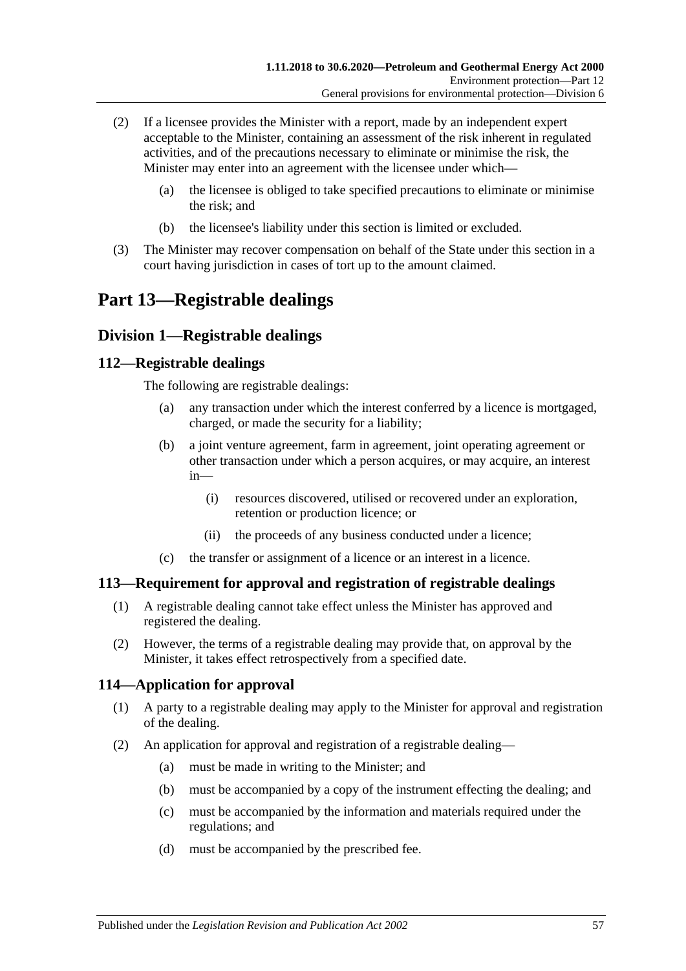- (2) If a licensee provides the Minister with a report, made by an independent expert acceptable to the Minister, containing an assessment of the risk inherent in regulated activities, and of the precautions necessary to eliminate or minimise the risk, the Minister may enter into an agreement with the licensee under which—
	- (a) the licensee is obliged to take specified precautions to eliminate or minimise the risk; and
	- (b) the licensee's liability under this section is limited or excluded.
- (3) The Minister may recover compensation on behalf of the State under this section in a court having jurisdiction in cases of tort up to the amount claimed.

# **Part 13—Registrable dealings**

## **Division 1—Registrable dealings**

## **112—Registrable dealings**

The following are registrable dealings:

- (a) any transaction under which the interest conferred by a licence is mortgaged, charged, or made the security for a liability;
- (b) a joint venture agreement, farm in agreement, joint operating agreement or other transaction under which a person acquires, or may acquire, an interest in—
	- (i) resources discovered, utilised or recovered under an exploration, retention or production licence; or
	- (ii) the proceeds of any business conducted under a licence;
- (c) the transfer or assignment of a licence or an interest in a licence.

## **113—Requirement for approval and registration of registrable dealings**

- (1) A registrable dealing cannot take effect unless the Minister has approved and registered the dealing.
- (2) However, the terms of a registrable dealing may provide that, on approval by the Minister, it takes effect retrospectively from a specified date.

## **114—Application for approval**

- (1) A party to a registrable dealing may apply to the Minister for approval and registration of the dealing.
- (2) An application for approval and registration of a registrable dealing—
	- (a) must be made in writing to the Minister; and
	- (b) must be accompanied by a copy of the instrument effecting the dealing; and
	- (c) must be accompanied by the information and materials required under the regulations; and
	- (d) must be accompanied by the prescribed fee.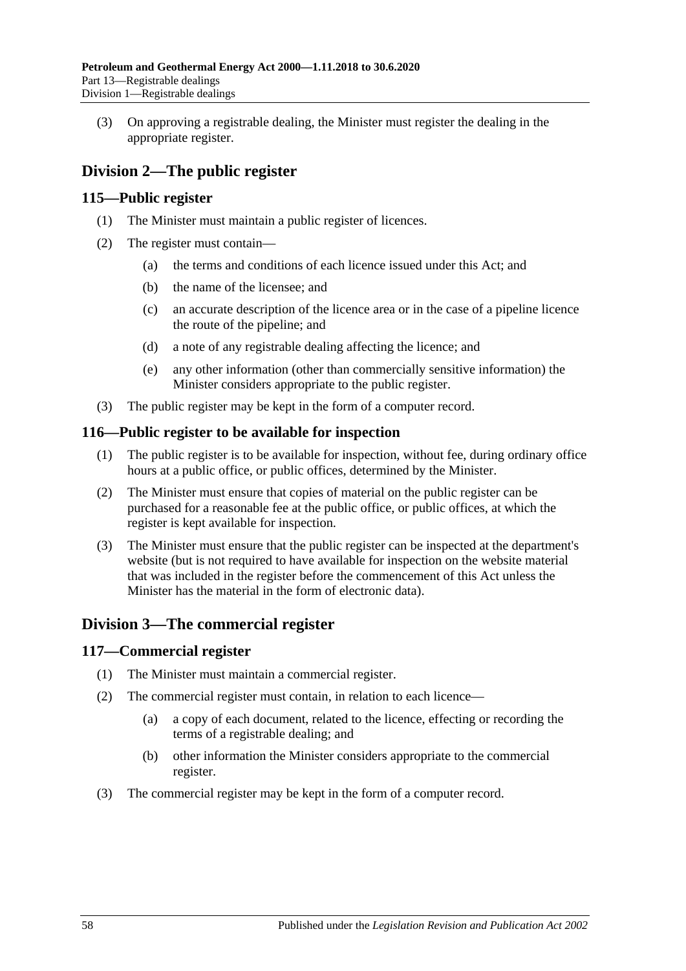(3) On approving a registrable dealing, the Minister must register the dealing in the appropriate register.

# **Division 2—The public register**

## **115—Public register**

- (1) The Minister must maintain a public register of licences.
- (2) The register must contain—
	- (a) the terms and conditions of each licence issued under this Act; and
	- (b) the name of the licensee; and
	- (c) an accurate description of the licence area or in the case of a pipeline licence the route of the pipeline; and
	- (d) a note of any registrable dealing affecting the licence; and
	- (e) any other information (other than commercially sensitive information) the Minister considers appropriate to the public register.
- (3) The public register may be kept in the form of a computer record.

## **116—Public register to be available for inspection**

- (1) The public register is to be available for inspection, without fee, during ordinary office hours at a public office, or public offices, determined by the Minister.
- (2) The Minister must ensure that copies of material on the public register can be purchased for a reasonable fee at the public office, or public offices, at which the register is kept available for inspection.
- (3) The Minister must ensure that the public register can be inspected at the department's website (but is not required to have available for inspection on the website material that was included in the register before the commencement of this Act unless the Minister has the material in the form of electronic data).

## **Division 3—The commercial register**

## **117—Commercial register**

- (1) The Minister must maintain a commercial register.
- (2) The commercial register must contain, in relation to each licence—
	- (a) a copy of each document, related to the licence, effecting or recording the terms of a registrable dealing; and
	- (b) other information the Minister considers appropriate to the commercial register.
- (3) The commercial register may be kept in the form of a computer record.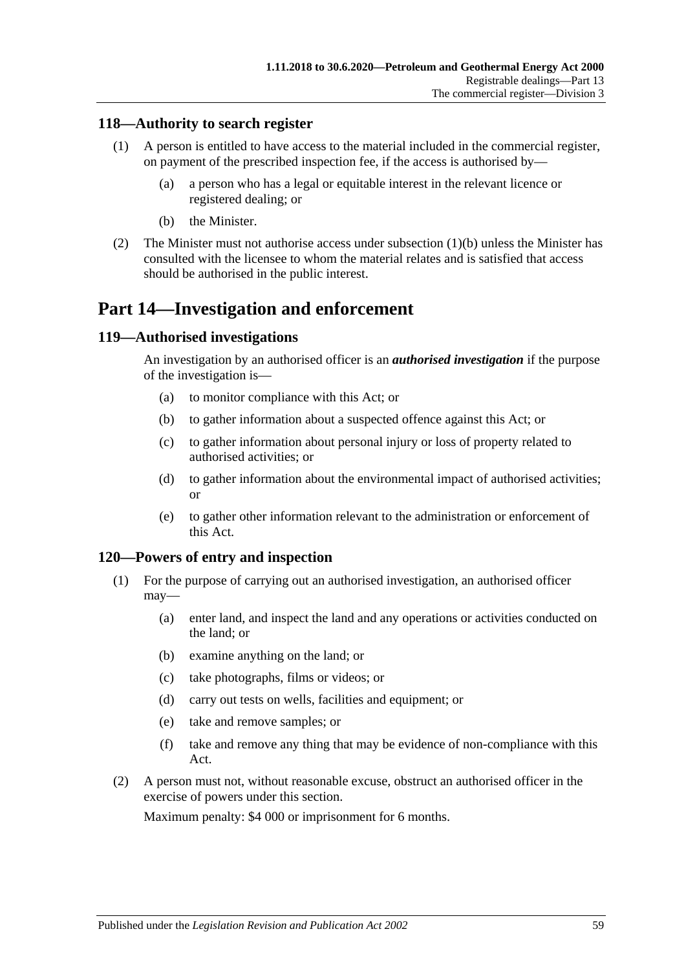## **118—Authority to search register**

- (1) A person is entitled to have access to the material included in the commercial register, on payment of the prescribed inspection fee, if the access is authorised by—
	- (a) a person who has a legal or equitable interest in the relevant licence or registered dealing; or
	- (b) the Minister.
- <span id="page-58-0"></span>(2) The Minister must not authorise access under [subsection](#page-58-0) (1)(b) unless the Minister has consulted with the licensee to whom the material relates and is satisfied that access should be authorised in the public interest.

# **Part 14—Investigation and enforcement**

#### **119—Authorised investigations**

An investigation by an authorised officer is an *authorised investigation* if the purpose of the investigation is—

- (a) to monitor compliance with this Act; or
- (b) to gather information about a suspected offence against this Act; or
- (c) to gather information about personal injury or loss of property related to authorised activities; or
- (d) to gather information about the environmental impact of authorised activities; or
- (e) to gather other information relevant to the administration or enforcement of this Act.

#### **120—Powers of entry and inspection**

- (1) For the purpose of carrying out an authorised investigation, an authorised officer may—
	- (a) enter land, and inspect the land and any operations or activities conducted on the land; or
	- (b) examine anything on the land; or
	- (c) take photographs, films or videos; or
	- (d) carry out tests on wells, facilities and equipment; or
	- (e) take and remove samples; or
	- (f) take and remove any thing that may be evidence of non-compliance with this Act.
- (2) A person must not, without reasonable excuse, obstruct an authorised officer in the exercise of powers under this section.

Maximum penalty: \$4 000 or imprisonment for 6 months.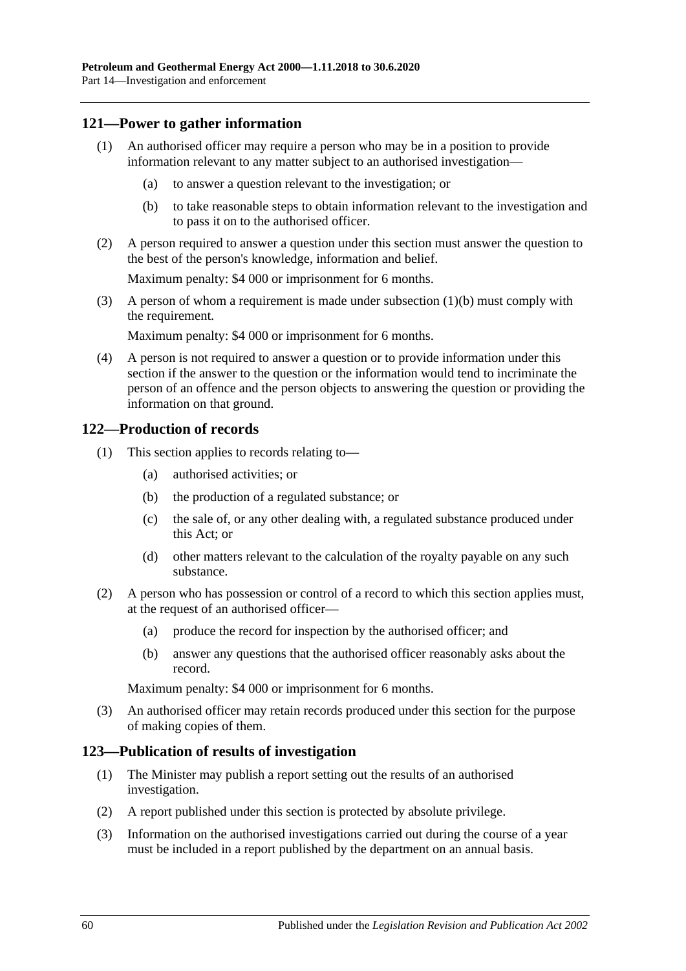## **121—Power to gather information**

- (1) An authorised officer may require a person who may be in a position to provide information relevant to any matter subject to an authorised investigation—
	- (a) to answer a question relevant to the investigation; or
	- (b) to take reasonable steps to obtain information relevant to the investigation and to pass it on to the authorised officer.
- <span id="page-59-0"></span>(2) A person required to answer a question under this section must answer the question to the best of the person's knowledge, information and belief.

Maximum penalty: \$4 000 or imprisonment for 6 months.

(3) A person of whom a requirement is made under [subsection](#page-59-0) (1)(b) must comply with the requirement.

Maximum penalty: \$4 000 or imprisonment for 6 months.

(4) A person is not required to answer a question or to provide information under this section if the answer to the question or the information would tend to incriminate the person of an offence and the person objects to answering the question or providing the information on that ground.

## **122—Production of records**

- (1) This section applies to records relating to—
	- (a) authorised activities; or
	- (b) the production of a regulated substance; or
	- (c) the sale of, or any other dealing with, a regulated substance produced under this Act; or
	- (d) other matters relevant to the calculation of the royalty payable on any such substance.
- (2) A person who has possession or control of a record to which this section applies must, at the request of an authorised officer—
	- (a) produce the record for inspection by the authorised officer; and
	- (b) answer any questions that the authorised officer reasonably asks about the record.

Maximum penalty: \$4 000 or imprisonment for 6 months.

(3) An authorised officer may retain records produced under this section for the purpose of making copies of them.

#### **123—Publication of results of investigation**

- (1) The Minister may publish a report setting out the results of an authorised investigation.
- (2) A report published under this section is protected by absolute privilege.
- (3) Information on the authorised investigations carried out during the course of a year must be included in a report published by the department on an annual basis.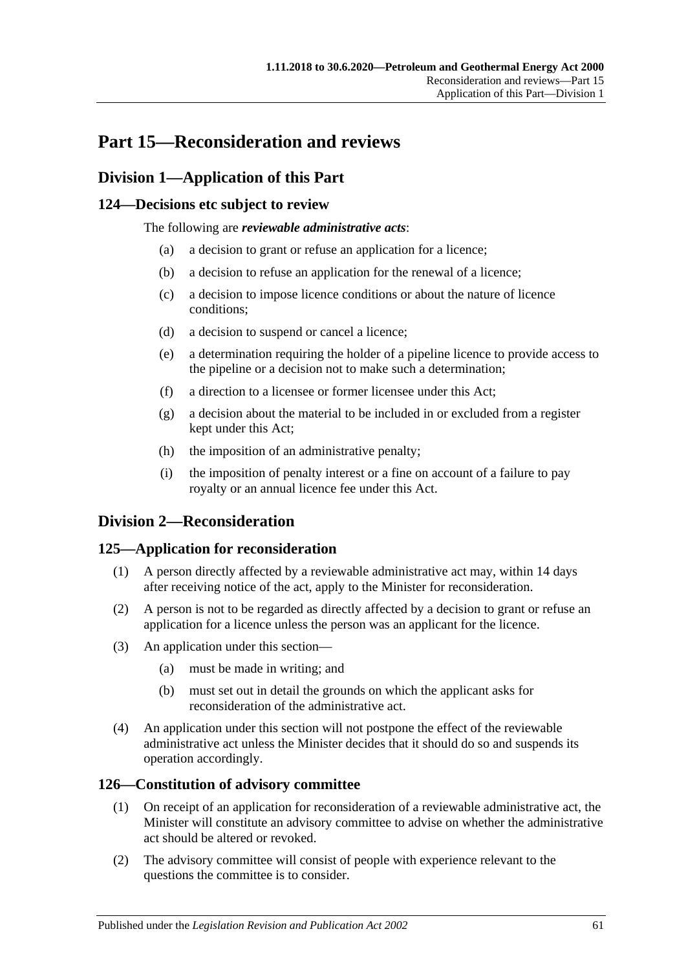# **Part 15—Reconsideration and reviews**

# **Division 1—Application of this Part**

## **124—Decisions etc subject to review**

The following are *reviewable administrative acts*:

- (a) a decision to grant or refuse an application for a licence;
- (b) a decision to refuse an application for the renewal of a licence;
- (c) a decision to impose licence conditions or about the nature of licence conditions;
- (d) a decision to suspend or cancel a licence;
- (e) a determination requiring the holder of a pipeline licence to provide access to the pipeline or a decision not to make such a determination;
- (f) a direction to a licensee or former licensee under this Act;
- (g) a decision about the material to be included in or excluded from a register kept under this Act;
- (h) the imposition of an administrative penalty;
- (i) the imposition of penalty interest or a fine on account of a failure to pay royalty or an annual licence fee under this Act.

# **Division 2—Reconsideration**

## **125—Application for reconsideration**

- (1) A person directly affected by a reviewable administrative act may, within 14 days after receiving notice of the act, apply to the Minister for reconsideration.
- (2) A person is not to be regarded as directly affected by a decision to grant or refuse an application for a licence unless the person was an applicant for the licence.
- (3) An application under this section—
	- (a) must be made in writing; and
	- (b) must set out in detail the grounds on which the applicant asks for reconsideration of the administrative act.
- (4) An application under this section will not postpone the effect of the reviewable administrative act unless the Minister decides that it should do so and suspends its operation accordingly.

## **126—Constitution of advisory committee**

- (1) On receipt of an application for reconsideration of a reviewable administrative act, the Minister will constitute an advisory committee to advise on whether the administrative act should be altered or revoked.
- (2) The advisory committee will consist of people with experience relevant to the questions the committee is to consider.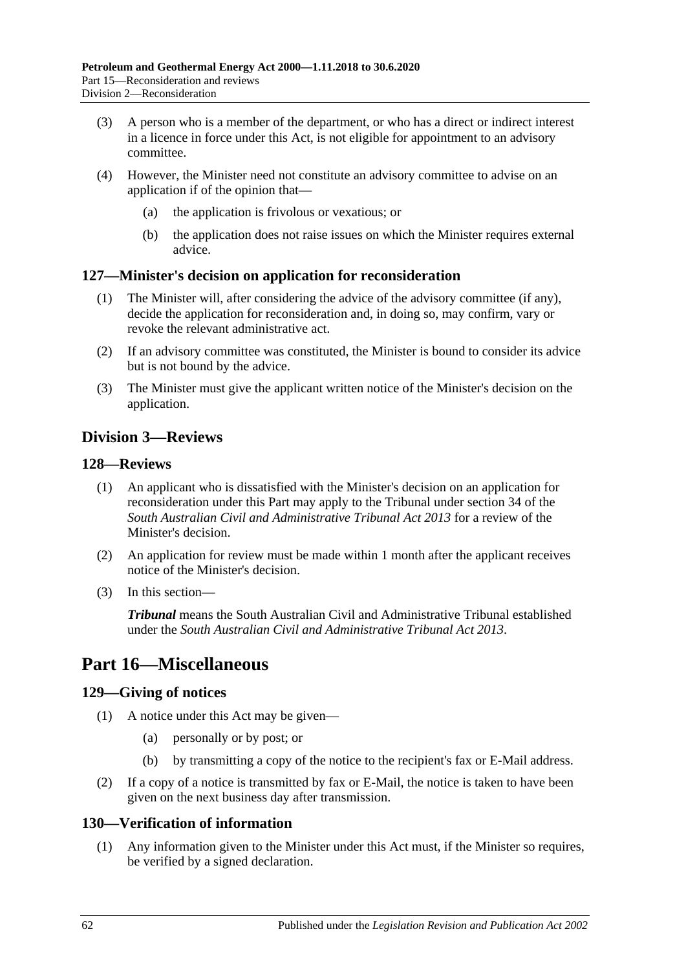- (3) A person who is a member of the department, or who has a direct or indirect interest in a licence in force under this Act, is not eligible for appointment to an advisory committee.
- (4) However, the Minister need not constitute an advisory committee to advise on an application if of the opinion that—
	- (a) the application is frivolous or vexatious; or
	- (b) the application does not raise issues on which the Minister requires external advice.

## **127—Minister's decision on application for reconsideration**

- (1) The Minister will, after considering the advice of the advisory committee (if any), decide the application for reconsideration and, in doing so, may confirm, vary or revoke the relevant administrative act.
- (2) If an advisory committee was constituted, the Minister is bound to consider its advice but is not bound by the advice.
- (3) The Minister must give the applicant written notice of the Minister's decision on the application.

# **Division 3—Reviews**

## **128—Reviews**

- (1) An applicant who is dissatisfied with the Minister's decision on an application for reconsideration under this Part may apply to the Tribunal under section 34 of the *[South Australian Civil and Administrative Tribunal Act](http://www.legislation.sa.gov.au/index.aspx?action=legref&type=act&legtitle=South%20Australian%20Civil%20and%20Administrative%20Tribunal%20Act%202013) 2013* for a review of the Minister's decision.
- (2) An application for review must be made within 1 month after the applicant receives notice of the Minister's decision.
- (3) In this section—

*Tribunal* means the South Australian Civil and Administrative Tribunal established under the *[South Australian Civil and Administrative Tribunal Act](http://www.legislation.sa.gov.au/index.aspx?action=legref&type=act&legtitle=South%20Australian%20Civil%20and%20Administrative%20Tribunal%20Act%202013) 2013*.

# **Part 16—Miscellaneous**

## **129—Giving of notices**

- (1) A notice under this Act may be given—
	- (a) personally or by post; or
	- (b) by transmitting a copy of the notice to the recipient's fax or E-Mail address.
- (2) If a copy of a notice is transmitted by fax or E-Mail, the notice is taken to have been given on the next business day after transmission.

## **130—Verification of information**

(1) Any information given to the Minister under this Act must, if the Minister so requires, be verified by a signed declaration.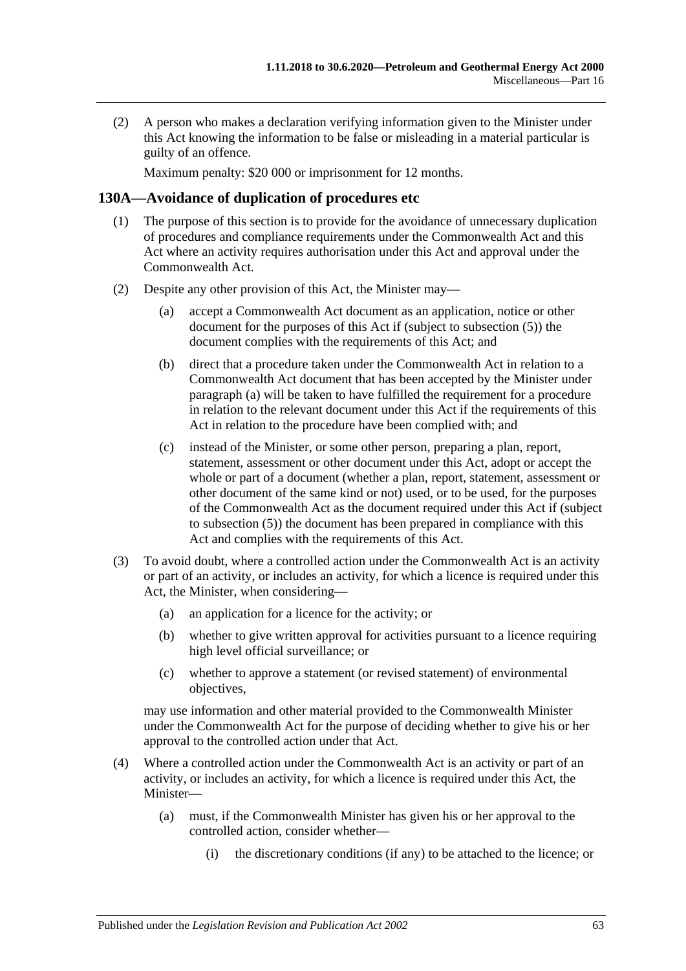(2) A person who makes a declaration verifying information given to the Minister under this Act knowing the information to be false or misleading in a material particular is guilty of an offence.

Maximum penalty: \$20 000 or imprisonment for 12 months.

## **130A—Avoidance of duplication of procedures etc**

- (1) The purpose of this section is to provide for the avoidance of unnecessary duplication of procedures and compliance requirements under the Commonwealth Act and this Act where an activity requires authorisation under this Act and approval under the Commonwealth Act.
- <span id="page-62-2"></span><span id="page-62-1"></span><span id="page-62-0"></span>(2) Despite any other provision of this Act, the Minister may—
	- (a) accept a Commonwealth Act document as an application, notice or other document for the purposes of this Act if (subject to [subsection](#page-63-0) (5)) the document complies with the requirements of this Act; and
	- (b) direct that a procedure taken under the Commonwealth Act in relation to a Commonwealth Act document that has been accepted by the Minister under [paragraph](#page-62-0) (a) will be taken to have fulfilled the requirement for a procedure in relation to the relevant document under this Act if the requirements of this Act in relation to the procedure have been complied with; and
	- (c) instead of the Minister, or some other person, preparing a plan, report, statement, assessment or other document under this Act, adopt or accept the whole or part of a document (whether a plan, report, statement, assessment or other document of the same kind or not) used, or to be used, for the purposes of the Commonwealth Act as the document required under this Act if (subject to [subsection](#page-63-0) (5)) the document has been prepared in compliance with this Act and complies with the requirements of this Act.
- (3) To avoid doubt, where a controlled action under the Commonwealth Act is an activity or part of an activity, or includes an activity, for which a licence is required under this Act, the Minister, when considering—
	- (a) an application for a licence for the activity; or
	- (b) whether to give written approval for activities pursuant to a licence requiring high level official surveillance; or
	- (c) whether to approve a statement (or revised statement) of environmental objectives,

may use information and other material provided to the Commonwealth Minister under the Commonwealth Act for the purpose of deciding whether to give his or her approval to the controlled action under that Act.

- (4) Where a controlled action under the Commonwealth Act is an activity or part of an activity, or includes an activity, for which a licence is required under this Act, the Minister—
	- (a) must, if the Commonwealth Minister has given his or her approval to the controlled action, consider whether—
		- (i) the discretionary conditions (if any) to be attached to the licence; or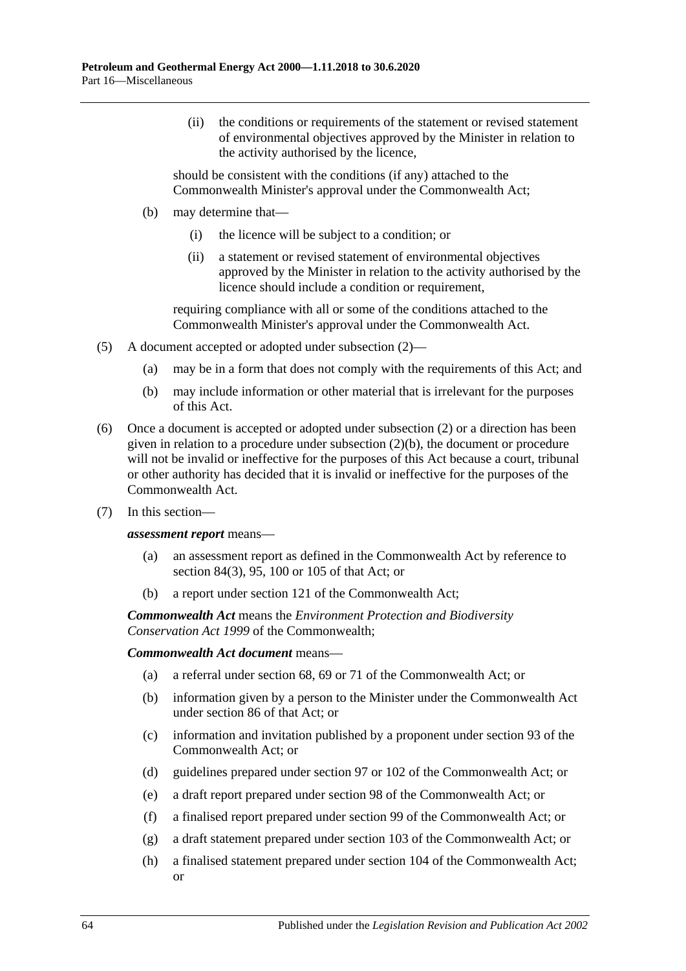(ii) the conditions or requirements of the statement or revised statement of environmental objectives approved by the Minister in relation to the activity authorised by the licence,

should be consistent with the conditions (if any) attached to the Commonwealth Minister's approval under the Commonwealth Act;

- (b) may determine that—
	- (i) the licence will be subject to a condition; or
	- (ii) a statement or revised statement of environmental objectives approved by the Minister in relation to the activity authorised by the licence should include a condition or requirement,

requiring compliance with all or some of the conditions attached to the Commonwealth Minister's approval under the Commonwealth Act.

- <span id="page-63-0"></span>(5) A document accepted or adopted under [subsection](#page-62-1) (2)—
	- (a) may be in a form that does not comply with the requirements of this Act; and
	- (b) may include information or other material that is irrelevant for the purposes of this Act.
- (6) Once a document is accepted or adopted under [subsection](#page-62-1) (2) or a direction has been given in relation to a procedure under [subsection](#page-62-2) (2)(b), the document or procedure will not be invalid or ineffective for the purposes of this Act because a court, tribunal or other authority has decided that it is invalid or ineffective for the purposes of the Commonwealth Act.
- (7) In this section—

#### *assessment report* means—

- (a) an assessment report as defined in the Commonwealth Act by reference to section 84(3), 95, 100 or 105 of that Act; or
- (b) a report under section 121 of the Commonwealth Act;

*Commonwealth Act* means the *Environment Protection and Biodiversity Conservation Act 1999* of the Commonwealth;

#### *Commonwealth Act document* means—

- (a) a referral under section 68, 69 or 71 of the Commonwealth Act; or
- (b) information given by a person to the Minister under the Commonwealth Act under section 86 of that Act; or
- (c) information and invitation published by a proponent under section 93 of the Commonwealth Act; or
- (d) guidelines prepared under section 97 or 102 of the Commonwealth Act; or
- (e) a draft report prepared under section 98 of the Commonwealth Act; or
- (f) a finalised report prepared under section 99 of the Commonwealth Act; or
- (g) a draft statement prepared under section 103 of the Commonwealth Act; or
- (h) a finalised statement prepared under section 104 of the Commonwealth Act; or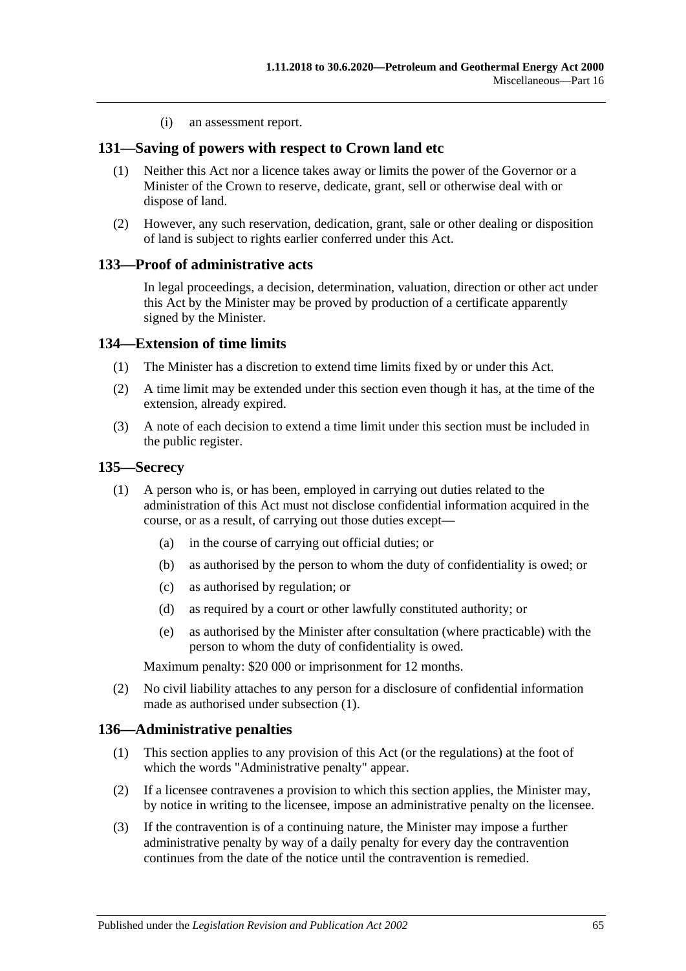(i) an assessment report.

## **131—Saving of powers with respect to Crown land etc**

- (1) Neither this Act nor a licence takes away or limits the power of the Governor or a Minister of the Crown to reserve, dedicate, grant, sell or otherwise deal with or dispose of land.
- (2) However, any such reservation, dedication, grant, sale or other dealing or disposition of land is subject to rights earlier conferred under this Act.

## **133—Proof of administrative acts**

In legal proceedings, a decision, determination, valuation, direction or other act under this Act by the Minister may be proved by production of a certificate apparently signed by the Minister.

## **134—Extension of time limits**

- (1) The Minister has a discretion to extend time limits fixed by or under this Act.
- (2) A time limit may be extended under this section even though it has, at the time of the extension, already expired.
- (3) A note of each decision to extend a time limit under this section must be included in the public register.

#### <span id="page-64-0"></span>**135—Secrecy**

- (1) A person who is, or has been, employed in carrying out duties related to the administration of this Act must not disclose confidential information acquired in the course, or as a result, of carrying out those duties except—
	- (a) in the course of carrying out official duties; or
	- (b) as authorised by the person to whom the duty of confidentiality is owed; or
	- (c) as authorised by regulation; or
	- (d) as required by a court or other lawfully constituted authority; or
	- (e) as authorised by the Minister after consultation (where practicable) with the person to whom the duty of confidentiality is owed.

Maximum penalty: \$20 000 or imprisonment for 12 months.

(2) No civil liability attaches to any person for a disclosure of confidential information made as authorised under [subsection](#page-64-0) (1).

#### **136—Administrative penalties**

- (1) This section applies to any provision of this Act (or the regulations) at the foot of which the words "Administrative penalty" appear.
- (2) If a licensee contravenes a provision to which this section applies, the Minister may, by notice in writing to the licensee, impose an administrative penalty on the licensee.
- (3) If the contravention is of a continuing nature, the Minister may impose a further administrative penalty by way of a daily penalty for every day the contravention continues from the date of the notice until the contravention is remedied.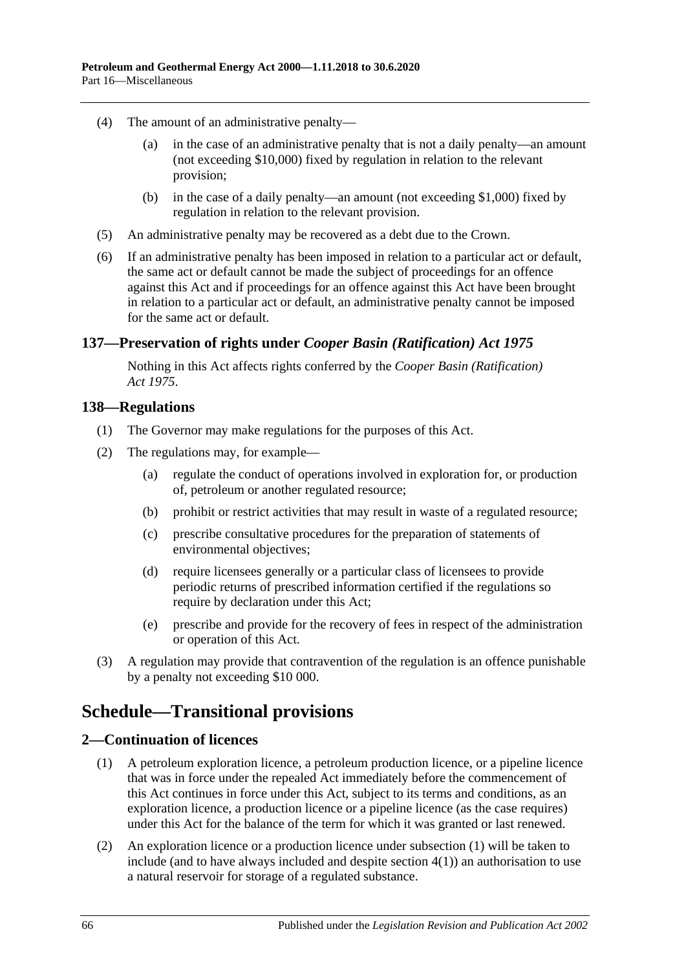- (4) The amount of an administrative penalty—
	- (a) in the case of an administrative penalty that is not a daily penalty—an amount (not exceeding \$10,000) fixed by regulation in relation to the relevant provision;
	- (b) in the case of a daily penalty—an amount (not exceeding \$1,000) fixed by regulation in relation to the relevant provision.
- (5) An administrative penalty may be recovered as a debt due to the Crown.
- (6) If an administrative penalty has been imposed in relation to a particular act or default, the same act or default cannot be made the subject of proceedings for an offence against this Act and if proceedings for an offence against this Act have been brought in relation to a particular act or default, an administrative penalty cannot be imposed for the same act or default.

## **137—Preservation of rights under** *Cooper Basin (Ratification) Act 1975*

Nothing in this Act affects rights conferred by the *[Cooper Basin \(Ratification\)](http://www.legislation.sa.gov.au/index.aspx?action=legref&type=act&legtitle=Cooper%20Basin%20(Ratification)%20Act%201975)  Act [1975](http://www.legislation.sa.gov.au/index.aspx?action=legref&type=act&legtitle=Cooper%20Basin%20(Ratification)%20Act%201975)*.

## **138—Regulations**

- (1) The Governor may make regulations for the purposes of this Act.
- (2) The regulations may, for example—
	- (a) regulate the conduct of operations involved in exploration for, or production of, petroleum or another regulated resource;
	- (b) prohibit or restrict activities that may result in waste of a regulated resource;
	- (c) prescribe consultative procedures for the preparation of statements of environmental objectives;
	- (d) require licensees generally or a particular class of licensees to provide periodic returns of prescribed information certified if the regulations so require by declaration under this Act:
	- (e) prescribe and provide for the recovery of fees in respect of the administration or operation of this Act.
- (3) A regulation may provide that contravention of the regulation is an offence punishable by a penalty not exceeding \$10 000.

# **Schedule—Transitional provisions**

## <span id="page-65-1"></span><span id="page-65-0"></span>**2—Continuation of licences**

- (1) A petroleum exploration licence, a petroleum production licence, or a pipeline licence that was in force under the repealed Act immediately before the commencement of this Act continues in force under this Act, subject to its terms and conditions, as an exploration licence, a production licence or a pipeline licence (as the case requires) under this Act for the balance of the term for which it was granted or last renewed.
- (2) An exploration licence or a production licence under [subsection](#page-65-0) (1) will be taken to include (and to have always included and despite [section](#page-66-0) 4(1)) an authorisation to use a natural reservoir for storage of a regulated substance.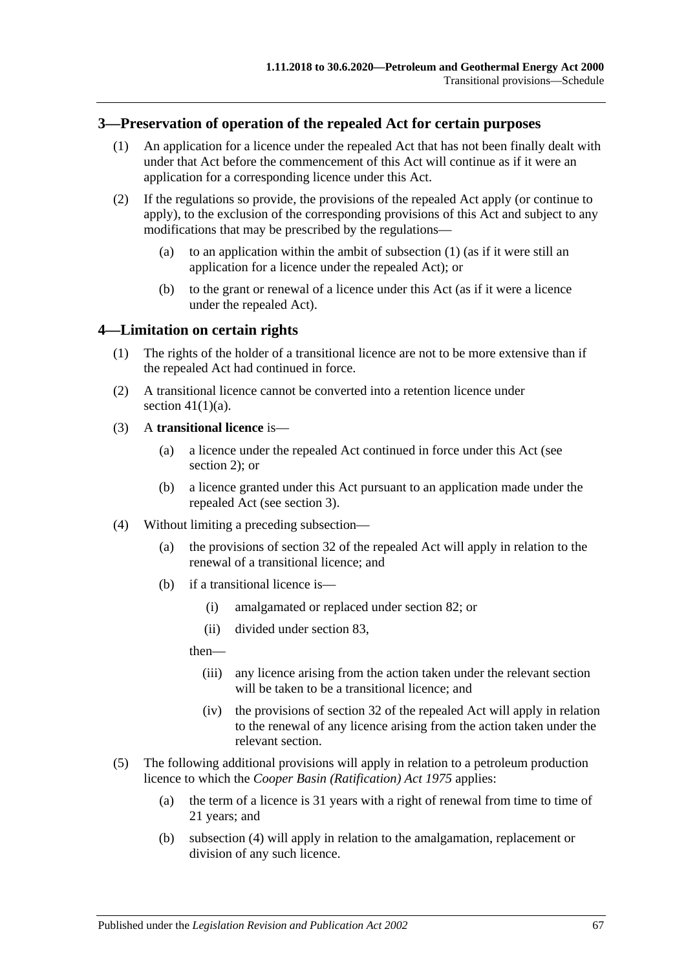## <span id="page-66-2"></span><span id="page-66-1"></span>**3—Preservation of operation of the repealed Act for certain purposes**

- (1) An application for a licence under the repealed Act that has not been finally dealt with under that Act before the commencement of this Act will continue as if it were an application for a corresponding licence under this Act.
- (2) If the regulations so provide, the provisions of the repealed Act apply (or continue to apply), to the exclusion of the corresponding provisions of this Act and subject to any modifications that may be prescribed by the regulations
	- (a) to an application within the ambit of [subsection](#page-66-1)  $(1)$  (as if it were still an application for a licence under the repealed Act); or
	- (b) to the grant or renewal of a licence under this Act (as if it were a licence under the repealed Act).

## <span id="page-66-0"></span>**4—Limitation on certain rights**

- (1) The rights of the holder of a transitional licence are not to be more extensive than if the repealed Act had continued in force.
- (2) A transitional licence cannot be converted into a retention licence under section  $41(1)(a)$ .

## (3) A **transitional licence** is—

- (a) a licence under the repealed Act continued in force under this Act (see [section](#page-65-1) 2); or
- (b) a licence granted under this Act pursuant to an application made under the repealed Act (see [section](#page-66-2) 3).
- <span id="page-66-3"></span>(4) Without limiting a preceding subsection—
	- (a) the provisions of section 32 of the repealed Act will apply in relation to the renewal of a transitional licence; and
	- (b) if a transitional licence is—
		- (i) amalgamated or replaced under [section](#page-44-3) 82; or
		- (ii) divided under [section](#page-44-4) 83,

then—

- (iii) any licence arising from the action taken under the relevant section will be taken to be a transitional licence; and
- (iv) the provisions of section 32 of the repealed Act will apply in relation to the renewal of any licence arising from the action taken under the relevant section.
- (5) The following additional provisions will apply in relation to a petroleum production licence to which the *[Cooper Basin \(Ratification\) Act](http://www.legislation.sa.gov.au/index.aspx?action=legref&type=act&legtitle=Cooper%20Basin%20(Ratification)%20Act%201975) 1975* applies:
	- (a) the term of a licence is 31 years with a right of renewal from time to time of 21 years; and
	- (b) [subsection](#page-66-3) (4) will apply in relation to the amalgamation, replacement or division of any such licence.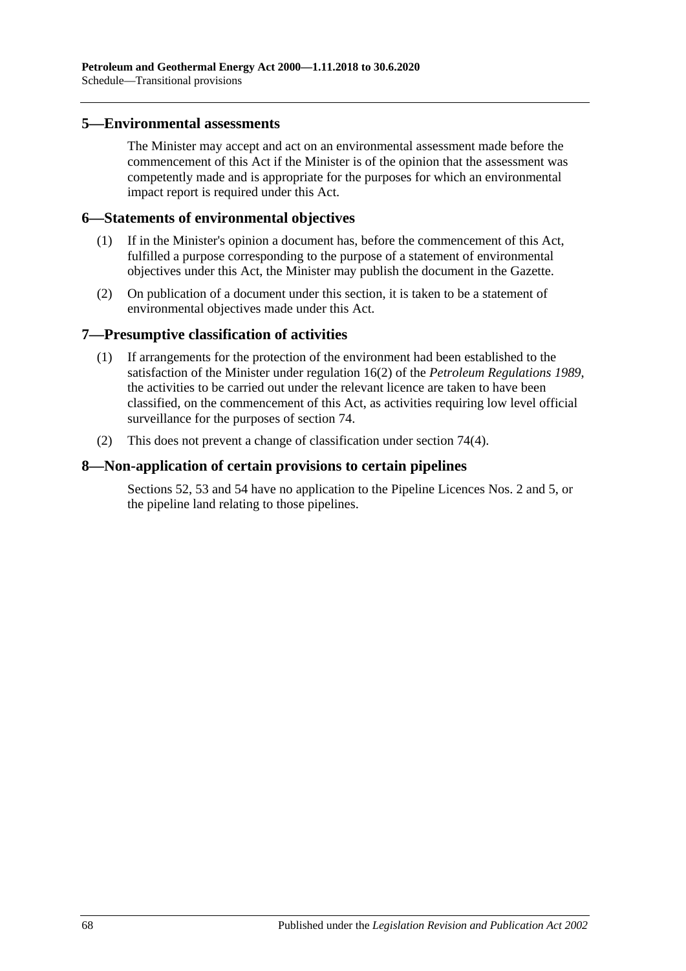#### **5—Environmental assessments**

The Minister may accept and act on an environmental assessment made before the commencement of this Act if the Minister is of the opinion that the assessment was competently made and is appropriate for the purposes for which an environmental impact report is required under this Act.

## **6—Statements of environmental objectives**

- (1) If in the Minister's opinion a document has, before the commencement of this Act, fulfilled a purpose corresponding to the purpose of a statement of environmental objectives under this Act, the Minister may publish the document in the Gazette.
- (2) On publication of a document under this section, it is taken to be a statement of environmental objectives made under this Act.

## **7—Presumptive classification of activities**

- (1) If arrangements for the protection of the environment had been established to the satisfaction of the Minister under regulation 16(2) of the *[Petroleum Regulations](http://www.legislation.sa.gov.au/index.aspx?action=legref&type=subordleg&legtitle=Petroleum%20Regulations%201989) 1989*, the activities to be carried out under the relevant licence are taken to have been classified, on the commencement of this Act, as activities requiring low level official surveillance for the purposes of [section](#page-40-0) 74.
- (2) This does not prevent a change of classification under [section](#page-41-1) 74(4).

## **8—Non-application of certain provisions to certain pipelines**

[Sections](#page-30-0) 52, [53](#page-30-1) and [54](#page-30-2) have no application to the Pipeline Licences Nos. 2 and 5, or the pipeline land relating to those pipelines.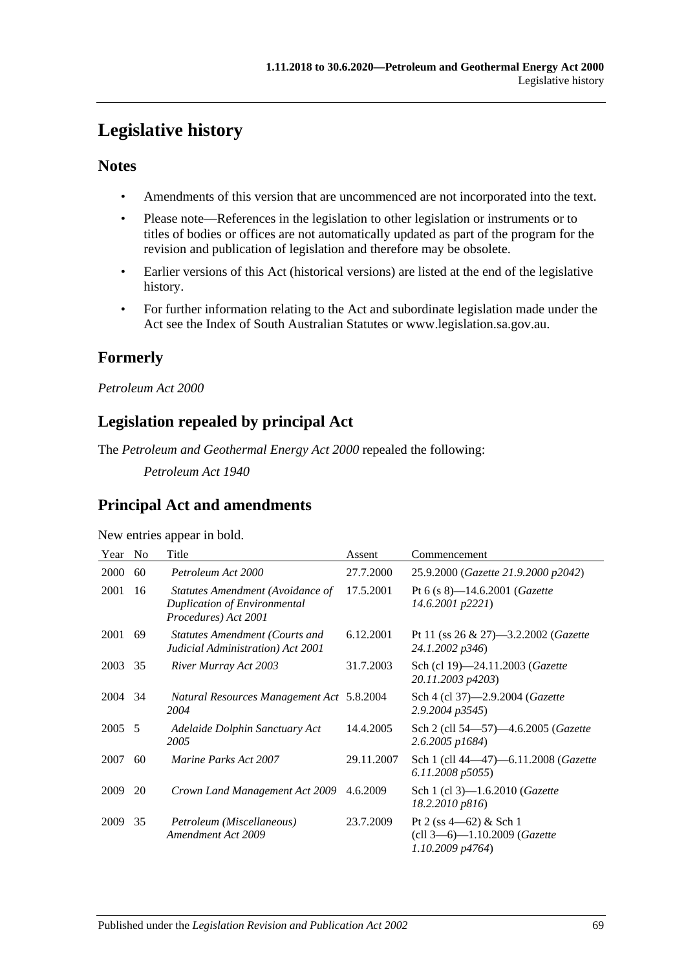# **Legislative history**

## **Notes**

- Amendments of this version that are uncommenced are not incorporated into the text.
- Please note—References in the legislation to other legislation or instruments or to titles of bodies or offices are not automatically updated as part of the program for the revision and publication of legislation and therefore may be obsolete.
- Earlier versions of this Act (historical versions) are listed at the end of the legislative history.
- For further information relating to the Act and subordinate legislation made under the Act see the Index of South Australian Statutes or www.legislation.sa.gov.au.

# **Formerly**

*Petroleum Act 2000*

# **Legislation repealed by principal Act**

The *Petroleum and Geothermal Energy Act 2000* repealed the following:

*Petroleum Act 1940*

# **Principal Act and amendments**

#### New entries appear in bold.

| Year | N <sub>0</sub> | Title                                                                                           | Assent     | Commencement                                                                     |
|------|----------------|-------------------------------------------------------------------------------------------------|------------|----------------------------------------------------------------------------------|
| 2000 | 60             | Petroleum Act 2000                                                                              | 27.7.2000  | 25.9.2000 (Gazette 21.9.2000 p2042)                                              |
| 2001 | 16             | Statutes Amendment (Avoidance of<br><b>Duplication of Environmental</b><br>Procedures) Act 2001 | 17.5.2001  | Pt 6 (s $8$ )—14.6.2001 ( <i>Gazette</i><br>14.6.2001 p2221)                     |
| 2001 | 69             | Statutes Amendment (Courts and<br>Judicial Administration) Act 2001                             | 6.12.2001  | Pt 11 (ss $26 \& 27$ )—3.2.2002 ( <i>Gazette</i><br>24.1.2002 p346)              |
| 2003 | 35             | River Murray Act 2003                                                                           | 31.7.2003  | Sch (cl 19)-24.11.2003 (Gazette<br>20.11.2003 p4203)                             |
| 2004 | 34             | Natural Resources Management Act 5.8.2004<br>2004                                               |            | Sch 4 (cl 37)-2.9.2004 (Gazette<br>2.9.2004 p3545)                               |
| 2005 | -5             | Adelaide Dolphin Sanctuary Act<br>2005                                                          | 14.4.2005  | Sch 2 (cll 54–57)–4.6.2005 ( <i>Gazette</i><br>2.6.2005 p1684)                   |
| 2007 | 60             | <i>Marine Parks Act 2007</i>                                                                    | 29.11.2007 | Sch 1 (cll 44—47)—6.11.2008 (Gazette<br>6.11.2008 p5055)                         |
| 2009 | 20             | Crown Land Management Act 2009                                                                  | 4.6.2009   | Sch 1 (cl 3)-1.6.2010 ( <i>Gazette</i><br>18.2.2010 p816)                        |
| 2009 | 35             | Petroleum (Miscellaneous)<br>Amendment Act 2009                                                 | 23.7.2009  | Pt 2 (ss $4-62$ ) & Sch 1<br>(cll $3$ —6)—1.10.2009 (Gazette<br>1.10.2009 p4764) |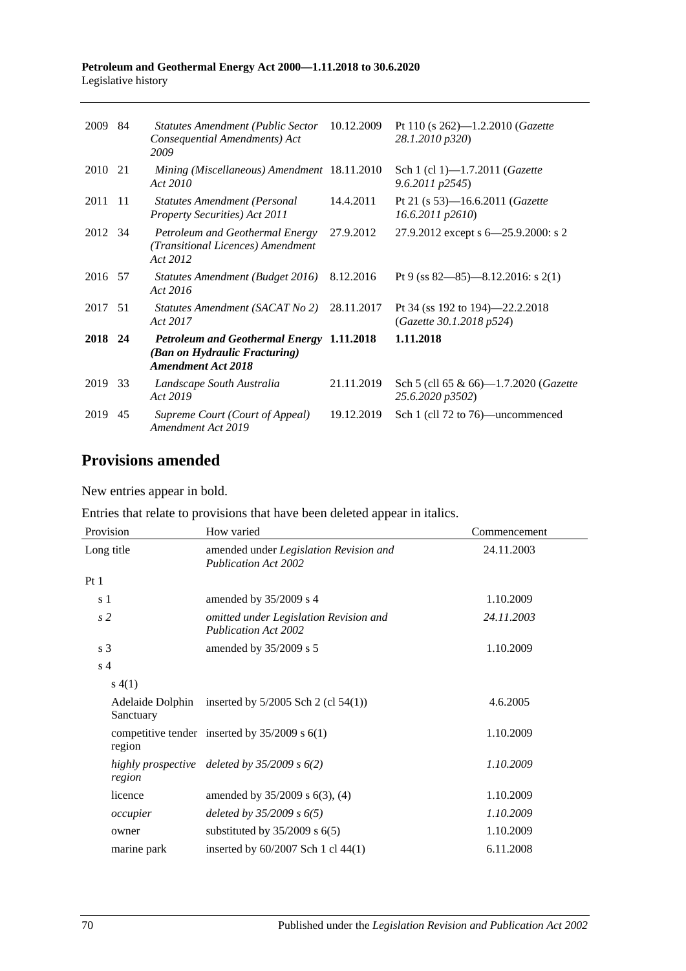#### **Petroleum and Geothermal Energy Act 2000—1.11.2018 to 30.6.2020** Legislative history

| 2009    | 84  | <b>Statutes Amendment (Public Sector</b><br>Consequential Amendments) Act<br>2009                              | 10.12.2009 | Pt 110 (s $262$ )—1.2.2010 ( <i>Gazette</i><br>28.1.2010 p320) |
|---------|-----|----------------------------------------------------------------------------------------------------------------|------------|----------------------------------------------------------------|
| 2010    | 21  | Mining (Miscellaneous) Amendment 18.11.2010<br>Act 2010                                                        |            | Sch 1 (cl 1)-1.7.2011 (Gazette<br>9.6.2011 p2545)              |
| 2011    | -11 | <b>Statutes Amendment (Personal</b><br>Property Securities) Act 2011                                           | 14.4.2011  | Pt 21 (s 53)-16.6.2011 (Gazette<br>$16.6.2011$ $p2610$         |
| 2012 34 |     | Petroleum and Geothermal Energy<br>(Transitional Licences) Amendment<br>Act 2012                               | 27.9.2012  | 27.9.2012 except s 6–25.9.2000: s 2                            |
| 2016 57 |     | Statutes Amendment (Budget 2016)<br>Act 2016                                                                   | 8.12.2016  | Pt 9 (ss $82 - 85$ ) - 8.12.2016: s 2(1)                       |
| 2017    | 51  | Statutes Amendment (SACAT No 2)<br>Act 2017                                                                    | 28.11.2017 | Pt 34 (ss 192 to 194)—22.2.2018<br>(Gazette 30.1.2018 p524)    |
| 2018 24 |     | <b>Petroleum and Geothermal Energy 1.11.2018</b><br>(Ban on Hydraulic Fracturing)<br><b>Amendment Act 2018</b> |            | 1.11.2018                                                      |
| 2019    | 33  | Landscape South Australia<br>Act 2019                                                                          | 21.11.2019 | Sch 5 (cll 65 & 66)—1.7.2020 (Gazette<br>25.6.2020 p3502)      |
| 2019    | 45  | Supreme Court (Court of Appeal)<br>Amendment Act 2019                                                          | 19.12.2019 | Sch 1 (cll 72 to 76)—uncommenced                               |

# **Provisions amended**

New entries appear in bold.

|  |  | Entries that relate to provisions that have been deleted appear in italics. |  |
|--|--|-----------------------------------------------------------------------------|--|
|  |  |                                                                             |  |

| Provision      | How varied                                                            | Commencement |
|----------------|-----------------------------------------------------------------------|--------------|
| Long title     | amended under Legislation Revision and<br><b>Publication Act 2002</b> | 24.11.2003   |
| Pt1            |                                                                       |              |
| s 1            | amended by 35/2009 s 4                                                | 1.10.2009    |
| s <sub>2</sub> | omitted under Legislation Revision and<br><b>Publication Act 2002</b> | 24.11.2003   |
| s <sub>3</sub> | amended by 35/2009 s 5                                                | 1.10.2009    |
| s <sub>4</sub> |                                                                       |              |
| s(4(1))        |                                                                       |              |
| Sanctuary      | Adelaide Dolphin inserted by $5/2005$ Sch 2 (cl $54(1)$ )             | 4.6.2005     |
| region         | competitive tender inserted by $35/2009$ s $6(1)$                     | 1.10.2009    |
| region         | highly prospective deleted by $35/2009$ s $6(2)$                      | 1.10.2009    |
| licence        | amended by 35/2009 s 6(3), (4)                                        | 1.10.2009    |
| occupier       | deleted by $35/2009 s 6(5)$                                           | 1.10.2009    |
| owner          | substituted by $35/2009$ s $6(5)$                                     | 1.10.2009    |
| marine park    | inserted by $60/2007$ Sch 1 cl 44(1)                                  | 6.11.2008    |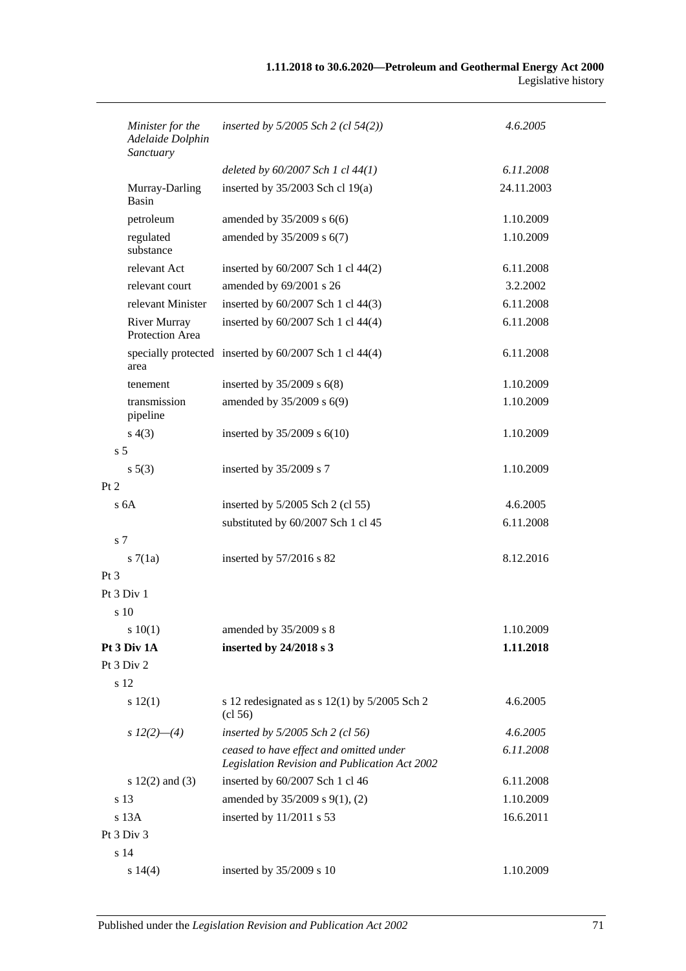| Minister for the<br>Adelaide Dolphin<br>Sanctuary | inserted by $5/2005$ Sch 2 (cl $54(2)$ )                                                 | 4.6.2005   |
|---------------------------------------------------|------------------------------------------------------------------------------------------|------------|
|                                                   | deleted by $60/2007$ Sch 1 cl $44(1)$                                                    | 6.11.2008  |
| Murray-Darling<br><b>Basin</b>                    | inserted by 35/2003 Sch cl 19(a)                                                         | 24.11.2003 |
| petroleum                                         | amended by $35/2009$ s $6(6)$                                                            | 1.10.2009  |
| regulated<br>substance                            | amended by 35/2009 s 6(7)                                                                | 1.10.2009  |
| relevant Act                                      | inserted by 60/2007 Sch 1 cl 44(2)                                                       | 6.11.2008  |
| relevant court                                    | amended by 69/2001 s 26                                                                  | 3.2.2002   |
| relevant Minister                                 | inserted by 60/2007 Sch 1 cl 44(3)                                                       | 6.11.2008  |
| <b>River Murray</b><br>Protection Area            | inserted by 60/2007 Sch 1 cl 44(4)                                                       | 6.11.2008  |
| area                                              | specially protected inserted by 60/2007 Sch 1 cl 44(4)                                   | 6.11.2008  |
| tenement                                          | inserted by $35/2009$ s $6(8)$                                                           | 1.10.2009  |
| transmission<br>pipeline                          | amended by 35/2009 s 6(9)                                                                | 1.10.2009  |
| s(4(3))                                           | inserted by $35/2009$ s $6(10)$                                                          | 1.10.2009  |
| s <sub>5</sub>                                    |                                                                                          |            |
| $s\ 5(3)$                                         | inserted by 35/2009 s 7                                                                  | 1.10.2009  |
| Pt 2                                              |                                                                                          |            |
| s <sub>6A</sub>                                   | inserted by $5/2005$ Sch 2 (cl 55)                                                       | 4.6.2005   |
|                                                   | substituted by 60/2007 Sch 1 cl 45                                                       | 6.11.2008  |
| s <sub>7</sub>                                    |                                                                                          |            |
| s7(1a)                                            | inserted by 57/2016 s 82                                                                 | 8.12.2016  |
| $Pt\,3$                                           |                                                                                          |            |
| Pt 3 Div 1                                        |                                                                                          |            |
| s 10                                              |                                                                                          |            |
| 10(1)                                             | amended by 35/2009 s 8                                                                   | 1.10.2009  |
| Pt 3 Div 1A                                       | inserted by 24/2018 s 3                                                                  | 1.11.2018  |
| Pt 3 Div 2                                        |                                                                                          |            |
| s 12                                              |                                                                                          |            |
| s 12(1)                                           | s 12 redesignated as $s$ 12(1) by 5/2005 Sch 2<br>$\left( \text{cl } 56 \right)$         | 4.6.2005   |
| s $12(2)$ —(4)                                    | inserted by $5/2005$ Sch 2 (cl 56)                                                       | 4.6.2005   |
|                                                   | ceased to have effect and omitted under<br>Legislation Revision and Publication Act 2002 | 6.11.2008  |
| s $12(2)$ and $(3)$                               | inserted by 60/2007 Sch 1 cl 46                                                          | 6.11.2008  |
| s 13                                              | amended by 35/2009 s 9(1), (2)                                                           | 1.10.2009  |
| $s$ 13 $A$                                        | inserted by 11/2011 s 53                                                                 | 16.6.2011  |
| Pt 3 Div 3                                        |                                                                                          |            |
| s 14                                              |                                                                                          |            |
| s 14(4)                                           | inserted by 35/2009 s 10                                                                 | 1.10.2009  |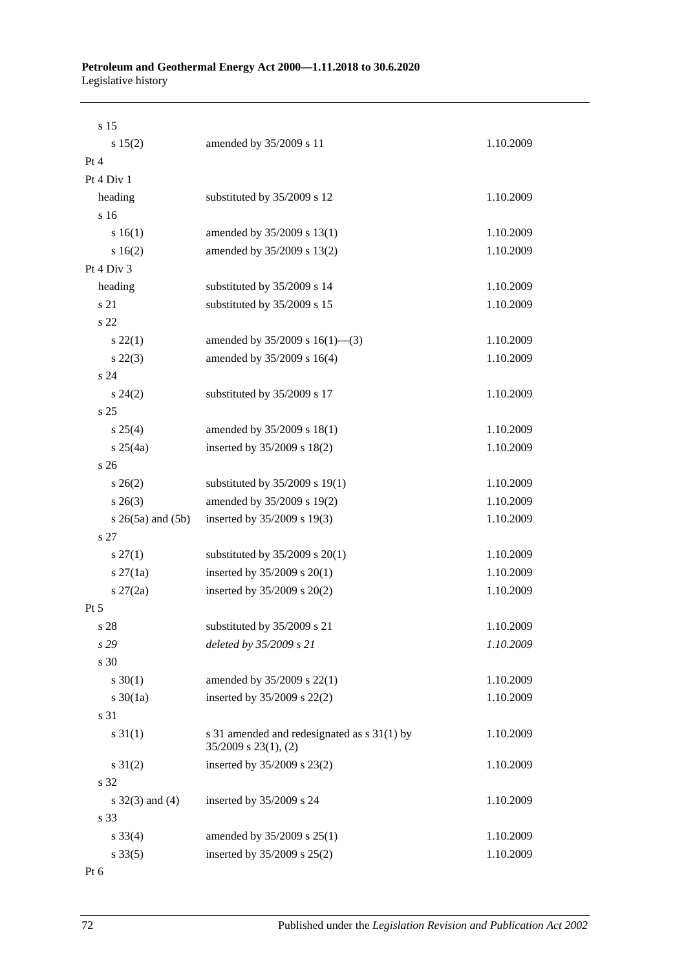| s 15                     |                                                                          |           |  |
|--------------------------|--------------------------------------------------------------------------|-----------|--|
| s 15(2)                  | amended by 35/2009 s 11                                                  | 1.10.2009 |  |
| Pt 4                     |                                                                          |           |  |
| Pt 4 Div 1               |                                                                          |           |  |
| heading                  | substituted by 35/2009 s 12                                              | 1.10.2009 |  |
| s 16                     |                                                                          |           |  |
| s 16(1)                  | amended by 35/2009 s 13(1)                                               | 1.10.2009 |  |
| s 16(2)                  | amended by 35/2009 s 13(2)                                               | 1.10.2009 |  |
| Pt $4$ Div $3$           |                                                                          |           |  |
| heading                  | substituted by 35/2009 s 14                                              | 1.10.2009 |  |
| s 21                     | substituted by 35/2009 s 15                                              | 1.10.2009 |  |
| s 22                     |                                                                          |           |  |
| $s\,22(1)$               | amended by $35/2009$ s $16(1)$ —(3)                                      | 1.10.2009 |  |
| $s\ 22(3)$               | amended by 35/2009 s 16(4)                                               | 1.10.2009 |  |
| s24                      |                                                                          |           |  |
| $s\,24(2)$               | substituted by 35/2009 s 17                                              | 1.10.2009 |  |
| s <sub>25</sub>          |                                                                          |           |  |
| s 25(4)                  | amended by 35/2009 s 18(1)                                               | 1.10.2009 |  |
| $s \; 25(4a)$            | inserted by 35/2009 s 18(2)                                              | 1.10.2009 |  |
| s <sub>26</sub>          |                                                                          |           |  |
| $s \; 26(2)$             | substituted by $35/2009$ s 19(1)                                         | 1.10.2009 |  |
| $s \; 26(3)$             | amended by 35/2009 s 19(2)                                               | 1.10.2009 |  |
| $s \; 26(5a)$ and $(5b)$ | inserted by 35/2009 s 19(3)                                              | 1.10.2009 |  |
| s 27                     |                                                                          |           |  |
| $s\,27(1)$               | substituted by $35/2009$ s $20(1)$                                       | 1.10.2009 |  |
| $s \, 27(1a)$            | inserted by $35/2009$ s $20(1)$                                          | 1.10.2009 |  |
| $s \, 27(2a)$            | inserted by 35/2009 s 20(2)                                              | 1.10.2009 |  |
| $Pt\,5$                  |                                                                          |           |  |
| s 28                     | substituted by 35/2009 s 21                                              | 1.10.2009 |  |
| s 29                     | deleted by 35/2009 s 21                                                  | 1.10.2009 |  |
| s 30                     |                                                                          |           |  |
| $s \ 30(1)$              | amended by 35/2009 s 22(1)                                               | 1.10.2009 |  |
| s $30(1a)$               | inserted by 35/2009 s 22(2)                                              | 1.10.2009 |  |
| s 31                     |                                                                          |           |  |
| $s \ 31(1)$              | s 31 amended and redesignated as s 31(1) by<br>$35/2009$ s $23(1)$ , (2) | 1.10.2009 |  |
| $s \ 31(2)$              | inserted by 35/2009 s 23(2)                                              | 1.10.2009 |  |
| s 32                     |                                                                          |           |  |
| $s \; 32(3)$ and (4)     | inserted by 35/2009 s 24                                                 | 1.10.2009 |  |
| s 33                     |                                                                          |           |  |
| $s \, 33(4)$             | amended by 35/2009 s 25(1)                                               | 1.10.2009 |  |
| $s \, 33(5)$             | inserted by 35/2009 s 25(2)                                              | 1.10.2009 |  |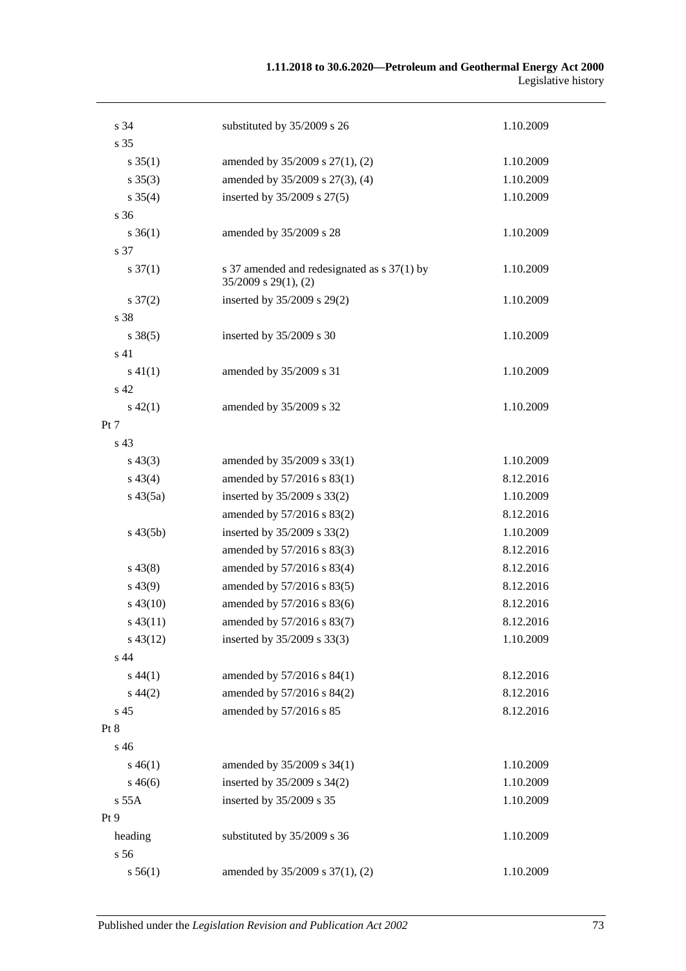#### **1.11.2018 to 30.6.2020—Petroleum and Geothermal Energy Act 2000** Legislative history

| s 34                | substituted by 35/2009 s 26                                              | 1.10.2009 |
|---------------------|--------------------------------------------------------------------------|-----------|
| s 35                |                                                                          |           |
| $s \, 35(1)$        | amended by 35/2009 s 27(1), (2)                                          | 1.10.2009 |
| $s \; 35(3)$        | amended by 35/2009 s 27(3), (4)                                          | 1.10.2009 |
| $s \, 35(4)$        | inserted by 35/2009 s 27(5)                                              | 1.10.2009 |
| s 36                |                                                                          |           |
| $s \, 36(1)$        | amended by 35/2009 s 28                                                  | 1.10.2009 |
| s 37                |                                                                          |           |
| $s \frac{37(1)}{2}$ | s 37 amended and redesignated as s 37(1) by<br>$35/2009$ s $29(1)$ , (2) | 1.10.2009 |
| $s \frac{37(2)}{2}$ | inserted by 35/2009 s 29(2)                                              | 1.10.2009 |
| s 38                |                                                                          |           |
| $s \, 38(5)$        | inserted by 35/2009 s 30                                                 | 1.10.2009 |
| s 41                |                                                                          |           |
| $s\ 41(1)$          | amended by 35/2009 s 31                                                  | 1.10.2009 |
| s 42                |                                                                          |           |
| $s\ 42(1)$          | amended by 35/2009 s 32                                                  | 1.10.2009 |
| Pt 7                |                                                                          |           |
| s <sub>43</sub>     |                                                                          |           |
| $s\,43(3)$          | amended by 35/2009 s 33(1)                                               | 1.10.2009 |
| $s\,43(4)$          | amended by 57/2016 s 83(1)                                               | 8.12.2016 |
| $s\,43(5a)$         | inserted by 35/2009 s 33(2)                                              | 1.10.2009 |
|                     | amended by 57/2016 s 83(2)                                               | 8.12.2016 |
| $s\,43(5b)$         | inserted by 35/2009 s 33(2)                                              | 1.10.2009 |
|                     | amended by 57/2016 s 83(3)                                               | 8.12.2016 |
| $s\,43(8)$          | amended by 57/2016 s 83(4)                                               | 8.12.2016 |
| $s\,43(9)$          | amended by 57/2016 s 83(5)                                               | 8.12.2016 |
| $s\,43(10)$         | amended by 57/2016 s 83(6)                                               | 8.12.2016 |
| $s\,43(11)$         | amended by 57/2016 s 83(7)                                               | 8.12.2016 |
| $s\,43(12)$         | inserted by 35/2009 s 33(3)                                              | 1.10.2009 |
| s 44                |                                                                          |           |
| $s\,44(1)$          | amended by 57/2016 s 84(1)                                               | 8.12.2016 |
| $s\,44(2)$          | amended by 57/2016 s 84(2)                                               | 8.12.2016 |
| s <sub>45</sub>     | amended by 57/2016 s 85                                                  | 8.12.2016 |
| Pt 8                |                                                                          |           |
| s 46                |                                                                          |           |
| $s\,46(1)$          | amended by 35/2009 s 34(1)                                               | 1.10.2009 |
| $s\,46(6)$          | inserted by 35/2009 s 34(2)                                              | 1.10.2009 |
| s 55A               | inserted by 35/2009 s 35                                                 | 1.10.2009 |
| Pt 9                |                                                                          |           |
| heading             | substituted by 35/2009 s 36                                              | 1.10.2009 |
| s 56                |                                                                          |           |
| s 56(1)             | amended by 35/2009 s 37(1), (2)                                          | 1.10.2009 |
|                     |                                                                          |           |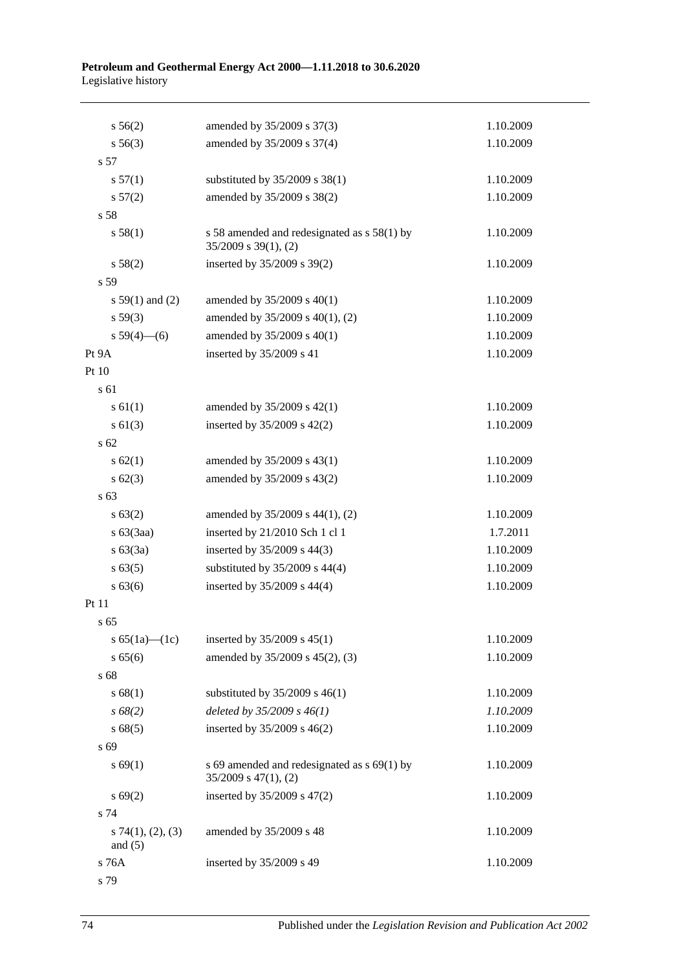#### **Petroleum and Geothermal Energy Act 2000—1.11.2018 to 30.6.2020** Legislative history

| s 56(2)                          | amended by 35/2009 s 37(3)                                                 | 1.10.2009 |
|----------------------------------|----------------------------------------------------------------------------|-----------|
| $s\,56(3)$                       | amended by 35/2009 s 37(4)                                                 | 1.10.2009 |
| s 57                             |                                                                            |           |
| s 57(1)                          | substituted by 35/2009 s 38(1)                                             | 1.10.2009 |
| s 57(2)                          | amended by 35/2009 s 38(2)                                                 | 1.10.2009 |
| s 58                             |                                                                            |           |
| s 58(1)                          | s 58 amended and redesignated as s 58(1) by<br>$35/2009$ s $39(1)$ , (2)   | 1.10.2009 |
| s 58(2)                          | inserted by 35/2009 s 39(2)                                                | 1.10.2009 |
| s 59                             |                                                                            |           |
| s $59(1)$ and (2)                | amended by $35/2009$ s $40(1)$                                             | 1.10.2009 |
| s 59(3)                          | amended by 35/2009 s 40(1), (2)                                            | 1.10.2009 |
| s $59(4)$ (6)                    | amended by 35/2009 s 40(1)                                                 | 1.10.2009 |
| Pt 9A                            | inserted by 35/2009 s 41                                                   | 1.10.2009 |
| Pt 10                            |                                                                            |           |
| s 61                             |                                                                            |           |
| s 61(1)                          | amended by 35/2009 s 42(1)                                                 | 1.10.2009 |
| $s \ 61(3)$                      | inserted by 35/2009 s 42(2)                                                | 1.10.2009 |
| s <sub>62</sub>                  |                                                                            |           |
| $s \, 62(1)$                     | amended by 35/2009 s 43(1)                                                 | 1.10.2009 |
| $s \ 62(3)$                      | amended by 35/2009 s 43(2)                                                 | 1.10.2009 |
| s 63                             |                                                                            |           |
| s 63(2)                          | amended by 35/2009 s 44(1), (2)                                            | 1.10.2009 |
| $s\ 63(3aa)$                     | inserted by 21/2010 Sch 1 cl 1                                             | 1.7.2011  |
| s 63(3a)                         | inserted by 35/2009 s 44(3)                                                | 1.10.2009 |
| s 63(5)                          | substituted by $35/2009$ s $44(4)$                                         | 1.10.2009 |
| $s\,63(6)$                       | inserted by 35/2009 s 44(4)                                                | 1.10.2009 |
| Pt 11                            |                                                                            |           |
| s <sub>65</sub>                  |                                                                            |           |
| s $65(1a)$ (1c)                  | inserted by 35/2009 s 45(1)                                                | 1.10.2009 |
| s 65(6)                          | amended by 35/2009 s 45(2), (3)                                            | 1.10.2009 |
| s 68                             |                                                                            |           |
| s 68(1)                          | substituted by $35/2009$ s 46(1)                                           | 1.10.2009 |
| s 68(2)                          | deleted by $35/2009 s 46(1)$                                               | 1.10.2009 |
| s68(5)                           | inserted by 35/2009 s 46(2)                                                | 1.10.2009 |
| s 69                             |                                                                            |           |
| s 69(1)                          | s 69 amended and redesignated as $s$ 69(1) by<br>$35/2009$ s $47(1)$ , (2) | 1.10.2009 |
| s 69(2)                          | inserted by 35/2009 s 47(2)                                                | 1.10.2009 |
| s 74                             |                                                                            |           |
| $s$ 74(1), (2), (3)<br>and $(5)$ | amended by 35/2009 s 48                                                    | 1.10.2009 |
| s 76A                            | inserted by 35/2009 s 49                                                   | 1.10.2009 |
| s 79                             |                                                                            |           |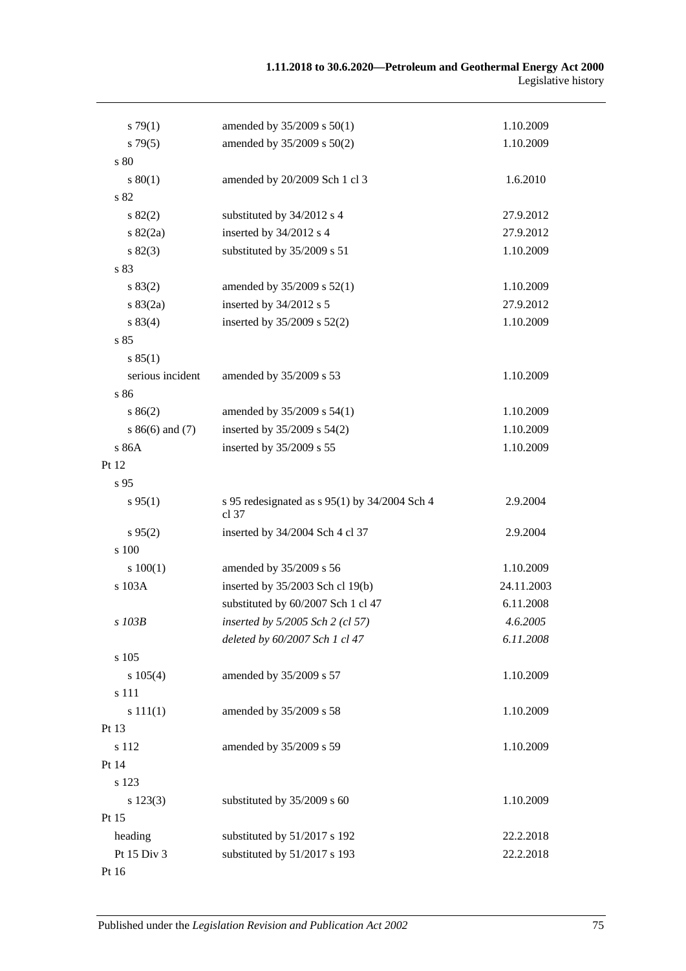| $s \, 79(1)$     | amended by 35/2009 s 50(1)                               | 1.10.2009  |
|------------------|----------------------------------------------------------|------------|
| $s\,79(5)$       | amended by 35/2009 s 50(2)                               | 1.10.2009  |
| s 80             |                                                          |            |
| 80(1)            | amended by 20/2009 Sch 1 cl 3                            | 1.6.2010   |
| s 82             |                                                          |            |
| s 82(2)          | substituted by 34/2012 s 4                               | 27.9.2012  |
| $s \, 82(2a)$    | inserted by 34/2012 s 4                                  | 27.9.2012  |
| s 82(3)          | substituted by 35/2009 s 51                              | 1.10.2009  |
| s 83             |                                                          |            |
| s 83(2)          | amended by 35/2009 s 52(1)                               | 1.10.2009  |
| $s \, 83(2a)$    | inserted by 34/2012 s 5                                  | 27.9.2012  |
| s 83(4)          | inserted by 35/2009 s 52(2)                              | 1.10.2009  |
| s 85             |                                                          |            |
| s 85(1)          |                                                          |            |
| serious incident | amended by 35/2009 s 53                                  | 1.10.2009  |
| s86              |                                                          |            |
| s 86(2)          | amended by 35/2009 s 54(1)                               | 1.10.2009  |
| $s86(6)$ and (7) | inserted by 35/2009 s 54(2)                              | 1.10.2009  |
| s 86A            | inserted by 35/2009 s 55                                 | 1.10.2009  |
| Pt 12            |                                                          |            |
| s 95             |                                                          |            |
| $s\,95(1)$       | s 95 redesignated as $s$ 95(1) by 34/2004 Sch 4<br>cl 37 | 2.9.2004   |
| $s\,95(2)$       | inserted by 34/2004 Sch 4 cl 37                          | 2.9.2004   |
| s 100            |                                                          |            |
| 100(1)           | amended by 35/2009 s 56                                  | 1.10.2009  |
| s 103A           | inserted by 35/2003 Sch cl 19(b)                         | 24.11.2003 |
|                  | substituted by 60/2007 Sch 1 cl 47                       | 6.11.2008  |
| s 103B           | inserted by 5/2005 Sch 2 (cl 57)                         | 4.6.2005   |
|                  | deleted by 60/2007 Sch 1 cl 47                           | 6.11.2008  |
| s 105            |                                                          |            |
| s 105(4)         | amended by 35/2009 s 57                                  | 1.10.2009  |
| s 111            |                                                          |            |
| s 111(1)         | amended by 35/2009 s 58                                  | 1.10.2009  |
| Pt 13            |                                                          |            |
| s 112            | amended by 35/2009 s 59                                  | 1.10.2009  |
| Pt 14            |                                                          |            |
| s 123            |                                                          |            |
| s 123(3)         | substituted by 35/2009 s 60                              | 1.10.2009  |
| Pt 15            |                                                          |            |
| heading          | substituted by 51/2017 s 192                             | 22.2.2018  |
| Pt 15 Div 3      | substituted by 51/2017 s 193                             | 22.2.2018  |
| Pt 16            |                                                          |            |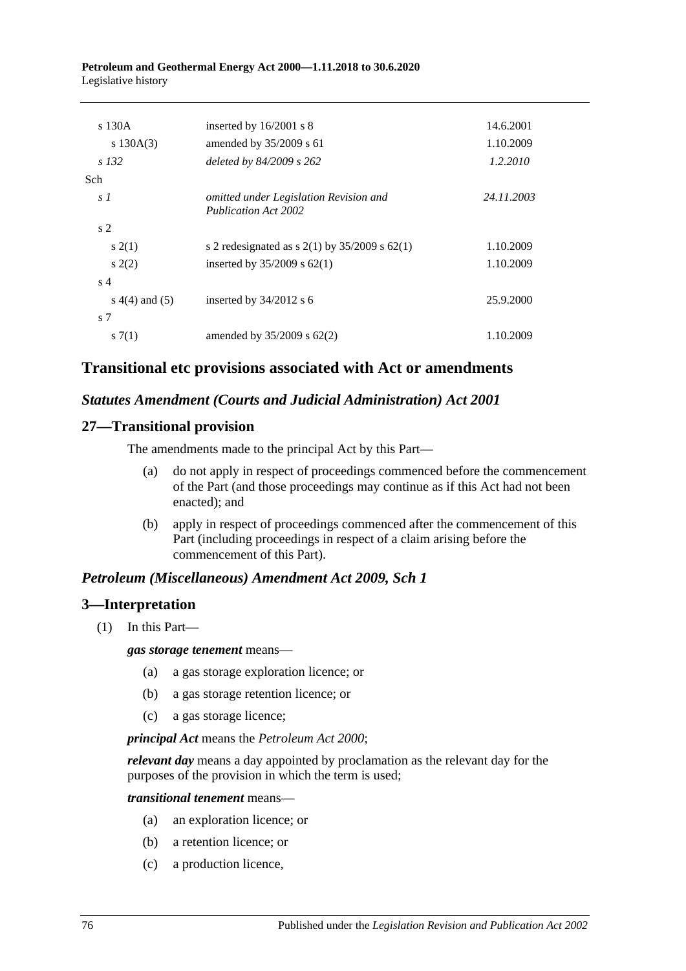**Petroleum and Geothermal Energy Act 2000—1.11.2018 to 30.6.2020** Legislative history

| s 130A             | inserted by $16/2001$ s 8                                             | 14.6.2001  |
|--------------------|-----------------------------------------------------------------------|------------|
| s $130A(3)$        | amended by 35/2009 s 61                                               | 1.10.2009  |
| s 132              | deleted by $84/2009$ s $262$                                          | 1.2.2010   |
| Sch.               |                                                                       |            |
| s <sub>1</sub>     | omitted under Legislation Revision and<br><b>Publication Act 2002</b> | 24.11.2003 |
| s <sub>2</sub>     |                                                                       |            |
| s(2(1))            | s 2 redesignated as s $2(1)$ by $35/2009$ s $62(1)$                   | 1.10.2009  |
| s(2)               | inserted by $35/2009$ s $62(1)$                                       | 1.10.2009  |
| s <sub>4</sub>     |                                                                       |            |
| s $4(4)$ and $(5)$ | inserted by $34/2012$ s 6                                             | 25.9.2000  |
| s 7                |                                                                       |            |
| $s \, 7(1)$        | amended by $35/2009$ s $62(2)$                                        | 1.10.2009  |
|                    |                                                                       |            |

## **Transitional etc provisions associated with Act or amendments**

#### *Statutes Amendment (Courts and Judicial Administration) Act 2001*

#### **27—Transitional provision**

The amendments made to the principal Act by this Part—

- (a) do not apply in respect of proceedings commenced before the commencement of the Part (and those proceedings may continue as if this Act had not been enacted); and
- (b) apply in respect of proceedings commenced after the commencement of this Part (including proceedings in respect of a claim arising before the commencement of this Part).

### *Petroleum (Miscellaneous) Amendment Act 2009, Sch 1*

### **3—Interpretation**

(1) In this Part—

*gas storage tenement* means—

- (a) a gas storage exploration licence; or
- (b) a gas storage retention licence; or
- (c) a gas storage licence;

*principal Act* means the *[Petroleum Act](http://www.legislation.sa.gov.au/index.aspx?action=legref&type=act&legtitle=Petroleum%20Act%202000) 2000*;

*relevant day* means a day appointed by proclamation as the relevant day for the purposes of the provision in which the term is used;

#### *transitional tenement* means—

- (a) an exploration licence; or
- (b) a retention licence; or
- (c) a production licence,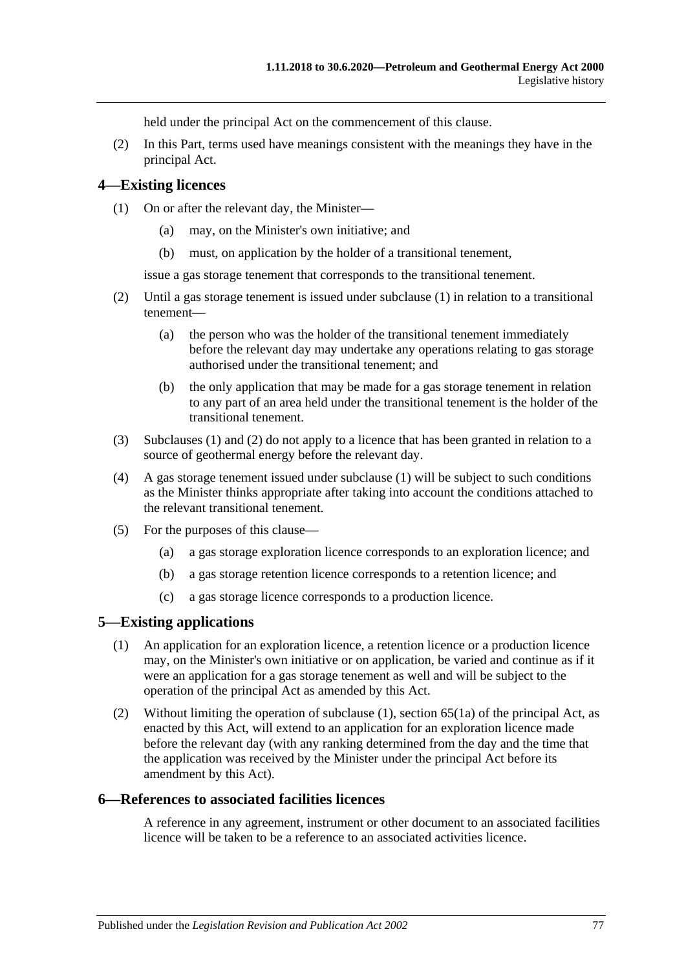held under the principal Act on the commencement of this clause.

(2) In this Part, terms used have meanings consistent with the meanings they have in the principal Act.

#### <span id="page-76-0"></span>**4—Existing licences**

- (1) On or after the relevant day, the Minister—
	- (a) may, on the Minister's own initiative; and
	- (b) must, on application by the holder of a transitional tenement,

issue a gas storage tenement that corresponds to the transitional tenement.

- <span id="page-76-1"></span>(2) Until a gas storage tenement is issued under [subclause](#page-76-0) (1) in relation to a transitional tenement—
	- (a) the person who was the holder of the transitional tenement immediately before the relevant day may undertake any operations relating to gas storage authorised under the transitional tenement; and
	- (b) the only application that may be made for a gas storage tenement in relation to any part of an area held under the transitional tenement is the holder of the transitional tenement.
- (3) [Subclauses](#page-76-0) (1) and [\(2\)](#page-76-1) do not apply to a licence that has been granted in relation to a source of geothermal energy before the relevant day.
- (4) A gas storage tenement issued under [subclause](#page-76-0) (1) will be subject to such conditions as the Minister thinks appropriate after taking into account the conditions attached to the relevant transitional tenement.
- (5) For the purposes of this clause—
	- (a) a gas storage exploration licence corresponds to an exploration licence; and
	- (b) a gas storage retention licence corresponds to a retention licence; and
	- (c) a gas storage licence corresponds to a production licence.

### <span id="page-76-2"></span>**5—Existing applications**

- (1) An application for an exploration licence, a retention licence or a production licence may, on the Minister's own initiative or on application, be varied and continue as if it were an application for a gas storage tenement as well and will be subject to the operation of the principal Act as amended by this Act.
- (2) Without limiting the operation of [subclause](#page-76-2) (1), section  $65(1a)$  of the principal Act, as enacted by this Act, will extend to an application for an exploration licence made before the relevant day (with any ranking determined from the day and the time that the application was received by the Minister under the principal Act before its amendment by this Act).

### **6—References to associated facilities licences**

A reference in any agreement, instrument or other document to an associated facilities licence will be taken to be a reference to an associated activities licence.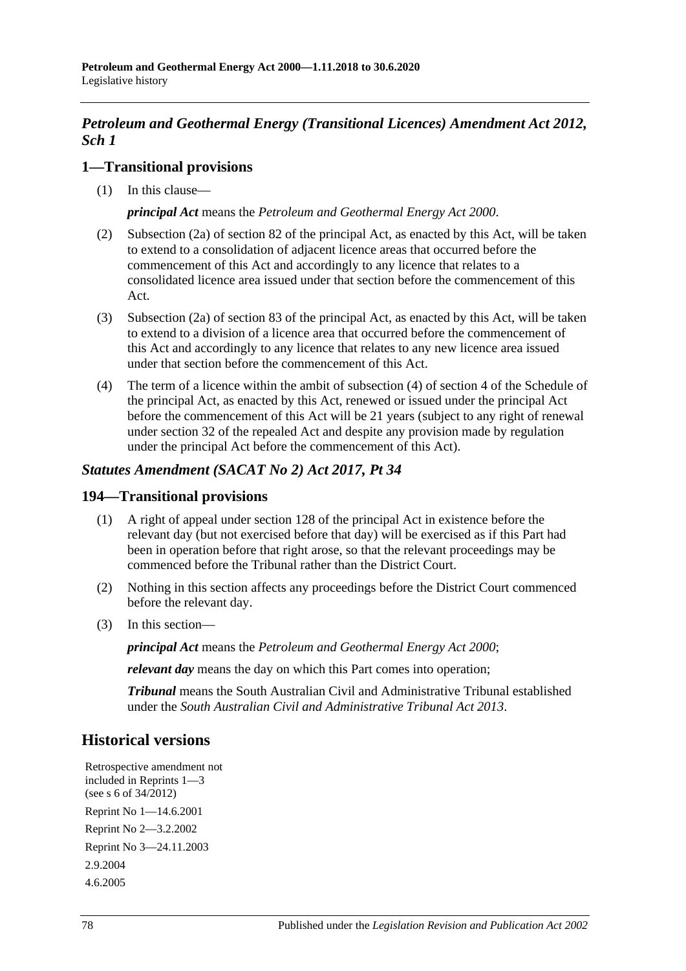## *Petroleum and Geothermal Energy (Transitional Licences) Amendment Act 2012, Sch 1*

### **1—Transitional provisions**

(1) In this clause—

*principal Act* means the *[Petroleum and Geothermal Energy Act](http://www.legislation.sa.gov.au/index.aspx?action=legref&type=act&legtitle=Petroleum%20and%20Geothermal%20Energy%20Act%202000) 2000*.

- (2) Subsection (2a) of section 82 of the principal Act, as enacted by this Act, will be taken to extend to a consolidation of adjacent licence areas that occurred before the commencement of this Act and accordingly to any licence that relates to a consolidated licence area issued under that section before the commencement of this Act.
- (3) Subsection (2a) of section 83 of the principal Act, as enacted by this Act, will be taken to extend to a division of a licence area that occurred before the commencement of this Act and accordingly to any licence that relates to any new licence area issued under that section before the commencement of this Act.
- (4) The term of a licence within the ambit of subsection (4) of section 4 of the Schedule of the principal Act, as enacted by this Act, renewed or issued under the principal Act before the commencement of this Act will be 21 years (subject to any right of renewal under section 32 of the repealed Act and despite any provision made by regulation under the principal Act before the commencement of this Act).

## *Statutes Amendment (SACAT No 2) Act 2017, Pt 34*

### **194—Transitional provisions**

- (1) A right of appeal under section 128 of the principal Act in existence before the relevant day (but not exercised before that day) will be exercised as if this Part had been in operation before that right arose, so that the relevant proceedings may be commenced before the Tribunal rather than the District Court.
- (2) Nothing in this section affects any proceedings before the District Court commenced before the relevant day.
- (3) In this section—

*principal Act* means the *[Petroleum and Geothermal Energy Act](http://www.legislation.sa.gov.au/index.aspx?action=legref&type=act&legtitle=Petroleum%20and%20Geothermal%20Energy%20Act%202000) 2000*;

*relevant day* means the day on which this Part comes into operation;

*Tribunal* means the South Australian Civil and Administrative Tribunal established under the *[South Australian Civil and Administrative Tribunal Act](http://www.legislation.sa.gov.au/index.aspx?action=legref&type=act&legtitle=South%20Australian%20Civil%20and%20Administrative%20Tribunal%20Act%202013) 2013*.

# **Historical versions**

Retrospective amendment not included in Reprints 1—3 (see s 6 of 34/2012) Reprint No 1—14.6.2001 Reprint No 2—3.2.2002 Reprint No 3—24.11.2003 2.9.2004 4.6.2005